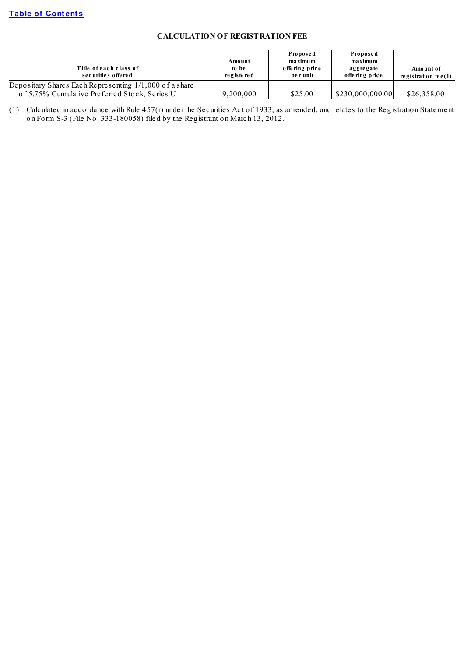# **CALCULATION OF REGISTRATION FEE**

| Title of each class of<br>securities offered             | Amount<br>to be<br>re gis te re d | Proposed<br>maximum<br>offering price<br>per unit | Proposed<br>maximum<br>aggregate<br>offering price | Amount of<br>registration fee $(1)$ |
|----------------------------------------------------------|-----------------------------------|---------------------------------------------------|----------------------------------------------------|-------------------------------------|
| Depositary Shares Each Representing $1/1,000$ of a share |                                   |                                                   |                                                    |                                     |
| of 5.75% Cumulative Preferred Stock, Series U            | 9.200.000                         | \$25.00                                           | \$230,000,000.00                                   | \$26,358.00                         |

(1) Calculated in accordance with Rule 457(r) under the Securities Act of 1933, as amended, and relates to the Registration Statement on Form S-3 (File No. 333-180058) filed by the Registrant on March 13, 2012.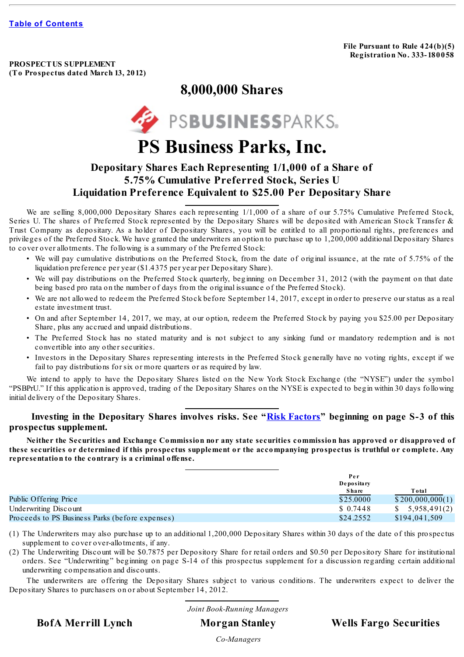**File Pursuant to Rule 424(b)(5) Registration No. 333- 180058**

**PROSPECTUS SUPPLEMENT (To Prospectus dated March 13, 2012)**

# **8,000,000 Shares**



# **PS Business Parks, Inc.**

# **Depositary Shares Each Representing 1/1,000 of a Share of 5.75% Cumulative Preferred Stock, Series U Liquidation Preference Equivalent to \$25.00 Per Depositary Share**

We are selling 8,000,000 Depositary Shares each representing 1/1,000 of a share of our 5.75% Cumulative Preferred Stock, Series U. The shares of Preferred Stock represented by the Depositary Shares will be deposited with American Stock Transfer & Trust Company as depositary. As a holder of Depositary Shares, you will be entitled to all proportional rights, preferences and privileges of the Preferred Stock. We have granted the underwriters an option to purchase up to 1,200,000 additional Depositary Shares to cover over allotments. The following is a summary of the Preferred Stock:

- We will pay cumulative distributions on the Preferred Stock, from the date of original issuance, at the rate of 5.75% of the liquidation preference per year (\$1.4375 per year per Depositary Share).
- We will pay distributions on the Preferred Stock quarterly, beginning on December 31, 2012 (with the payment on that date being based pro rata on the number of days from the original issuance of the Preferred Stock).
- We are not allowed to redeem the Preferred Stock before September 14, 2017, except in order to preserve our status as a real estate investment trust.
- On and after September 14, 2017, we may, at our option, redeem the Preferred Stock by paying you \$25.00 per Depositary Share, plus any accrued and unpaid distributions.
- The Preferred Stock has no stated maturity and is not subject to any sinking fund or mandatory redemption and is not convertible into any other securities.
- Investors in the Depositary Shares representing interests in the Preferred Stock generally have no voting rights, except if we fail to pay distributions for six or more quarters or as required by law.

We intend to apply to have the Depositary Shares listed on the New York Stock Exchange (the "NYSE") under the symbol "PSBPrU." If this application is approved, trading of the Depositary Shares on the NYSE is expected to begin within 30 days following initial delivery of the Depositary Shares.

# **Investing in the Depositary Shares involves risks. See "Risk [Factors](#page-8-0)" beginning on page S-3 of this prospectus supplement.**

Neither the Securities and Exchange Commission nor any state securities commission has approved or disapproved of these securities or determined if this prospectus supplement or the accompanying prospectus is truthful or complete. Any **representation to the contrary is a criminal offense.**

|                                                 | Per          |                  |
|-------------------------------------------------|--------------|------------------|
|                                                 | Depositary   |                  |
|                                                 | <b>Share</b> | Total            |
| Public Offering Price                           | \$25,0000    | \$200,000,000(1) |
| Underwriting Discount                           | \$ 0.7448    | \$5,958,491(2)   |
| Proceeds to PS Business Parks (before expenses) | \$24,2552    | \$194,041,509    |

(1) The Underwriters may also purchase up to an additional 1,200,000 Depositary Shares within 30 days of the date of this prospectus supplement to cover over-allotments, if any.

(2) The Underwriting Discount will be \$0.7875 per Depository Share for retail orders and \$0.50 per Depository Share for institutional orders. See "Underwriting" beginning on page S-14 of this prospectus supplement for a discussion regarding certain additional underwriting compensation and discounts.

The underwriters are offering the Depositary Shares subject to various conditions. The underwriters expect to deliver the Depositary Shares to purchasers on or about September 14, 2012.

*Joint Book-Running Managers*

**BofA Merrill Lynch Morgan Stanley Wells Fargo Securities**

*Co-Managers*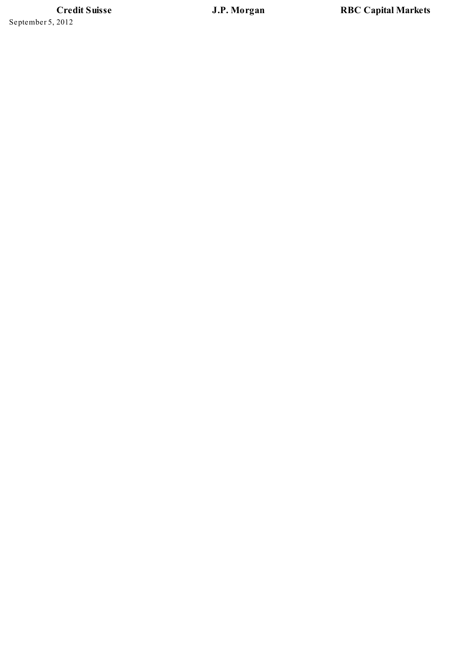**C r e d i t S ui s s e** September 5, 2012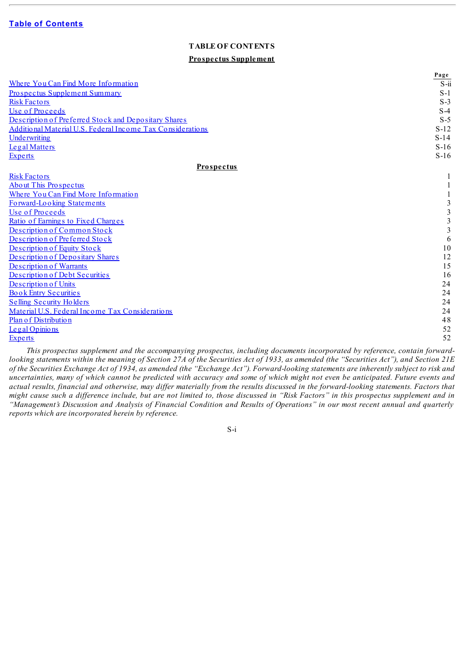## **TABLE OF CONTENTS**

#### **Prospectus Supplement**

<span id="page-3-0"></span>

|                                                                                                                             | Page                   |
|-----------------------------------------------------------------------------------------------------------------------------|------------------------|
| Where You Can Find More Information                                                                                         | $\overline{S\cdot ii}$ |
| <b>Prospectus Supplement Summary</b>                                                                                        | $S-1$                  |
| <b>Risk Factors</b>                                                                                                         | $S-3$                  |
| Use of Proceeds                                                                                                             | $S-4$                  |
| Description of Preferred Stock and Depositary Shares                                                                        | $S-5$                  |
| Additional Material U.S. Federal Income Tax Considerations                                                                  | $S-12$                 |
| Underwriting                                                                                                                | $S-14$                 |
| Legal Matters                                                                                                               | $S-16$                 |
| <b>Experts</b>                                                                                                              | $S-16$                 |
| <b>Prospectus</b>                                                                                                           |                        |
| <b>Risk Factors</b>                                                                                                         |                        |
| <b>About This Prospectus</b>                                                                                                |                        |
| Where You Can Find More Information                                                                                         |                        |
| Forward-Looking Statements                                                                                                  | 3                      |
| Use of Proceeds                                                                                                             | 3                      |
| Ratio of Earnings to Fixed Charges                                                                                          | 3                      |
| Description of Common Stock                                                                                                 | 3                      |
| Description of Preferred Stock                                                                                              | 6                      |
| Description of Equity Stock                                                                                                 | 10                     |
| Description of Depositary Shares                                                                                            | 12                     |
| Description of Warrants                                                                                                     | 15                     |
| Description of Debt Securities                                                                                              | 16                     |
| Description of Units                                                                                                        | 24                     |
| <b>Book Entry Securities</b>                                                                                                | 24                     |
| <b>Selling Security Holders</b>                                                                                             | 24                     |
| Material U.S. Federal Income Tax Considerations                                                                             | 24                     |
| Plan of Distribution                                                                                                        | 48                     |
| Legal Opinions                                                                                                              | 52                     |
| <b>Experts</b>                                                                                                              | 52                     |
| This progrective supplement and the accompanying progrective including decuments incorporated by reference, contain forward |                        |

*This prospectus supplement and the accompanying prospectus, including documents incorporated by reference, contain forward*looking statements within the meaning of Section 27A of the Securities Act of 1933, as amended (the "Securities Act"), and Section 21E of the Securities Exchange Act of 1934, as amended (the "Exchange Act"). Forward-looking statements are inherently subject to risk and uncertainties, many of which cannot be predicted with accuracy and some of which might not even be anticipated. Future events and actual results, financial and otherwise, may differ materially from the results discussed in the forward-looking statements. Factors that might cause such a difference include, but are not limited to, those discussed in "Risk Factors" in this prospectus supplement and in "Management's Discussion and Analysis of Financial Condition and Results of Operations" in our most recent annual and quarterly *reports which are incorporated herein by reference.*

S-i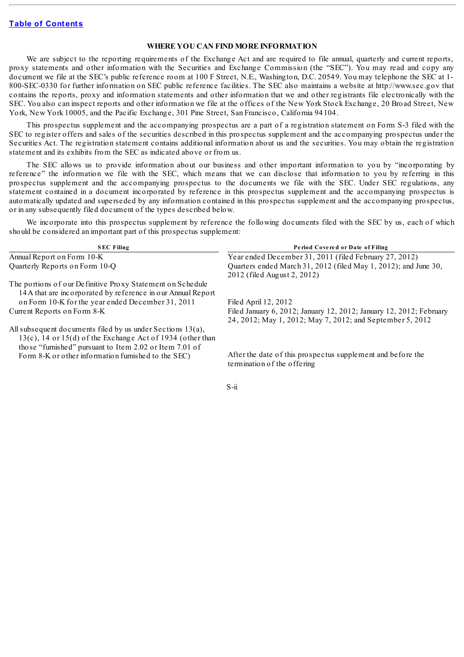#### **WHERE YOU CAN FIND MORE INFORMATION**

<span id="page-4-0"></span>We are subject to the reporting requirements of the Exchange Act and are required to file annual, quarterly and current reports, proxy statements and other information with the Securities and Exchange Commission (the "SEC"). You may read and copy any document we file at the SEC's public reference room at 100 F Street, N.E., Washington, D.C. 20549. You may telephone the SEC at 1- 800-SEC-0330 for further information on SEC public reference facilities. The SEC also maintains a website at http://www.sec.gov that contains the reports, proxy and information statements and other information that we and other registrants file electronically with the SEC. You also can inspect reports and other information we file at the offices of the New York Stock Exchange, 20 Broad Street, New York, New York 10005, and the Pacific Exchange, 301 Pine Street, San Francisco, California 94104.

This prospectus supplement and the accompanying prospectus are a part of a registration statement on Form S-3 filed with the SEC to register offers and sales of the securities described in this prospectus supplement and the accompanying prospectus under the Securities Act. The registration statement contains additional information about us and the securities. You may obtain the registration statement and its exhibits from the SEC as indicated above or from us.

The SEC allows us to provide information about our business and other important information to you by "incorporating by reference" the information we file with the SEC, which means that we can disclose that information to you by referring in this prospectus supplement and the accompanying prospectus to the documents we file with the SEC. Under SEC regulations, any statement contained in a document incorporated by reference in this prospectus supplement and the accompanying prospectus is automatically updated and superseded by any information contained in this prospectus supplement and the accompanying prospectus, or in any subsequently filed document of the types described below.

We incorporate into this prospectus supplement by reference the following documents filed with the SEC by us, each of which should be considered an important part of this prospectus supplement:

| Period Covered or Date of Filing                                                                                                 |
|----------------------------------------------------------------------------------------------------------------------------------|
| Year ended December 31, 2011 (filed February 27, 2012)                                                                           |
| Quarters ended March 31, 2012 (filed May 1, 2012); and June 30,<br>2012 (filed August 2, 2012)                                   |
|                                                                                                                                  |
|                                                                                                                                  |
| Filed April 12, 2012                                                                                                             |
| Filed January 6, 2012; January 12, 2012; January 12, 2012; February<br>24, 2012; May 1, 2012; May 7, 2012; and September 5, 2012 |
|                                                                                                                                  |
| After the date of this prospectus supplement and before the<br>termination of the offering                                       |
|                                                                                                                                  |

S-ii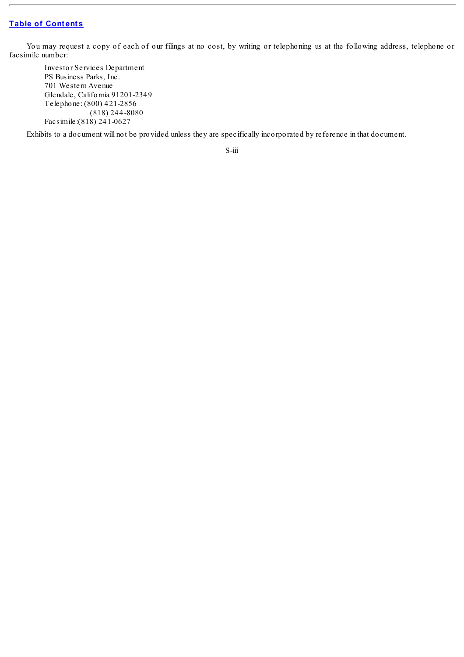You may request a copy of each of our filings at no cost, by writing or telephoning us at the following address, telephone or facsimile number:

Investor Services Department PS Business Parks, Inc. 701 Western Avenue Glendale, California 91201-2349 Telephone: (800) 421-2856 (818) 244-8080 Facsimile:(818) 241-0627

Exhibits to a document will not be provided unless they are specifically incorporated by reference in that document.

S-iii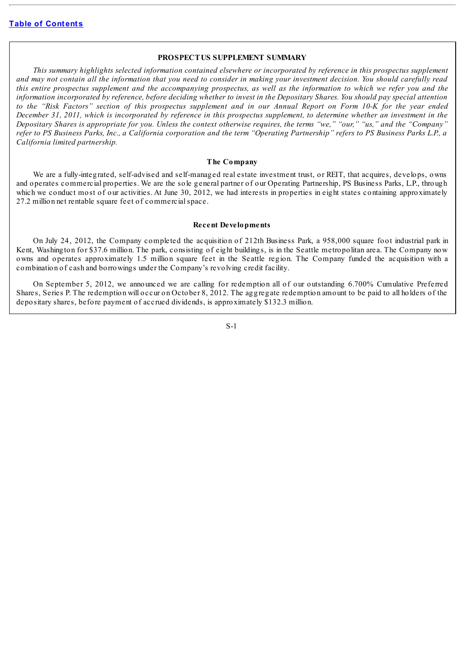#### **PROSPECTUS SUPPLEMENT SUMMARY**

<span id="page-6-0"></span>This summary highlights selected information contained elsewhere or incorporated by reference in this prospectus supplement and may not contain all the information that you need to consider in making your investment decision. You should carefully read this entire prospectus supplement and the accompanying prospectus, as well as the information to which we refer you and the information incorporated by reference, before deciding whether to invest in the Depositary Shares. You should pay special attention to the "Risk Factors" section of this prospectus supplement and in our Annual Report on Form 10-K for the year ended December 31, 2011, which is incorporated by reference in this prospectus supplement, to determine whether an investment in the Depositary Shares is appropriate for you. Unless the context otherwise requires, the terms "we," "our," "us," and the "Company" refer to PS Business Parks, Inc., a California corporation and the term "Operating Partnership" refers to PS Business Parks L.P., a *California limited partnership.*

#### **The Company**

We are a fully-integrated, self-advised and self-managed real estate investment trust, or REIT, that acquires, develops, owns and operates commercial properties. We are the sole general partner of our Operating Partnership, PS Business Parks, L.P., through which we conduct most of our activities. At June 30, 2012, we had interests in properties in eight states containing approximately 27.2 million net rentable square feet of commercialspace.

#### **Recent Developments**

On July 24, 2012, the Company completed the acquisition of 212th Business Park, a 958,000 square foot industrial park in Kent, Washington for \$37.6 million. The park, consisting of eight buildings, is in the Seattle metropolitan area. The Company now owns and operates approximately 1.5 million square feet in the Seattle region. The Company funded the acquisition with a combination of cash and borrowings under the Company's revolving credit facility.

On September 5, 2012, we announced we are calling for redemption all of our outstanding 6.700% Cumulative Preferred Shares, Series P. The redemption will occur on October 8, 2012. The aggregate redemption amount to be paid to all holders of the depositary shares, before payment of accrued dividends, is approximately \$132.3 million.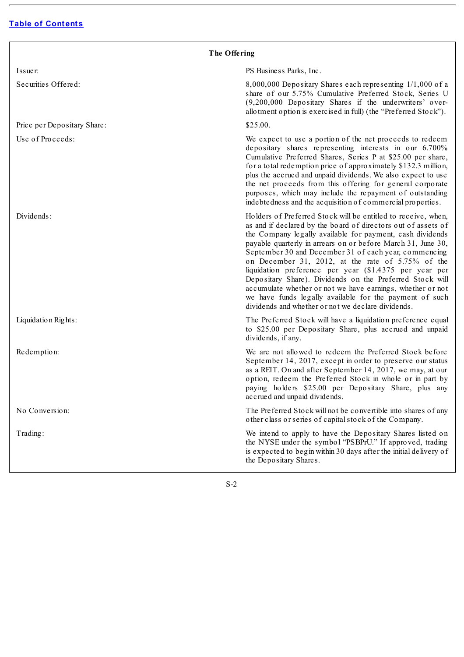| The Offering                |                                                                                                                                                                                                                                                                                                                                                                                                                                                                                                                                                                                                                                                                                |  |  |  |
|-----------------------------|--------------------------------------------------------------------------------------------------------------------------------------------------------------------------------------------------------------------------------------------------------------------------------------------------------------------------------------------------------------------------------------------------------------------------------------------------------------------------------------------------------------------------------------------------------------------------------------------------------------------------------------------------------------------------------|--|--|--|
| Issuer:                     | PS Business Parks, Inc.                                                                                                                                                                                                                                                                                                                                                                                                                                                                                                                                                                                                                                                        |  |  |  |
| Securities Offered:         | 8,000,000 Depositary Shares each representing 1/1,000 of a<br>share of our 5.75% Cumulative Preferred Stock, Series U<br>(9,200,000 Depositary Shares if the underwriters' over-<br>allotment option is exercised in full) (the "Preferred Stock").                                                                                                                                                                                                                                                                                                                                                                                                                            |  |  |  |
| Price per Depositary Share: | \$25.00.                                                                                                                                                                                                                                                                                                                                                                                                                                                                                                                                                                                                                                                                       |  |  |  |
| Use of Proceeds:            | We expect to use a portion of the net proceeds to redeem<br>depositary shares representing interests in our 6.700%<br>Cumulative Preferred Shares, Series P at \$25.00 per share,<br>for a total redemption price of approximately \$132.3 million,<br>plus the accrued and unpaid dividends. We also expect to use<br>the net proceeds from this offering for general corporate<br>purposes, which may include the repayment of outstanding<br>indebtedness and the acquisition of commercial properties.                                                                                                                                                                     |  |  |  |
| Dividends:                  | Holders of Preferred Stock will be entitled to receive, when,<br>as and if declared by the board of directors out of assets of<br>the Company legally available for payment, cash dividends<br>payable quarterly in arrears on or before March 31, June 30,<br>September 30 and December 31 of each year, commencing<br>on December 31, 2012, at the rate of 5.75% of the<br>liquidation preference per year (\$1.4375 per year per<br>Depositary Share). Dividends on the Preferred Stock will<br>accumulate whether or not we have earnings, whether or not<br>we have funds legally available for the payment of such<br>dividends and whether or not we declare dividends. |  |  |  |
| Liquidation Rights:         | The Preferred Stock will have a liquidation preference equal<br>to \$25.00 per Depositary Share, plus accrued and unpaid<br>dividends, if any.                                                                                                                                                                                                                                                                                                                                                                                                                                                                                                                                 |  |  |  |
| Redemption:                 | We are not allowed to redeem the Preferred Stock before<br>September 14, 2017, except in order to preserve our status<br>as a REIT. On and after September 14, 2017, we may, at our<br>option, redeem the Preferred Stock in whole or in part by<br>paying holders \$25.00 per Depositary Share, plus any<br>accrued and unpaid dividends.                                                                                                                                                                                                                                                                                                                                     |  |  |  |
| No Conversion:              | The Preferred Stock will not be convertible into shares of any<br>other class or series of capital stock of the Company.                                                                                                                                                                                                                                                                                                                                                                                                                                                                                                                                                       |  |  |  |
| Trading:                    | We intend to apply to have the Depositary Shares listed on<br>the NYSE under the symbol "PSBPrU." If approved, trading<br>is expected to begin within 30 days after the initial delivery of<br>the Depositary Shares.                                                                                                                                                                                                                                                                                                                                                                                                                                                          |  |  |  |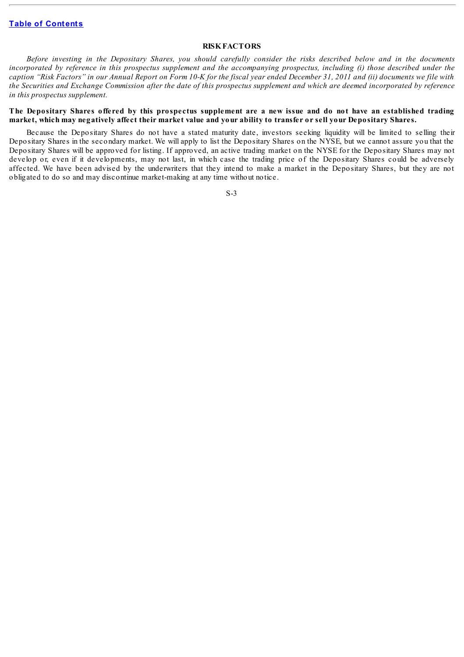## **RISKFACTORS**

<span id="page-8-0"></span>Before investing in the Depositary Shares, you should carefully consider the risks described below and in the documents incorporated by reference in this prospectus supplement and the accompanying prospectus, including (i) those described under the caption "Risk Factors" in our Annual Report on Form 10-K for the fiscal year ended December 31, 2011 and (ii) documents we file with the Securities and Exchange Commission after the date of this prospectus supplement and which are deemed incorporated by reference *in this prospectus supplement.*

#### The Depositary Shares offered by this prospectus supplement are a new issue and do not have an established trading market, which may negatively affect their market value and your ability to transfer or sell your Depositary Shares.

Because the Depositary Shares do not have a stated maturity date, investors seeking liquidity will be limited to selling their Depositary Shares in the secondary market. We will apply to list the Depositary Shares on the NYSE, but we cannot assure you that the Depositary Shares will be approved for listing. If approved, an active trading market on the NYSE for the Depositary Shares may not develop or, even if it developments, may not last, in which case the trading price of the Depositary Shares could be adversely affected. We have been advised by the underwriters that they intend to make a market in the Depositary Shares, but they are not obligated to do so and may discontinue market-making at any time without notice.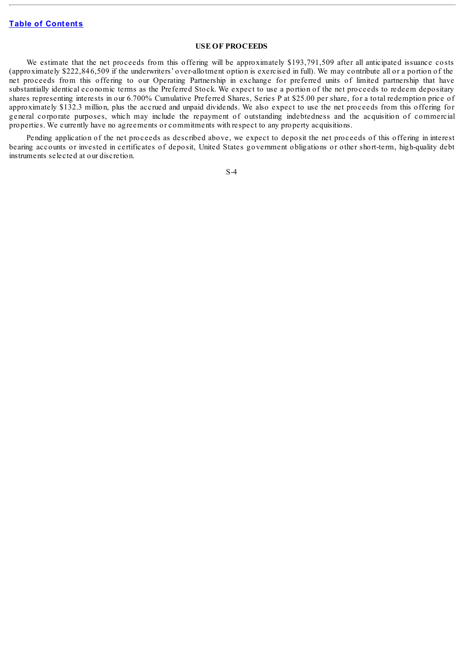## **USE OF PROCEEDS**

<span id="page-9-0"></span>We estimate that the net proceeds from this offering will be approximately \$193,791,509 after all anticipated issuance costs (approximately \$222,846,509 if the underwriters' over-allotment option is exercised in full). We may contribute all or a portion of the net proceeds from this offering to our Operating Partnership in exchange for preferred units of limited partnership that have substantially identical economic terms as the Preferred Stock. We expect to use a portion of the net proceeds to redeem depositary shares representing interests in our 6.700% Cumulative Preferred Shares, Series P at \$25.00 per share, for a total redemption price of approximately \$132.3 million, plus the accrued and unpaid dividends. We also expect to use the net proceeds from this offering for general corporate purposes, which may include the repayment of outstanding indebtedness and the acquisition of commercial properties. We currently have no agreements or commitments with respect to any property acquisitions.

Pending application of the net proceeds as described above, we expect to deposit the net proceeds of this offering in interest bearing accounts or invested in certificates of deposit, United States government obligations or other short-term, high-quality debt instruments selected at our discretion.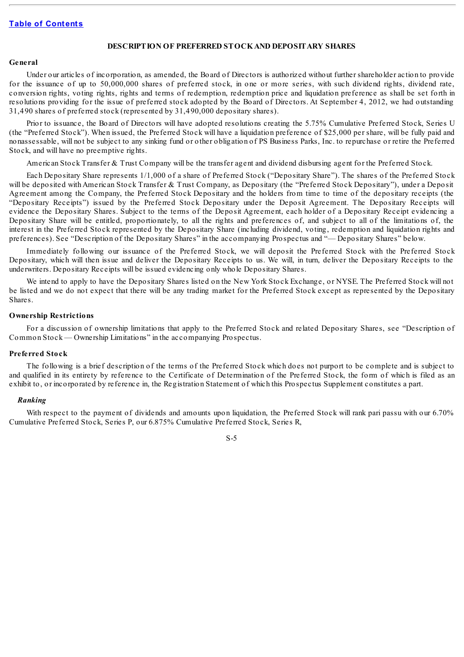#### **DESCRIPTION OF PREFERRED STOCKAND DEPOSITARY SHARES**

#### <span id="page-10-0"></span>**General**

Under our articles of incorporation, as amended, the Board of Directors is authorized without further shareholder action to provide for the issuance of up to 50,000,000 shares of preferred stock, in one or more series, with such dividend rights, dividend rate, conversion rights, voting rights, rights and terms of redemption, redemption price and liquidation preference as shall be set forth in resolutions providing for the issue of preferred stock adopted by the Board of Directors. At September 4, 2012, we had outstanding 31,490 shares of preferred stock (represented by 31,490,000 depositary shares).

Prior to issuance, the Board of Directors will have adopted resolutions creating the 5.75% Cumulative Preferred Stock, Series U (the "Preferred Stock"). When issued, the Preferred Stock will have a liquidation preference of \$25,000 per share, will be fully paid and nonassessable, will not be subject to any sinking fund or other obligation of PS Business Parks, Inc. to repurchase or retire the Preferred Stock, and will have no preemptive rights.

American Stock Transfer & Trust Company will be the transfer agent and dividend disbursing agent for the Preferred Stock.

Each Depositary Share represents 1/1,000 of a share of Preferred Stock ("Depositary Share"). The shares of the Preferred Stock will be deposited with American Stock Transfer & Trust Company, as Depositary (the "Preferred Stock Depositary"), under a Deposit Agreement among the Company, the Preferred Stock Depositary and the holders from time to time of the depositary receipts (the "Depositary Receipts") issued by the Preferred Stock Depositary under the Deposit Agreement. The Depositary Receipts will evidence the Depositary Shares. Subject to the terms of the Deposit Agreement, each holder of a Depositary Receipt evidencing a Depositary Share will be entitled, proportionately, to all the rights and preferences of, and subject to all of the limitations of, the interest in the Preferred Stock represented by the Depositary Share (including dividend, voting, redemption and liquidation rights and preferences). See "Description of the Depositary Shares" in the accompanying Prospectus and "— Depositary Shares" below.

Immediately following our issuance of the Preferred Stock, we will deposit the Preferred Stock with the Preferred Stock Depositary, which will then issue and deliver the Depositary Receipts to us. We will, in turn, deliver the Depositary Receipts to the underwriters. Depositary Receipts will be issued evidencing only whole Depositary Shares.

We intend to apply to have the Depositary Shares listed on the New York Stock Exchange, or NYSE. The Preferred Stock will not be listed and we do not expect that there will be any trading market for the Preferred Stock except as represented by the Depositary Shares.

#### **Ownership Restrictions**

For a discussion of ownership limitations that apply to the Preferred Stock and related Depositary Shares, see "Description of Common Stock — Ownership Limitations" in the accompanying Prospectus.

#### **Preferred Stock**

The following is a brief description of the terms of the Preferred Stock which does not purport to be complete and is subject to and qualified in its entirety by reference to the Certificate of Determination of the Preferred Stock, the form of which is filed as an exhibit to, or incorporated by reference in, the Registration Statement of which this Prospectus Supplement constitutes a part.

#### *Ranking*

With respect to the payment of dividends and amounts upon liquidation, the Preferred Stock will rank pari passu with our 6.70% Cumulative Preferred Stock, Series P, our 6.875% Cumulative Preferred Stock, Series R,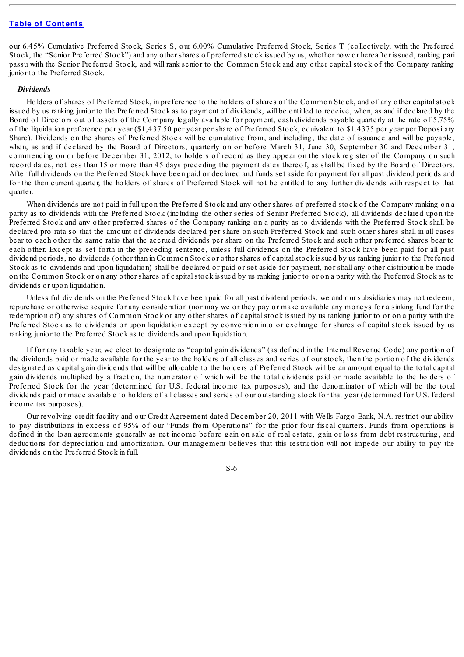our 6.45% Cumulative Preferred Stock, Series S, our 6.00% Cumulative Preferred Stock, Series T (collectively, with the Preferred Stock, the "Senior Preferred Stock") and any other shares of preferred stock issued by us, whether now or hereafter issued, ranking pari passu with the Senior Preferred Stock, and will rank senior to the Common Stock and any other capital stock of the Company ranking junior to the Preferred Stock.

#### *Dividends*

Holders of shares of Preferred Stock, in preference to the holders of shares of the Common Stock, and of any other capitalstock issued by us ranking junior to the Preferred Stock as to payment of dividends, will be entitled to receive, when, as and if declared by the Board of Directors out of assets of the Company legally available for payment, cash dividends payable quarterly at the rate of 5.75% of the liquidation preference per year (\$1,437.50 per year per share of Preferred Stock, equivalent to \$1.4375 per year per Depositary Share). Dividends on the shares of Preferred Stock will be cumulative from, and including, the date of issuance and will be payable, when, as and if declared by the Board of Directors, quarterly on or before March 31, June 30, September 30 and December 31, commencing on or before December 31, 2012, to holders of record as they appear on the stock register of the Company on such record dates, not less than 15 or more than 45 days preceding the payment dates thereof, as shall be fixed by the Board of Directors. After full dividends on the Preferred Stock have been paid or declared and funds set aside for payment for all past dividend periods and for the then current quarter, the holders of shares of Preferred Stock will not be entitled to any further dividends with respect to that quarter.

When dividends are not paid in full upon the Preferred Stock and any other shares of preferred stock of the Company ranking on a parity as to dividends with the Preferred Stock (including the other series of Senior Preferred Stock), all dividends declared upon the Preferred Stock and any other preferred shares of the Company ranking on a parity as to dividends with the Preferred Stock shall be declared pro rata so that the amount of dividends declared per share on such Preferred Stock and such other shares shall in all cases bear to each other the same ratio that the accrued dividends per share on the Preferred Stock and such other preferred shares bear to each other. Except as set forth in the preceding sentence, unless full dividends on the Preferred Stock have been paid for all past dividend periods, no dividends (other than in Common Stock or other shares of capitalstock issued by us ranking junior to the Preferred Stock as to dividends and upon liquidation) shall be declared or paid or set aside for payment, nor shall any other distribution be made on the Common Stock or on any other shares of capital stock issued by us ranking junior to or on a parity with the Preferred Stock as to dividends or upon liquidation.

Unless full dividends on the Preferred Stock have been paid for all past dividend periods, we and our subsidiaries may not redeem, repurchase or otherwise acquire for any consideration (nor may we or they pay or make available any moneys for a sinking fund for the redemption of) any shares of Common Stock or any other shares of capital stock issued by us ranking junior to or on a parity with the Preferred Stock as to dividends or upon liquidation except by conversion into or exchange for shares of capital stock issued by us ranking junior to the Preferred Stock as to dividends and upon liquidation.

If for any taxable year, we elect to designate as "capital gain dividends" (as defined in the Internal Revenue Code) any portion of the dividends paid or made available for the year to the holders of all classes and series of our stock, then the portion of the dividends designated as capital gain dividends that will be allocable to the holders of Preferred Stock will be an amount equal to the total capital gain dividends multiplied by a fraction, the numerator of which will be the total dividends paid or made available to the holders of Preferred Stock for the year (determined for U.S. federal income tax purposes), and the denominator of which will be the total dividends paid or made available to holders of all classes and series of our outstanding stock for that year (determined for U.S. federal income tax purposes).

Our revolving credit facility and our Credit Agreement dated December 20, 2011 with Wells Fargo Bank, N.A. restrict our ability to pay distributions in excess of 95% of our "Funds from Operations" for the prior four fiscal quarters. Funds from operations is defined in the loan agreements generally as net income before gain on sale of real estate, gain or loss from debt restructuring, and deductions for depreciation and amortization. Our management believes that this restriction will not impede our ability to pay the dividends on the Preferred Stock in full.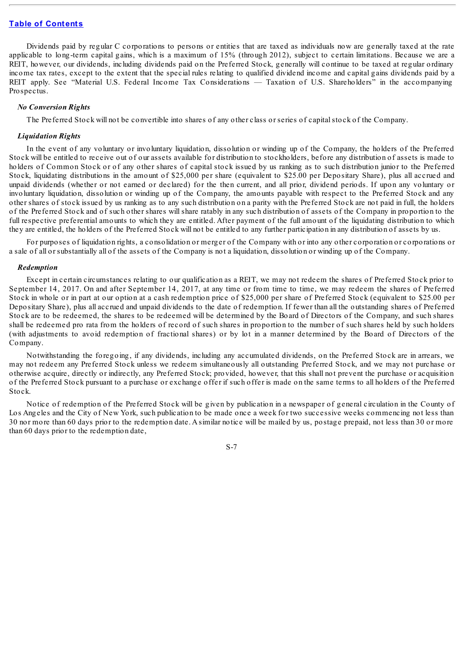Dividends paid by regular C corporations to persons or entities that are taxed as individuals now are generally taxed at the rate applicable to long-term capital gains, which is a maximum of 15% (through 2012), subject to certain limitations. Because we are a REIT, however, our dividends, including dividends paid on the Preferred Stock, generally will continue to be taxed at regular ordinary income tax rates, except to the extent that the special rules relating to qualified dividend income and capital gains dividends paid by a REIT apply. See "Material U.S. Federal Income Tax Considerations — Taxation of U.S. Shareholders" in the accompanying Prospectus.

#### *No Conversion Rights*

The Preferred Stock will not be convertible into shares of any other class or series of capitalstock of the Company.

#### *Liquidation Rights*

In the event of any voluntary or involuntary liquidation, dissolution or winding up of the Company, the holders of the Preferred Stock will be entitled to receive out of our assets available for distribution to stockholders, before any distribution of assets is made to holders of Common Stock or of any other shares of capital stock issued by us ranking as to such distribution junior to the Preferred Stock, liquidating distributions in the amount of \$25,000 per share (equivalent to \$25.00 per Depositary Share), plus all accrued and unpaid dividends (whether or not earned or declared) for the then current, and all prior, dividend periods. If upon any voluntary or involuntary liquidation, dissolution or winding up of the Company, the amounts payable with respect to the Preferred Stock and any other shares of stock issued by us ranking as to any such distribution on a parity with the Preferred Stock are not paid in full, the holders of the Preferred Stock and of such other shares will share ratably in any such distribution of assets of the Company in proportion to the full respective preferential amounts to which they are entitled. After payment of the full amount of the liquidating distribution to which they are entitled, the holders of the Preferred Stock will not be entitled to any further participation in any distribution of assets by us.

For purposes of liquidation rights, a consolidation or merger of the Company with or into any other corporation or corporations or a sale of all or substantially all of the assets of the Company is not a liquidation, dissolution or winding up of the Company.

#### *Redemption*

Except in certain circumstances relating to our qualification as a REIT, we may not redeem the shares of Preferred Stock prior to September 14, 2017. On and after September 14, 2017, at any time or from time to time, we may redeem the shares of Preferred Stock in whole or in part at our option at a cash redemption price of \$25,000 per share of Preferred Stock (equivalent to \$25.00 per Depositary Share), plus all accrued and unpaid dividends to the date of redemption. If fewer than all the outstanding shares of Preferred Stock are to be redeemed, the shares to be redeemed will be determined by the Board of Directors of the Company, and such shares shall be redeemed pro rata from the holders of record of such shares in proportion to the number of such shares held by such holders (with adjustments to avoid redemption of fractional shares) or by lot in a manner determined by the Board of Directors of the Company.

Notwithstanding the foregoing, if any dividends, including any accumulated dividends, on the Preferred Stock are in arrears, we may not redeem any Preferred Stock unless we redeem simultaneously all outstanding Preferred Stock, and we may not purchase or otherwise acquire, directly or indirectly, any Preferred Stock; provided, however, that this shall not prevent the purchase or acquisition of the Preferred Stock pursuant to a purchase or exchange offer if such offer is made on the same terms to all holders of the Preferred Stock.

Notice of redemption of the Preferred Stock will be given by publication in a newspaper of general circulation in the County of Los Angeles and the City of New York, such publication to be made once a week for two successive weeks commencing not less than 30 nor more than 60 days prior to the redemption date. A similar notice will be mailed by us, postage prepaid, not less than 30 or more than 60 days prior to the redemption date,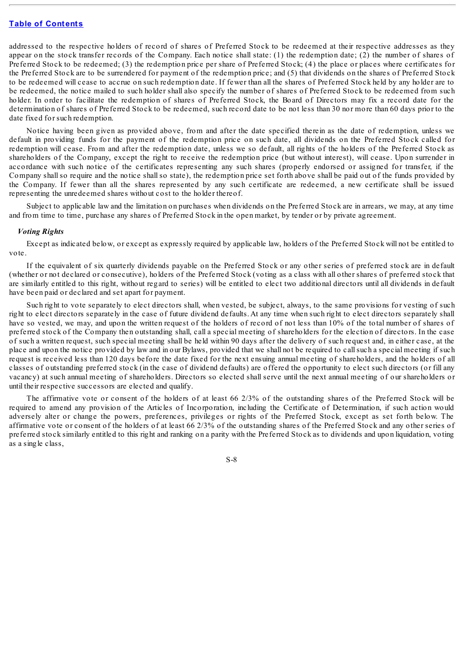addressed to the respective holders of record of shares of Preferred Stock to be redeemed at their respective addresses as they appear on the stock transfer records of the Company. Each notice shall state: (1) the redemption date; (2) the number of shares of Preferred Stock to be redeemed; (3) the redemption price per share of Preferred Stock; (4) the place or places where certificates for the Preferred Stock are to be surrendered for payment of the redemption price; and (5) that dividends on the shares of Preferred Stock to be redeemed will cease to accrue on such redemption date. If fewer than all the shares of Preferred Stock held by any holder are to be redeemed, the notice mailed to such holder shall also specify the number of shares of Preferred Stock to be redeemed from such holder. In order to facilitate the redemption of shares of Preferred Stock, the Board of Directors may fix a record date for the determination of shares of Preferred Stock to be redeemed, such record date to be not less than 30 nor more than 60 days prior to the date fixed for such redemption.

Notice having been given as provided above, from and after the date specified therein as the date of redemption, unless we default in providing funds for the payment of the redemption price on such date, all dividends on the Preferred Stock called for redemption will cease. From and after the redemption date, unless we so default, all rights of the holders of the Preferred Stock as shareholders of the Company, except the right to receive the redemption price (but without interest), will cease. Upon surrender in accordance with such notice of the certificates representing any such shares (properly endorsed or assigned for transfer, if the Company shall so require and the notice shall so state), the redemption price set forth above shall be paid out of the funds provided by the Company. If fewer than all the shares represented by any such certificate are redeemed, a new certificate shall be issued representing the unredeemed shares without cost to the holder thereof.

Subject to applicable law and the limitation on purchases when dividends on the Preferred Stock are in arrears, we may, at any time and from time to time, purchase any shares of Preferred Stock in the open market, by tender or by private agreement.

#### *Voting Rights*

Except as indicated below, or except as expressly required by applicable law, holders of the Preferred Stock will not be entitled to vote.

If the equivalent of six quarterly dividends payable on the Preferred Stock or any other series of preferred stock are in default (whether or not declared or consecutive), holders of the Preferred Stock (voting as a class with all other shares of preferred stock that are similarly entitled to this right, without regard to series) will be entitled to elect two additional directors until all dividends in default have been paid or declared and set apart for payment.

Such right to vote separately to elect directors shall, when vested, be subject, always, to the same provisions for vesting of such right to elect directors separately in the case of future dividend defaults. At any time when such right to elect directors separately shall have so vested, we may, and upon the written request of the holders of record of not less than 10% of the total number of shares of preferred stock of the Company then outstanding shall, call a special meeting of shareholders for the election of directors. In the case of such a written request, such special meeting shall be held within 90 days after the delivery of such request and, in either case, at the place and upon the notice provided by law and in our Bylaws, provided that we shall not be required to callsuch a special meeting if such request is received less than 120 days before the date fixed for the next ensuing annual meeting of shareholders, and the holders of all classes of outstanding preferred stock (in the case of dividend defaults) are offered the opportunity to elect such directors (or fill any vacancy) at such annual meeting of shareholders. Directors so elected shall serve until the next annual meeting of our shareholders or until their respective successors are elected and qualify.

The affirmative vote or consent of the holders of at least 66 2/3% of the outstanding shares of the Preferred Stock will be required to amend any provision of the Articles of Incorporation, including the Certificate of Determination, if such action would adversely alter or change the powers, preferences, privileges or rights of the Preferred Stock, except as set forth below. The affirmative vote or consent of the holders of at least 66 2/3% of the outstanding shares of the Preferred Stock and any other series of preferred stock similarly entitled to this right and ranking on a parity with the Preferred Stock as to dividends and upon liquidation, voting as a single class,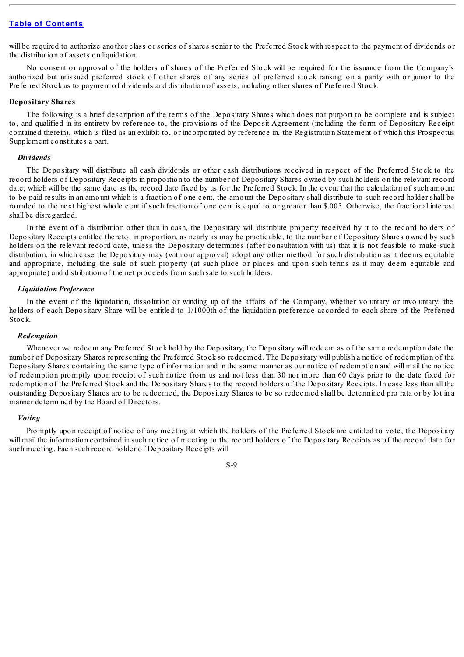will be required to authorize another class or series of shares senior to the Preferred Stock with respect to the payment of dividends or the distribution of assets on liquidation.

No consent or approval of the holders of shares of the Preferred Stock will be required for the issuance from the Company's authorized but unissued preferred stock of other shares of any series of preferred stock ranking on a parity with or junior to the Preferred Stock as to payment of dividends and distribution of assets, including other shares of Preferred Stock.

#### **Depositary Shares**

The following is a brief description of the terms of the Depositary Shares which does not purport to be complete and is subject to, and qualified in its entirety by reference to, the provisions of the Deposit Agreement (including the form of Depositary Receipt contained therein), which is filed as an exhibit to, or incorporated by reference in, the Registration Statement of which this Prospectus Supplement constitutes a part.

#### *Dividends*

The Depositary will distribute all cash dividends or other cash distributions received in respect of the Preferred Stock to the record holders of Depositary Receipts in proportion to the number of Depositary Shares owned by such holders on the relevant record date, which will be the same date as the record date fixed by us for the Preferred Stock. In the event that the calculation of such amount to be paid results in an amount which is a fraction of one cent, the amount the Depositary shall distribute to such record holder shall be rounded to the next highest whole cent if such fraction of one cent is equal to or greater than \$.005. Otherwise, the fractional interest shall be disregarded.

In the event of a distribution other than in cash, the Depositary will distribute property received by it to the record holders of Depositary Receipts entitled thereto, in proportion, as nearly as may be practicable, to the number of Depositary Shares owned by such holders on the relevant record date, unless the Depositary determines (after consultation with us) that it is not feasible to make such distribution, in which case the Depositary may (with our approval) adopt any other method for such distribution as it deems equitable and appropriate, including the sale of such property (at such place or places and upon such terms as it may deem equitable and appropriate) and distribution of the net proceeds from such sale to such holders.

#### *Liquidation Preference*

In the event of the liquidation, dissolution or winding up of the affairs of the Company, whether voluntary or involuntary, the holders of each Depositary Share will be entitled to 1/1000th of the liquidation preference accorded to each share of the Preferred Stock.

#### *Redemption*

Whenever we redeem any Preferred Stock held by the Depositary, the Depositary will redeem as of the same redemption date the number of Depositary Shares representing the Preferred Stock so redeemed. The Depositary will publish a notice of redemption of the Depositary Shares containing the same type of information and in the same manner as our notice of redemption and will mail the notice of redemption promptly upon receipt of such notice from us and not less than 30 nor more than 60 days prior to the date fixed for redemption of the Preferred Stock and the Depositary Shares to the record holders of the Depositary Receipts. In case less than all the outstanding Depositary Shares are to be redeemed, the Depositary Shares to be so redeemed shall be determined pro rata or by lot in a manner determined by the Board of Directors.

#### *Voting*

Promptly upon receipt of notice of any meeting at which the holders of the Preferred Stock are entitled to vote, the Depositary will mail the information contained in such notice of meeting to the record holders of the Depositary Receipts as of the record date for such meeting. Each such record holder of Depositary Receipts will

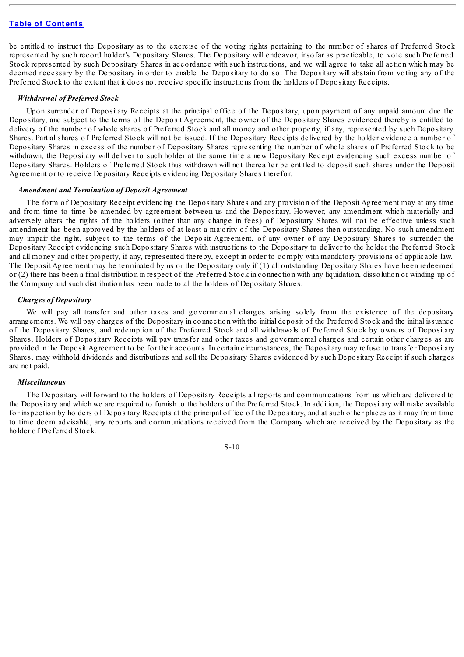be entitled to instruct the Depositary as to the exercise of the voting rights pertaining to the number of shares of Preferred Stock represented by such record holder's Depositary Shares. The Depositary will endeavor, insofar as practicable, to vote such Preferred Stock represented by such Depositary Shares in accordance with such instructions, and we will agree to take all action which may be deemed necessary by the Depositary in order to enable the Depositary to do so. The Depositary will abstain from voting any of the Preferred Stock to the extent that it does not receive specific instructions from the holders of Depositary Receipts.

#### *Withdrawal of Preferred Stock*

Upon surrender of Depositary Receipts at the principal office of the Depositary, upon payment of any unpaid amount due the Depositary, and subject to the terms of the Deposit Agreement, the owner of the Depositary Shares evidenced thereby is entitled to delivery of the number of whole shares of Preferred Stock and all money and other property, if any, represented by such Depositary Shares. Partial shares of Preferred Stock will not be issued. If the Depositary Receipts delivered by the holder evidence a number of Depositary Shares in excess of the number of Depositary Shares representing the number of whole shares of Preferred Stock to be withdrawn, the Depositary will deliver to such holder at the same time a new Depositary Receipt evidencing such excess number of Depositary Shares. Holders of Preferred Stock thus withdrawn will not thereafter be entitled to deposit such shares under the Deposit Agreement or to receive Depositary Receipts evidencing Depositary Shares therefor.

#### *Amendment and Termination of Deposit Agreement*

The form of Depositary Receipt evidencing the Depositary Shares and any provision of the Deposit Agreement may at any time and from time to time be amended by agreement between us and the Depositary. However, any amendment which materially and adversely alters the rights of the holders (other than any change in fees) of Depositary Shares will not be effective unless such amendment has been approved by the holders of at least a majority of the Depositary Shares then outstanding. No such amendment may impair the right, subject to the terms of the Deposit Agreement, of any owner of any Depositary Shares to surrender the Depositary Receipt evidencing such Depositary Shares with instructions to the Depositary to deliver to the holder the Preferred Stock and all money and other property, if any, represented thereby, except in order to comply with mandatory provisions of applicable law. The Deposit Agreement may be terminated by us or the Depositary only if (1) all outstanding Depositary Shares have been redeemed or (2) there has been a final distribution in respect of the Preferred Stock in connection with any liquidation, dissolution or winding up of the Company and such distribution has been made to all the holders of Depositary Shares.

#### *Charges of Depositary*

We will pay all transfer and other taxes and governmental charges arising solely from the existence of the depositary arrangements. We will pay charges of the Depositary in connection with the initial deposit of the Preferred Stock and the initial issuance of the Depositary Shares, and redemption of the Preferred Stock and all withdrawals of Preferred Stock by owners of Depositary Shares. Holders of Depositary Receipts will pay transfer and other taxes and governmental charges and certain other charges as are provided in the Deposit Agreement to be for their accounts. In certain circumstances, the Depositary may refuse to transfer Depositary Shares, may withhold dividends and distributions and sell the Depositary Shares evidenced by such Depositary Receipt if such charges are not paid.

#### *Miscellaneous*

The Depositary will forward to the holders of Depositary Receipts all reports and communications from us which are delivered to the Depositary and which we are required to furnish to the holders of the Preferred Stock. In addition, the Depositary will make available for inspection by holders of Depositary Receipts at the principal office of the Depositary, and at such other places as it may from time to time deem advisable, any reports and communications received from the Company which are received by the Depositary as the holder of Preferred Stock.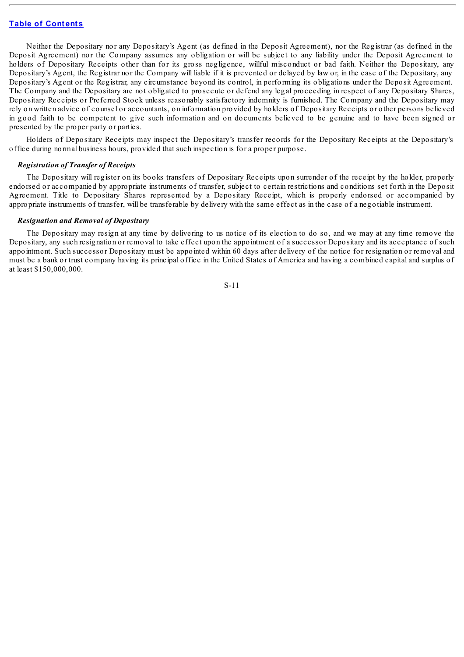Neither the Depositary nor any Depositary's Agent (as defined in the Deposit Agreement), nor the Registrar (as defined in the Deposit Agreement) nor the Company assumes any obligation or will be subject to any liability under the Deposit Agreement to holders of Depositary Receipts other than for its gross negligence, willful misconduct or bad faith. Neither the Depositary, any Depositary's Agent, the Registrar nor the Company will liable if it is prevented or delayed by law or, in the case of the Depositary, any Depositary's Agent or the Registrar, any circumstance beyond its control, in performing its obligations under the Deposit Agreement. The Company and the Depositary are not obligated to prosecute or defend any legal proceeding in respect of any Depositary Shares, Depositary Receipts or Preferred Stock unless reasonably satisfactory indemnity is furnished. The Company and the Depositary may rely on written advice of counsel or accountants, on information provided by holders of Depositary Receipts or other persons believed in good faith to be competent to give such information and on documents believed to be genuine and to have been signed or presented by the proper party or parties.

Holders of Depositary Receipts may inspect the Depositary's transfer records for the Depositary Receipts at the Depositary's office during normal business hours, provided that such inspection is for a proper purpose.

#### *Registration of Transfer of Receipts*

The Depositary will register on its books transfers of Depositary Receipts upon surrender of the receipt by the holder, properly endorsed or accompanied by appropriate instruments of transfer, subject to certain restrictions and conditions set forth in the Deposit Agreement. Title to Depositary Shares represented by a Depositary Receipt, which is properly endorsed or accompanied by appropriate instruments of transfer, will be transferable by delivery with the same effect as in the case of a negotiable instrument.

#### *Resignation and Removal of Depositary*

The Depositary may resign at any time by delivering to us notice of its election to do so, and we may at any time remove the Depositary, any such resignation or removal to take effect upon the appointment of a successor Depositary and its acceptance of such appointment. Such successor Depositary must be appointed within 60 days after delivery of the notice for resignation or removal and must be a bank or trust company having its principal office in the United States of America and having a combined capital and surplus of at least \$150,000,000.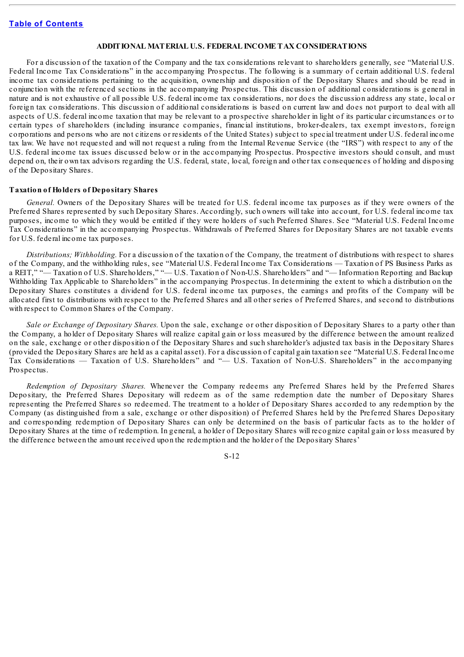#### **ADDITIONAL MATERIAL U.S. FEDERAL INCOME TAX CONSIDERATIONS**

<span id="page-17-0"></span>For a discussion of the taxation of the Company and the tax considerations relevant to shareholders generally, see "Material U.S. Federal Income Tax Considerations" in the accompanying Prospectus. The following is a summary of certain additional U.S. federal income tax considerations pertaining to the acquisition, ownership and disposition of the Depositary Shares and should be read in conjunction with the referenced sections in the accompanying Prospectus. This discussion of additional considerations is general in nature and is not exhaustive of all possible U.S. federal income tax considerations, nor does the discussion address any state, local or foreign tax considerations. This discussion of additional considerations is based on current law and does not purport to deal with all aspects of U.S. federal income taxation that may be relevant to a prospective shareholder in light of its particular circumstances or to certain types of shareholders (including insurance companies, financial institutions, broker-dealers, tax exempt investors, foreign corporations and persons who are not citizens or residents of the United States) subject to special treatment under U.S. federal income tax law. We have not requested and will not request a ruling from the Internal Revenue Service (the "IRS") with respect to any of the U.S. federal income tax issues discussed below or in the accompanying Prospectus. Prospective investors should consult, and must depend on, their own tax advisors regarding the U.S. federal, state, local, foreign and other tax consequences of holding and disposing of the Depositary Shares.

#### **Taxation of Holders of Depositary Shares**

*General.* Owners of the Depositary Shares will be treated for U.S. federal income tax purposes as if they were owners of the Preferred Shares represented by such Depositary Shares. Accordingly, such owners will take into account, for U.S. federal income tax purposes, income to which they would be entitled if they were holders of such Preferred Shares. See "Material U.S. Federal Income Tax Considerations" in the accompanying Prospectus. Withdrawals of Preferred Shares for Depositary Shares are not taxable events for U.S. federal income tax purposes.

*Distributions; Withholding.* For a discussion of the taxation of the Company, the treatment of distributions with respect to shares of the Company, and the withholding rules, see "Material U.S. Federal Income Tax Considerations — Taxation of PS Business Parks as a REIT," "— Taxation of U.S. Shareholders," "— U.S. Taxation of Non-U.S. Shareholders" and "— Information Reporting and Backup Withholding Tax Applicable to Shareholders" in the accompanying Prospectus. In determining the extent to which a distribution on the Depositary Shares constitutes a dividend for U.S. federal income tax purposes, the earnings and profits of the Company will be allocated first to distributions with respect to the Preferred Shares and all other series of Preferred Shares, and second to distributions with respect to Common Shares of the Company.

*Sale or Exchange of Depositary Shares.* Upon the sale, exchange or other disposition of Depositary Shares to a party other than the Company, a holder of Depositary Shares will realize capital gain or loss measured by the difference between the amount realized on the sale, exchange or other disposition of the Depositary Shares and such shareholder's adjusted tax basis in the Depositary Shares (provided the Depositary Shares are held as a capital asset). For a discussion of capital gain taxation see "Material U.S. Federal Income Tax Considerations — Taxation of U.S. Shareholders" and "— U.S. Taxation of Non-U.S. Shareholders" in the accompanying Prospectus.

*Redemption of Depositary Shares.* Whenever the Company redeems any Preferred Shares held by the Preferred Shares Depositary, the Preferred Shares Depositary will redeem as of the same redemption date the number of Depositary Shares representing the Preferred Shares so redeemed. The treatment to a holder of Depositary Shares accorded to any redemption by the Company (as distinguished from a sale, exchange or other disposition) of Preferred Shares held by the Preferred Shares Depositary and corresponding redemption of Depositary Shares can only be determined on the basis of particular facts as to the holder of Depositary Shares at the time of redemption. In general, a holder of Depositary Shares will recognize capital gain or loss measured by the difference between the amount received upon the redemption and the holder of the Depositary Shares'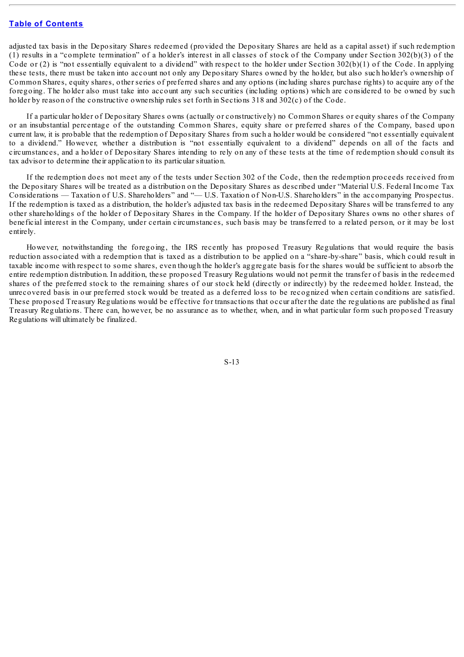adjusted tax basis in the Depositary Shares redeemed (provided the Depositary Shares are held as a capital asset) if such redemption (1) results in a "complete termination" of a holder's interest in all classes of stock of the Company under Section 302(b)(3) of the Code or  $(2)$  is "not essentially equivalent to a dividend" with respect to the holder under Section 302(b)(1) of the Code. In applying these tests, there must be taken into account not only any Depositary Shares owned by the holder, but also such holder's ownership of Common Shares, equity shares, other series of preferred shares and any options (including shares purchase rights) to acquire any of the foregoing. The holder also must take into account any such securities (including options) which are considered to be owned by such holder by reason of the constructive ownership rules set forth in Sections 318 and 302(c) of the Code.

If a particular holder of Depositary Shares owns (actually or constructively) no Common Shares or equity shares of the Company or an insubstantial percentage of the outstanding Common Shares, equity share or preferred shares of the Company, based upon current law, it is probable that the redemption of Depositary Shares from such a holder would be considered "not essentially equivalent to a dividend." However, whether a distribution is "not essentially equivalent to a dividend" depends on all of the facts and circumstances, and a holder of Depositary Shares intending to rely on any of these tests at the time of redemption should consult its tax advisor to determine their application to its particular situation.

If the redemption does not meet any of the tests under Section 302 of the Code, then the redemption proceeds received from the Depositary Shares will be treated as a distribution on the Depositary Shares as described under "Material U.S. Federal Income Tax Considerations — Taxation of U.S. Shareholders" and "— U.S. Taxation of Non-U.S. Shareholders" in the accompanying Prospectus. If the redemption is taxed as a distribution, the holder's adjusted tax basis in the redeemed Depositary Shares will be transferred to any other shareholdings of the holder of Depositary Shares in the Company. If the holder of Depositary Shares owns no other shares of beneficial interest in the Company, under certain circumstances, such basis may be transferred to a related person, or it may be lost entirely.

However, notwithstanding the foregoing, the IRS recently has proposed Treasury Regulations that would require the basis reduction associated with a redemption that is taxed as a distribution to be applied on a "share-by-share" basis, which could result in taxable income with respect to some shares, even though the holder's aggregate basis for the shares would be sufficient to absorb the entire redemption distribution. In addition, these proposed Treasury Regulations would not permit the transfer of basis in the redeemed shares of the preferred stock to the remaining shares of our stock held (directly or indirectly) by the redeemed holder. Instead, the unrecovered basis in our preferred stock would be treated as a deferred loss to be recognized when certain conditions are satisfied. These proposed Treasury Regulations would be effective for transactions that occur after the date the regulations are published as final Treasury Regulations. There can, however, be no assurance as to whether, when, and in what particular form such proposed Treasury Regulations will ultimately be finalized.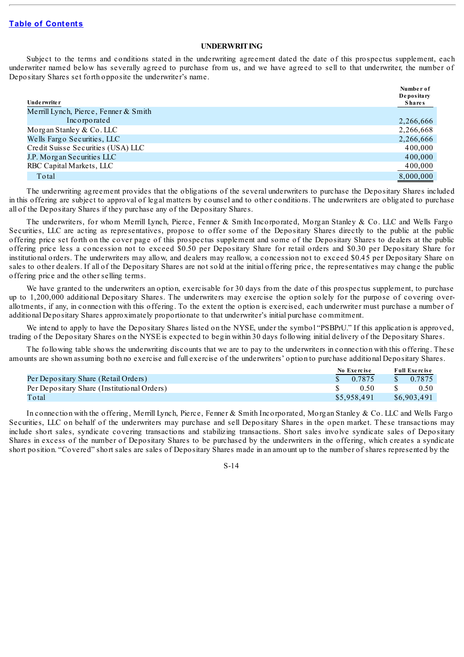#### **UNDERWRITING**

<span id="page-19-0"></span>Subject to the terms and conditions stated in the underwriting agreement dated the date of this prospectus supplement, each underwriter named below has severally agreed to purchase from us, and we have agreed to sell to that underwriter, the number of Depositary Shares set forth opposite the underwriter's name.

| Unde rwrite r                         | Number of<br>Depositary<br><b>Shares</b> |
|---------------------------------------|------------------------------------------|
| Merrill Lynch, Pierce, Fenner & Smith |                                          |
| Incorporated                          | 2,266,666                                |
| Morgan Stanley & Co. LLC              | 2,266,668                                |
| Wells Fargo Securities, LLC           | 2,266,666                                |
| Credit Suisse Securities (USA) LLC    | 400,000                                  |
| J.P. Morgan Securities LLC            | 400,000                                  |
| RBC Capital Markets, LLC              | 400,000                                  |
| Total                                 | 8,000,000                                |

The underwriting agreement provides that the obligations of the several underwriters to purchase the Depositary Shares included in this offering are subject to approval of legal matters by counsel and to other conditions. The underwriters are obligated to purchase all of the Depositary Shares if they purchase any of the Depositary Shares.

The underwriters, for whom Merrill Lynch, Pierce, Fenner & Smith Incorporated, Morgan Stanley & Co. LLC and Wells Fargo Securities, LLC are acting as representatives, propose to offer some of the Depositary Shares directly to the public at the public offering price set forth on the cover page of this prospectus supplement and some of the Depositary Shares to dealers at the public offering price less a concession not to exceed \$0.50 per Depositary Share for retail orders and \$0.30 per Depositary Share for institutional orders. The underwriters may allow, and dealers may reallow, a concession not to exceed \$0.45 per Depositary Share on sales to other dealers. If all of the Depositary Shares are not sold at the initial offering price, the representatives may change the public offering price and the other selling terms.

We have granted to the underwriters an option, exercisable for 30 days from the date of this prospectus supplement, to purchase up to 1,200,000 additional Depositary Shares. The underwriters may exercise the option solely for the purpose of covering overallotments, if any, in connection with this offering. To the extent the option is exercised, each underwriter must purchase a number of additional Depositary Shares approximately proportionate to that underwriter's initial purchase commitment.

We intend to apply to have the Depositary Shares listed on the NYSE, under the symbol "PSBPrU." If this application is approved, trading of the Depositary Shares on the NYSE is expected to begin within 30 days following initial delivery of the Depositary Shares.

The following table shows the underwriting discounts that we are to pay to the underwriters in connection with this offering. These amounts are shown assuming both no exercise and full exercise of the underwriters' option to purchase additional Depositary Shares.

|                                             | No Exercise |  | <b>Full Exercise</b> |  |
|---------------------------------------------|-------------|--|----------------------|--|
| Per Depositary Share (Retail Orders)        | 0.7875      |  | \$0.7875             |  |
| Per Depositary Share (Institutional Orders) | 0.50        |  | 0.50                 |  |
| Total                                       | \$5,958,491 |  | \$6,903,491          |  |

In connection with the offering, Merrill Lynch, Pierce, Fenner & Smith Incorporated, Morgan Stanley & Co. LLC and Wells Fargo Securities, LLC on behalf of the underwriters may purchase and sell Depositary Shares in the open market. These transactions may include short sales, syndicate covering transactions and stabilizing transactions. Short sales involve syndicate sales of Depositary Shares in excess of the number of Depositary Shares to be purchased by the underwriters in the offering, which creates a syndicate short position. "Covered" short sales are sales of Depositary Shares made in an amount up to the number of shares represented by the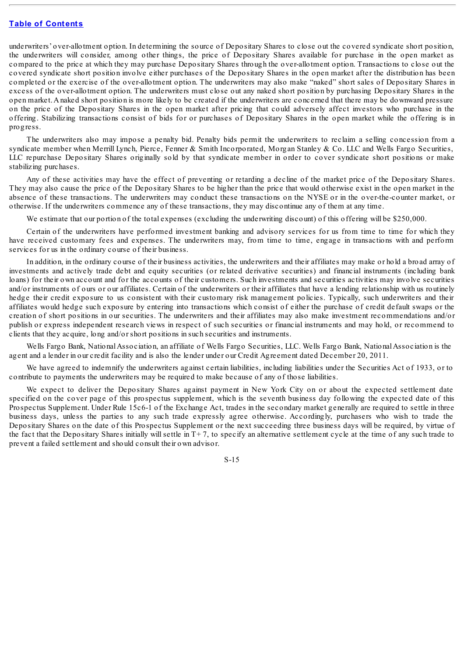underwriters' over-allotment option. In determining the source of Depositary Shares to close out the covered syndicate short position, the underwriters will consider, among other things, the price of Depositary Shares available for purchase in the open market as compared to the price at which they may purchase Depositary Shares through the over-allotment option. Transactions to close out the covered syndicate short position involve either purchases of the Depositary Shares in the open market after the distribution has been completed or the exercise of the over-allotment option. The underwriters may also make "naked" short sales of Depositary Shares in excess of the over-allotment option. The underwriters must close out any naked short position by purchasing Depositary Shares in the open market.Anaked short position is more likely to be created if the underwriters are concerned that there may be downward pressure on the price of the Depositary Shares in the open market after pricing that could adversely affect investors who purchase in the offering. Stabilizing transactions consist of bids for or purchases of Depositary Shares in the open market while the offering is in progress.

The underwriters also may impose a penalty bid. Penalty bids permit the underwriters to reclaim a selling concession from a syndicate member when Merrill Lynch, Pierce, Fenner & Smith Incorporated, Morgan Stanley & Co. LLC and Wells Fargo Securities, LLC repurchase Depositary Shares originally sold by that syndicate member in order to cover syndicate short positions or make stabilizing purchases.

Any of these activities may have the effect of preventing or retarding a decline of the market price of the Depositary Shares. They may also cause the price of the Depositary Shares to be higher than the price that would otherwise exist in the open market in the absence of these transactions. The underwriters may conduct these transactions on the NYSE or in the over-the-counter market, or otherwise. If the underwriters commence any of these transactions, they may discontinue any of them at any time.

We estimate that our portion of the total expenses (excluding the underwriting discount) of this offering will be \$250,000.

Certain of the underwriters have performed investment banking and advisory services for us from time to time for which they have received customary fees and expenses. The underwriters may, from time to time, engage in transactions with and perform services for us in the ordinary course of their business.

In addition, in the ordinary course of their business activities, the underwriters and their affiliates may make or hold a broad array of investments and actively trade debt and equity securities (or related derivative securities) and financial instruments (including bank loans) for their own account and for the accounts of their customers. Such investments and securities activities may involve securities and/or instruments of ours or our affiliates. Certain of the underwriters or their affiliates that have a lending relationship with us routinely hedge their credit exposure to us consistent with their customary risk management policies. Typically, such underwriters and their affiliates would hedge such exposure by entering into transactions which consist of either the purchase of credit default swaps or the creation of short positions in our securities. The underwriters and their affiliates may also make investment recommendations and/or publish or express independent research views in respect of such securities or financial instruments and may hold, or recommend to clients that they acquire, long and/or short positions in such securities and instruments.

Wells Fargo Bank, National Association, an affiliate of Wells Fargo Securities, LLC. Wells Fargo Bank, National Association is the agent and a lender in our credit facility and is also the lender under our Credit Agreement dated December 20, 2011.

We have agreed to indemnify the underwriters against certain liabilities, including liabilities under the Securities Act of 1933, or to contribute to payments the underwriters may be required to make because of any of those liabilities.

We expect to deliver the Depositary Shares against payment in New York City on or about the expected settlement date specified on the cover page of this prospectus supplement, which is the seventh business day following the expected date of this Prospectus Supplement. Under Rule 15c6-1 of the Exchange Act, trades in the secondary market generally are required to settle in three business days, unless the parties to any such trade expressly agree otherwise. Accordingly, purchasers who wish to trade the Depositary Shares on the date of this Prospectus Supplement or the next succeeding three business days will be required, by virtue of the fact that the Depositary Shares initially will settle in  $T+7$ , to specify an alternative settlement cycle at the time of any such trade to prevent a failed settlement and should consult their own advisor.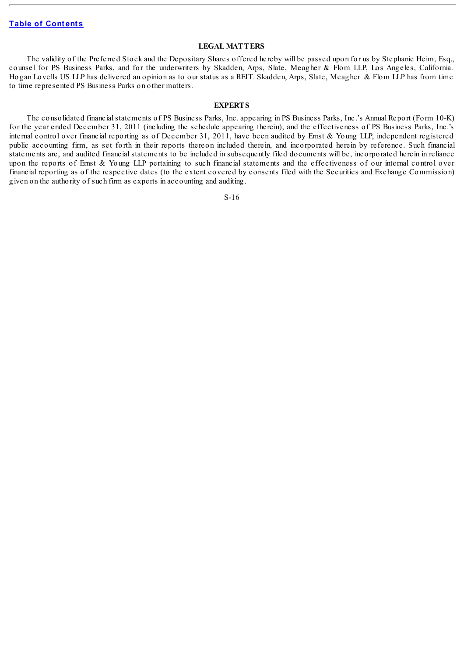### **LEGAL MATTERS**

<span id="page-21-0"></span>The validity of the Preferred Stock and the Depositary Shares offered hereby will be passed upon for us by Stephanie Heim, Esq., counsel for PS Business Parks, and for the underwriters by Skadden, Arps, Slate, Meagher & Flom LLP, Los Angeles, California. Hogan Lovells US LLP has delivered an opinion as to our status as a REIT. Skadden, Arps, Slate, Meagher & Flom LLP has from time to time represented PS Business Parks on other matters.

#### **EXPERTS**

<span id="page-21-1"></span>The consolidated financial statements of PS Business Parks, Inc. appearing in PS Business Parks, Inc.'s Annual Report (Form 10-K) for the year ended December 31, 2011 (including the schedule appearing therein), and the effectiveness of PS Business Parks, Inc.'s internal control over financial reporting as of December 31, 2011, have been audited by Ernst & Young LLP, independent registered public accounting firm, as set forth in their reports thereon included therein, and incorporated herein by reference. Such financial statements are, and audited financial statements to be included in subsequently filed documents will be, incorporated herein in reliance upon the reports of Ernst & Young LLP pertaining to such financial statements and the effectiveness of our internal control over financial reporting as of the respective dates (to the extent covered by consents filed with the Securities and Exchange Commission) given on the authority of such firm as experts in accounting and auditing.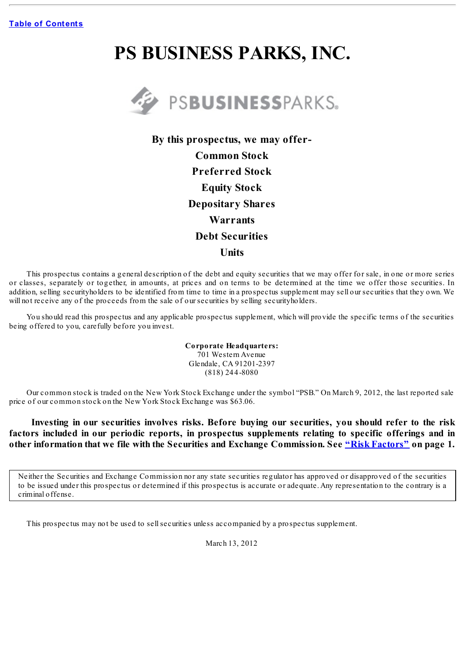# **PS BUSINESS PARKS, INC.**



**By this prospectus, we may offer-Common Stock Preferred Stock Equity Stock Depositary Shares Warrants Debt Securities Units**

This prospectus contains a general description of the debt and equity securities that we may offer for sale, in one or more series or classes, separately or together, in amounts, at prices and on terms to be determined at the time we offer those securities. In addition, selling securityholders to be identified from time to time in a prospectus supplement may sell our securities that they own. We will not receive any of the proceeds from the sale of our securities by selling securityholders.

You should read this prospectus and any applicable prospectus supplement, which will provide the specific terms of the securities being offered to you, carefully before you invest.

> **Corporate Headquarters:** 701 Western Avenue Glendale, CA 91201-2397 (818) 244-8080

Our common stock is traded on the New York Stock Exchange under the symbol "PSB." On March 9, 2012, the last reported sale price of our common stock on the New York Stock Exchange was \$63.06.

**Investing in our securities involves risks. Before buying our securities, you should refer to the risk factors included in our periodic reports, in prospectus supplements relating to specific offerings and in other information that we file with the Securities and Exchange Commission. See "Risk [Factors"](#page-24-1) on page 1.**

Neither the Securities and Exchange Commission nor any state securities regulator has approved or disapproved of the securities to be issued under this prospectus or determined if this prospectus is accurate or adequate. Any representation to the contrary is a criminal offense.

This prospectus may not be used to sellsecurities unless accompanied by a prospectus supplement.

March 13, 2012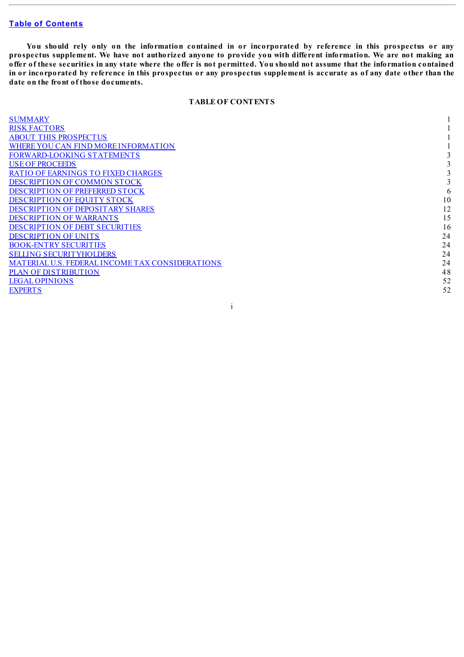You should rely only on the information contained in or incorporated by reference in this prospectus or any prospectus supplement. We have not authorized anyone to provide you with different information. We are not making an offer of these securities in any state where the offer is not permitted. You should not assume that the information contained in or incorporated by reference in this prospectus or any prospectus supplement is accurate as of any date other than the **date on the front of those documents.**

# **TABLE OF CONTENTS**

| <b>SUMMARY</b>                                  |    |
|-------------------------------------------------|----|
| <b>RISK FACTORS</b>                             |    |
| <b>ABOUT THIS PROSPECTUS</b>                    |    |
| WHERE YOU CAN FIND MORE INFORMATION             |    |
| <b>FORWARD-LOOKING STATEMENTS</b>               |    |
| <b>USE OF PROCEEDS</b>                          |    |
| <b>RATIO OF EARNINGS TO FIXED CHARGES</b>       |    |
| <b>DESCRIPTION OF COMMON STOCK</b>              |    |
| <b>DESCRIPTION OF PREFERRED STOCK</b>           | 6  |
| DESCRIPTION OF EQUITY STOCK                     | 10 |
| <b>DESCRIPTION OF DEPOSITARY SHARES</b>         | 12 |
| <b>DESCRIPTION OF WARRANTS</b>                  | 15 |
| <b>DESCRIPTION OF DEBT SECURITIES</b>           | 16 |
| <b>DESCRIPTION OF UNITS</b>                     | 24 |
| <b>BOOK-ENTRY SECURITIES</b>                    | 24 |
| <b>SELLING SECURITYHOLDERS</b>                  | 24 |
| MATERIAL U.S. FEDERAL INCOME TAX CONSIDERATIONS | 24 |
| <b>PLAN OF DISTRIBUTION</b>                     | 48 |
| <b>LEGAL OPINIONS</b>                           | 52 |
| <b>EXPERTS</b>                                  | 52 |
|                                                 |    |

i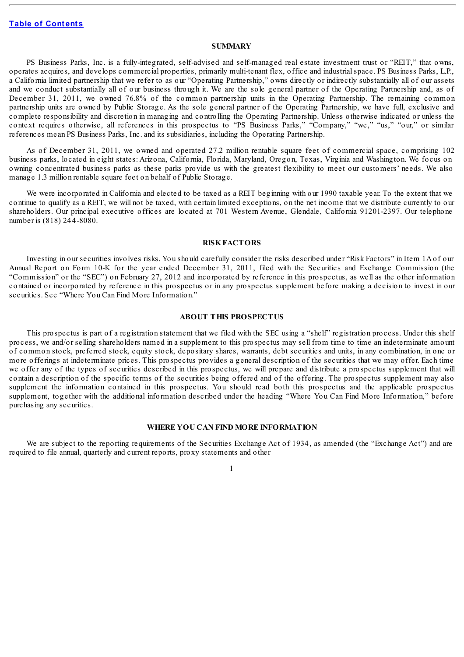#### **SUMMARY**

<span id="page-24-3"></span>PS Business Parks, Inc. is a fully-integrated, self-advised and self-managed real estate investment trust or "REIT," that owns, operates acquires, and develops commercial properties, primarily multi-tenant flex, office and industrial space. PS Business Parks, L.P., a California limited partnership that we refer to as our "Operating Partnership," owns directly or indirectly substantially all of our assets and we conduct substantially all of our business through it. We are the sole general partner of the Operating Partnership and, as of December 31, 2011, we owned 76.8% of the common partnership units in the Operating Partnership. The remaining common partnership units are owned by Public Storage. As the sole general partner of the Operating Partnership, we have full, exclusive and complete responsibility and discretion in managing and controlling the Operating Partnership. Unless otherwise indicated or unless the context requires otherwise, all references in this prospectus to "PS Business Parks," "Company," "we," "us," "our," or similar references mean PS Business Parks, Inc. and its subsidiaries, including the Operating Partnership.

As of December 31, 2011, we owned and operated 27.2 million rentable square feet of commercial space, comprising 102 business parks, located in eight states: Arizona, California, Florida, Maryland, Oregon, Texas, Virginia and Washington. We focus on owning concentrated business parks as these parks provide us with the greatest flexibility to meet our customers' needs. We also manage 1.3 million rentable square feet on behalf of Public Storage.

We were incorporated in California and elected to be taxed as a REIT beginning with our 1990 taxable year. To the extent that we continue to qualify as a REIT, we will not be taxed, with certain limited exceptions, on the net income that we distribute currently to our shareholders. Our principal executive offices are located at 701 Western Avenue, Glendale, California 91201-2397. Our telephone number is (818) 244-8080.

#### **RISKFACTORS**

<span id="page-24-0"></span>Investing in our securities involves risks. You should carefully consider the risks described under "Risk Factors" in Item 1A of our Annual Report on Form 10-K for the year ended December 31, 2011, filed with the Securities and Exchange Commission (the "Commission" or the "SEC") on February 27, 2012 and incorporated by reference in this prospectus, as well as the other information contained or incorporated by reference in this prospectus or in any prospectus supplement before making a decision to invest in our securities. See "Where You Can Find More Information."

#### **ABOUT THIS PROSPECTUS**

<span id="page-24-1"></span>This prospectus is part of a registration statement that we filed with the SEC using a "shelf" registration process. Under this shelf process, we and/or selling shareholders named in a supplement to this prospectus may sell from time to time an indeterminate amount of common stock, preferred stock, equity stock, depositary shares, warrants, debt securities and units, in any combination, in one or more offerings at indeterminate prices. This prospectus provides a general description of the securities that we may offer. Each time we offer any of the types of securities described in this prospectus, we will prepare and distribute a prospectus supplement that will contain a description of the specific terms of the securities being offered and of the offering. The prospectus supplement may also supplement the information contained in this prospectus. You should read both this prospectus and the applicable prospectus supplement, together with the additional information described under the heading "Where You Can Find More Information," before purchasing any securities.

#### **WHERE YOU CAN FIND MORE INFORMATION**

<span id="page-24-2"></span>We are subject to the reporting requirements of the Securities Exchange Act of 1934, as amended (the "Exchange Act") and are required to file annual, quarterly and current reports, proxy statements and other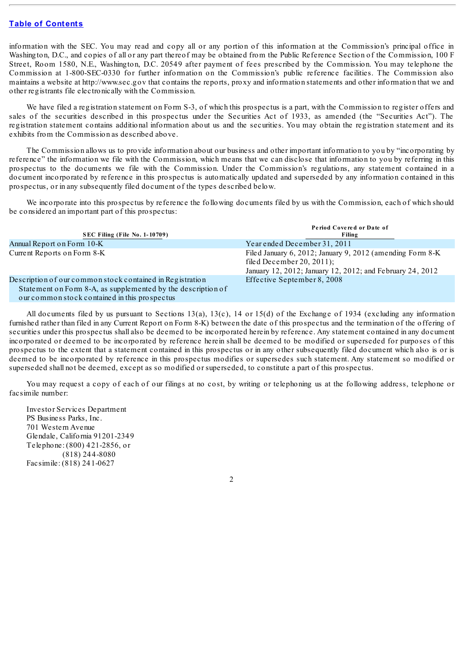information with the SEC. You may read and copy all or any portion of this information at the Commission's principal office in Washington, D.C., and copies of all or any part thereof may be obtained from the Public Reference Section of the Commission, 100 F Street, Room 1580, N.E., Washington, D.C. 20549 after payment of fees prescribed by the Commission. You may telephone the Commission at 1-800-SEC-0330 for further information on the Commission's public reference facilities. The Commission also maintains a website at http://www.sec.gov that contains the reports, proxy and information statements and other information that we and other registrants file electronically with the Commission.

We have filed a registration statement on Form S-3, of which this prospectus is a part, with the Commission to register offers and sales of the securities described in this prospectus under the Securities Act of 1933, as amended (the "Securities Act"). The registration statement contains additional information about us and the securities. You may obtain the registration statement and its exhibits from the Commission as described above.

The Commission allows us to provide information about our business and other important information to you by "incorporating by reference" the information we file with the Commission, which means that we can disclose that information to you by referring in this prospectus to the documents we file with the Commission. Under the Commission's regulations, any statement contained in a document incorporated by reference in this prospectus is automatically updated and superseded by any information contained in this prospectus, or in any subsequently filed document of the types described below.

We incorporate into this prospectus by reference the following documents filed by us with the Commission, each of which should be considered an important part of this prospectus:

| <b>SEC Filing (File No. 1-10709)</b>                                                                                                                                       | Period Covered or Date of<br>Filing                                                                                                                  |
|----------------------------------------------------------------------------------------------------------------------------------------------------------------------------|------------------------------------------------------------------------------------------------------------------------------------------------------|
| Annual Report on Form 10-K                                                                                                                                                 | Year ended December 31, 2011                                                                                                                         |
| Current Reports on Form 8-K                                                                                                                                                | Filed January 6, 2012; January 9, 2012 (amending Form 8-K)<br>filed December 20, 2011);<br>January 12, 2012; January 12, 2012; and February 24, 2012 |
| Description of our common stock contained in Registration<br>Statement on Form 8-A, as supplemented by the description of<br>our common stock contained in this prospectus | Effective September 8, 2008                                                                                                                          |

ommon stock contained in this prospectus

All documents filed by us pursuant to Sections 13(a), 13(c), 14 or 15(d) of the Exchange of 1934 (excluding any information furnished rather than filed in any Current Report on Form 8-K) between the date of this prospectus and the termination of the offering of securities under this prospectus shall also be deemed to be incorporated herein by reference. Any statement contained in any document incorporated or deemed to be incorporated by reference herein shall be deemed to be modified or superseded for purposes of this prospectus to the extent that a statement contained in this prospectus or in any other subsequently filed document which also is or is deemed to be incorporated by reference in this prospectus modifies or supersedes such statement. Any statement so modified or superseded shall not be deemed, except as so modified or superseded, to constitute a part of this prospectus.

You may request a copy of each of our filings at no cost, by writing or telephoning us at the following address, telephone or facsimile number:

Investor Services Department PS Business Parks, Inc. 701 Western Avenue Glendale, California 91201-2349 Telephone: (800) 421-2856, or (818) 244-8080 Facsimile: (818) 241-0627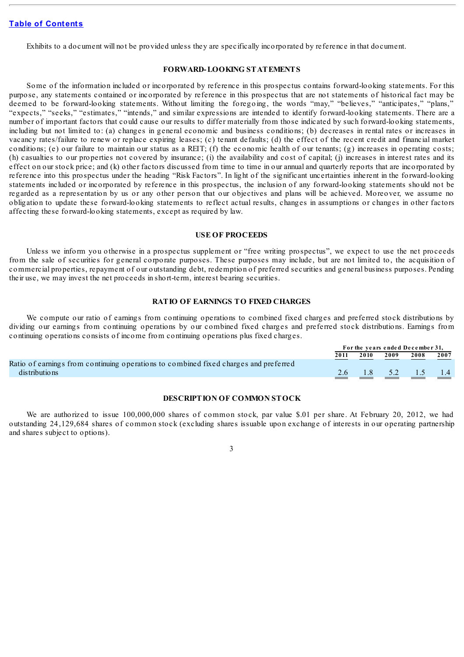Exhibits to a document will not be provided unless they are specifically incorporated by reference in that document.

#### **FORWARD-LOOKING STATEMENTS**

<span id="page-26-0"></span>Some of the information included or incorporated by reference in this prospectus contains forward-looking statements. For this purpose, any statements contained or incorporated by reference in this prospectus that are not statements of historical fact may be deemed to be forward-looking statements. Without limiting the foregoing, the words "may," "believes," "anticipates," "plans," "expects," "seeks," "estimates," "intends," and similar expressions are intended to identify forward-looking statements. There are a number of important factors that could cause our results to differ materially from those indicated by such forward-looking statements, including but not limited to: (a) changes in general economic and business conditions; (b) decreases in rental rates or increases in vacancy rates/failure to renew or replace expiring leases; (c) tenant defaults; (d) the effect of the recent credit and financial market conditions; (e) our failure to maintain our status as a REIT; (f) the economic health of our tenants; (g) increases in operating costs; (h) casualties to our properties not covered by insurance; (i) the availability and cost of capital; (j) increases in interest rates and its effect on our stock price; and (k) other factors discussed from time to time in our annual and quarterly reports that are incorporated by reference into this prospectus under the heading "Risk Factors". In light of the significant uncertainties inherent in the forward-looking statements included or incorporated by reference in this prospectus, the inclusion of any forward-looking statements should not be regarded as a representation by us or any other person that our objectives and plans will be achieved. Moreover, we assume no obligation to update these forward-looking statements to reflect actual results, changes in assumptions or changes in other factors affecting these forward-looking statements, except as required by law.

#### **USE OF PROCEEDS**

<span id="page-26-1"></span>Unless we inform you otherwise in a prospectus supplement or "free writing prospectus", we expect to use the net proceeds from the sale of securities for general corporate purposes. These purposes may include, but are not limited to, the acquisition of commercial properties, repayment of our outstanding debt, redemption of preferred securities and general business purposes. Pending their use, we may invest the net proceeds in short-term, interest bearing securities.

#### **RATIO OF EARNINGS TO FIXED CHARGES**

<span id="page-26-2"></span>We compute our ratio of earnings from continuing operations to combined fixed charges and preferred stock distributions by dividing our earnings from continuing operations by our combined fixed charges and preferred stock distributions. Earnings from continuing operations consists of income from continuing operations plus fixed charges.

|                                                                                      | For the years ended December 31, |      |      |                                                             |      |
|--------------------------------------------------------------------------------------|----------------------------------|------|------|-------------------------------------------------------------|------|
|                                                                                      | 2011                             | 2010 | 2009 | 2008                                                        | 2007 |
| Ratio of earnings from continuing operations to combined fixed charges and preferred |                                  |      |      |                                                             |      |
| distributions                                                                        |                                  |      |      | $\begin{bmatrix} 2.6 & 1.8 & 5.2 & 1.5 & 1.4 \end{bmatrix}$ |      |
|                                                                                      |                                  |      |      |                                                             |      |

#### **DESCRIPTION OF COMMON STOCK**

<span id="page-26-3"></span>We are authorized to issue 100,000,000 shares of common stock, par value \$.01 per share. At February 20, 2012, we had outstanding 24,129,684 shares of common stock (excluding shares issuable upon exchange of interests in our operating partnership and shares subject to options).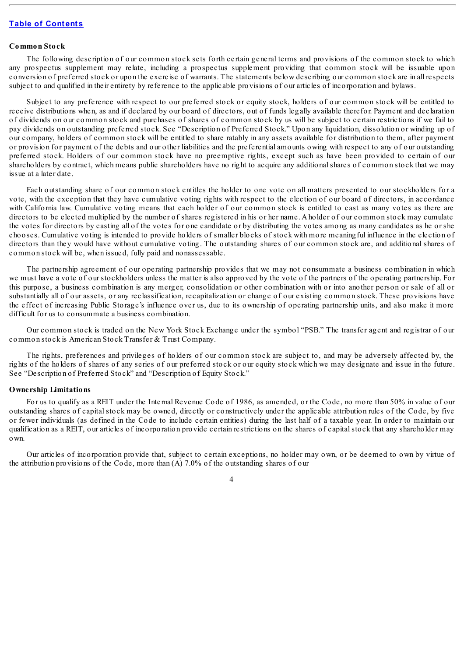## **Common Stock**

The following description of our common stock sets forth certain general terms and provisions of the common stock to which any prospectus supplement may relate, including a prospectus supplement providing that common stock will be issuable upon conversion of preferred stock or upon the exercise of warrants. The statements below describing our common stock are in all respects subject to and qualified in their entirety by reference to the applicable provisions of our articles of incorporation and bylaws.

Subject to any preference with respect to our preferred stock or equity stock, holders of our common stock will be entitled to receive distributions when, as and if declared by our board of directors, out of funds legally available therefor. Payment and declaration of dividends on our common stock and purchases of shares of common stock by us will be subject to certain restrictions if we fail to pay dividends on outstanding preferred stock. See "Description of Preferred Stock." Upon any liquidation, dissolution or winding up of our company, holders of common stock will be entitled to share ratably in any assets available for distribution to them, after payment or provision for payment of the debts and our other liabilities and the preferential amounts owing with respect to any of our outstanding preferred stock. Holders of our common stock have no preemptive rights, except such as have been provided to certain of our shareholders by contract, which means public shareholders have no right to acquire any additionalshares of common stock that we may issue at a later date.

Each outstanding share of our common stock entitles the holder to one vote on all matters presented to our stockholders for a vote, with the exception that they have cumulative voting rights with respect to the election of our board of directors, in accordance with California law. Cumulative voting means that each holder of our common stock is entitled to cast as many votes as there are directors to be elected multiplied by the number of shares registered in his or her name. A holder of our common stock may cumulate the votes for directors by casting all of the votes for one candidate or by distributing the votes among as many candidates as he or she chooses. Cumulative voting is intended to provide holders of smaller blocks of stock with more meaningful influence in the election of directors than they would have without cumulative voting. The outstanding shares of our common stock are, and additional shares of common stock will be, when issued, fully paid and nonassessable.

The partnership agreement of our operating partnership provides that we may not consummate a business combination in which we must have a vote of our stockholders unless the matter is also approved by the vote of the partners of the operating partnership. For this purpose, a business combination is any merger, consolidation or other combination with or into another person or sale of all or substantially all of our assets, or any reclassification, recapitalization or change of our existing common stock. These provisions have the effect of increasing Public Storage's influence over us, due to its ownership of operating partnership units, and also make it more difficult for us to consummate a business combination.

Our common stock is traded on the New York Stock Exchange under the symbol "PSB." The transfer agent and registrar of our common stock is American Stock Transfer & Trust Company.

The rights, preferences and privileges of holders of our common stock are subject to, and may be adversely affected by, the rights of the holders of shares of any series of our preferred stock or our equity stock which we may designate and issue in the future. See "Description of Preferred Stock" and "Description of Equity Stock."

#### **Ownership Limitations**

For us to qualify as a REIT under the Internal Revenue Code of 1986, as amended, or the Code, no more than 50% in value of our outstanding shares of capital stock may be owned, directly or constructively under the applicable attribution rules of the Code, by five or fewer individuals (as defined in the Code to include certain entities) during the last half of a taxable year. In order to maintain our qualification as a REIT, our articles of incorporation provide certain restrictions on the shares of capital stock that any shareholder may own.

Our articles of incorporation provide that, subject to certain exceptions, no holder may own, or be deemed to own by virtue of the attribution provisions of the Code, more than (A) 7.0% of the outstanding shares of our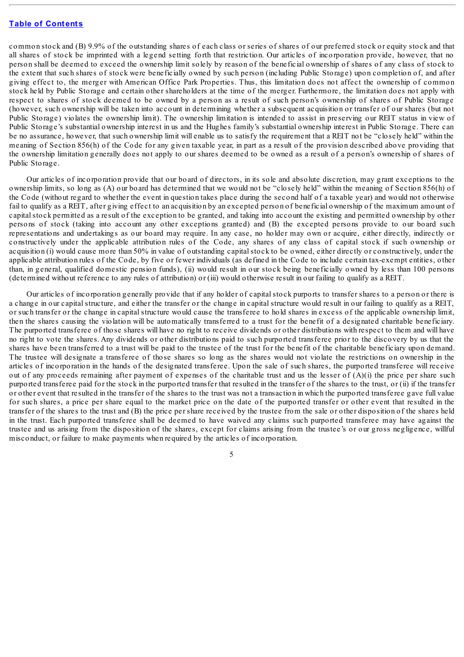common stock and (B) 9.9% of the outstanding shares of each class or series of shares of our preferred stock or equity stock and that all shares of stock be imprinted with a legend setting forth that restriction. Our articles of incorporation provide, however, that no person shall be deemed to exceed the ownership limit solely by reason of the beneficial ownership of shares of any class of stock to the extent that such shares of stock were beneficially owned by such person (including Public Storage) upon completion of, and after giving effect to, the merger with American Office Park Properties. Thus, this limitation does not affect the ownership of common stock held by Public Storage and certain other shareholders at the time of the merger. Furthermore, the limitation does not apply with respect to shares of stock deemed to be owned by a person as a result of such person's ownership of shares of Public Storage (however, such ownership will be taken into account in determining whether a subsequent acquisition or transfer of our shares (but not Public Storage) violates the ownership limit). The ownership limitation is intended to assist in preserving our REIT status in view of Public Storage's substantial ownership interest in us and the Hughes family's substantial ownership interest in Public Storage. There can be no assurance, however, that such ownership limit will enable us to satisfy the requirement that a REIT not be "closely held" within the meaning of Section 856(h) of the Code for any given taxable year, in part as a result of the provision described above providing that the ownership limitation generally does not apply to our shares deemed to be owned as a result of a person's ownership of shares of Public Storage.

Our articles of incorporation provide that our board of directors, in its sole and absolute discretion, may grant exceptions to the ownership limits, so long as (A) our board has determined that we would not be "closely held" within the meaning of Section 856(h) of the Code (without regard to whether the event in question takes place during the second half of a taxable year) and would not otherwise fail to qualify as a REIT, after giving effect to an acquisition by an excepted person of beneficial ownership of the maximum amount of capitalstock permitted as a result of the exception to be granted, and taking into account the existing and permitted ownership by other persons of stock (taking into account any other exceptions granted) and (B) the excepted persons provide to our board such representations and undertakings as our board may require. In any case, no holder may own or acquire, either directly, indirectly or constructively under the applicable attribution rules of the Code, any shares of any class of capital stock if such ownership or acquisition (i) would cause more than 50% in value of outstanding capitalstock to be owned, either directly or constructively, under the applicable attribution rules of the Code, by five or fewer individuals (as defined in the Code to include certain tax-exempt entities, other than, in general, qualified domestic pension funds), (ii) would result in our stock being beneficially owned by less than 100 persons (determined without reference to any rules of attribution) or (iii) would otherwise result in our failing to qualify as a REIT.

Our articles of incorporation generally provide that if any holder of capital stock purports to transfer shares to a person or there is a change in our capital structure, and either the transfer or the change in capital structure would result in our failing to qualify as a REIT, or such transfer or the change in capital structure would cause the transferee to hold shares in excess of the applicable ownership limit, then the shares causing the violation will be automatically transferred to a trust for the benefit of a designated charitable beneficiary. The purported transferee of those shares will have no right to receive dividends or other distributions with respect to them and will have no right to vote the shares. Any dividends or other distributions paid to such purported transferee prior to the discovery by us that the shares have been transferred to a trust will be paid to the trustee of the trust for the benefit of the charitable beneficiary upon demand. The trustee will designate a transferee of those shares so long as the shares would not violate the restrictions on ownership in the articles of incorporation in the hands of the designated transferee. Upon the sale of such shares, the purported transferee will receive out of any proceeds remaining after payment of expenses of the charitable trust and us the lesser of (A)(i) the price per share such purported transferee paid for the stock in the purported transfer that resulted in the transfer of the shares to the trust, or (ii) if the transfer or other event that resulted in the transfer of the shares to the trust was not a transaction in which the purported transferee gave full value for such shares, a price per share equal to the market price on the date of the purported transfer or other event that resulted in the transfer of the shares to the trust and (B) the price per share received by the trustee from the sale or other disposition of the shares held in the trust. Each purported transferee shall be deemed to have waived any claims such purported transferee may have against the trustee and us arising from the disposition of the shares, except for claims arising from the trustee's or our gross negligence, willful misconduct, or failure to make payments when required by the articles of incorporation.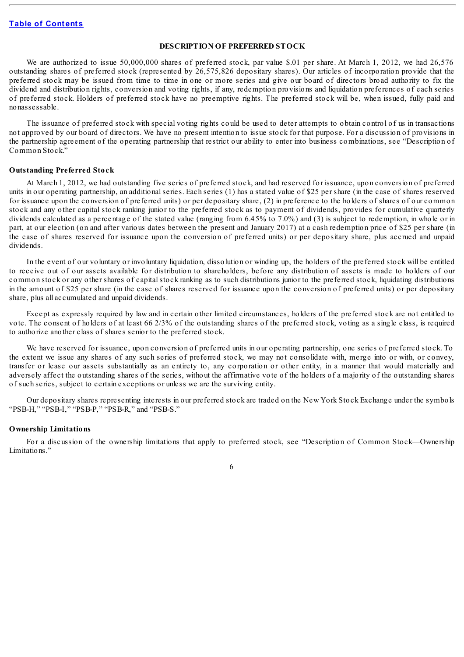#### **DESCRIPTION OF PREFERRED STOCK**

<span id="page-29-0"></span>We are authorized to issue 50,000,000 shares of preferred stock, par value \$.01 per share. At March 1, 2012, we had 26,576 outstanding shares of preferred stock (represented by 26,575,826 depositary shares). Our articles of incorporation provide that the preferred stock may be issued from time to time in one or more series and give our board of directors broad authority to fix the dividend and distribution rights, conversion and voting rights, if any, redemption provisions and liquidation preferences of each series of preferred stock. Holders of preferred stock have no preemptive rights. The preferred stock will be, when issued, fully paid and nonassessable.

The issuance of preferred stock with special voting rights could be used to deter attempts to obtain control of us in transactions not approved by our board of directors. We have no present intention to issue stock for that purpose. For a discussion of provisions in the partnership agreement of the operating partnership that restrict our ability to enter into business combinations, see "Description of Common Stock."

#### **Outstanding Preferred Stock**

At March 1, 2012, we had outstanding five series of preferred stock, and had reserved for issuance, upon conversion of preferred units in our operating partnership, an additional series. Each series (1) has a stated value of \$25 per share (in the case of shares reserved for issuance upon the conversion of preferred units) or per depositary share, (2) in preference to the holders of shares of our common stock and any other capital stock ranking junior to the preferred stock as to payment of dividends, provides for cumulative quarterly dividends calculated as a percentage of the stated value (ranging from 6.45% to 7.0%) and (3) is subject to redemption, in whole or in part, at our election (on and after various dates between the present and January 2017) at a cash redemption price of \$25 per share (in the case of shares reserved for issuance upon the conversion of preferred units) or per depositary share, plus accrued and unpaid dividends.

In the event of our voluntary or involuntary liquidation, dissolution or winding up, the holders of the preferred stock will be entitled to receive out of our assets available for distribution to shareholders, before any distribution of assets is made to holders of our common stock or any other shares of capital stock ranking as to such distributions junior to the preferred stock, liquidating distributions in the amount of \$25 per share (in the case of shares reserved for issuance upon the conversion of preferred units) or per depositary share, plus all accumulated and unpaid dividends.

Except as expressly required by law and in certain other limited circumstances, holders of the preferred stock are not entitled to vote. The consent of holders of at least 66 2/3% of the outstanding shares of the preferred stock, voting as a single class, is required to authorize another class of shares senior to the preferred stock.

We have reserved for issuance, upon conversion of preferred units in our operating partnership, one series of preferred stock. To the extent we issue any shares of any such series of preferred stock, we may not consolidate with, merge into or with, or convey, transfer or lease our assets substantially as an entirety to, any corporation or other entity, in a manner that would materially and adversely affect the outstanding shares of the series, without the affirmative vote of the holders of a majority of the outstanding shares of such series, subject to certain exceptions or unless we are the surviving entity.

Our depositary shares representing interests in our preferred stock are traded on the New York Stock Exchange under the symbols "PSB-H," "PSB-I," "PSB-P," "PSB-R," and "PSB-S."

#### **Ownership Limitations**

For a discussion of the ownership limitations that apply to preferred stock, see "Description of Common Stock—Ownership Limitations."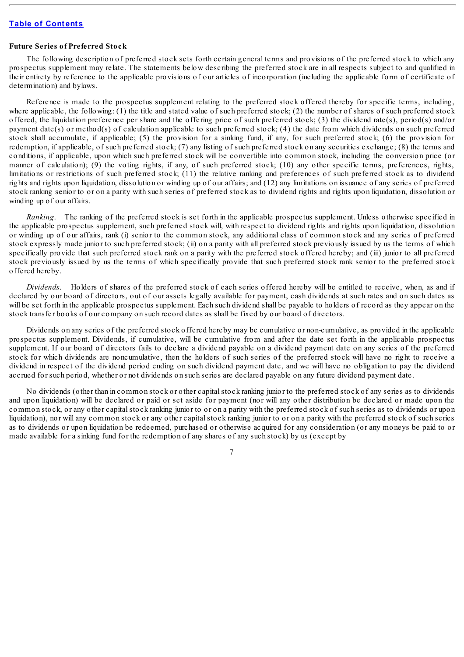#### **Future Series of Preferred Stock**

The following description of preferred stock sets forth certain general terms and provisions of the preferred stock to which any prospectus supplement may relate. The statements below describing the preferred stock are in all respects subject to and qualified in their entirety by reference to the applicable provisions of our articles of incorporation (including the applicable form of certificate of determination) and bylaws.

Reference is made to the prospectus supplement relating to the preferred stock offered thereby for specific terms, including, where applicable, the following: (1) the title and stated value of such preferred stock; (2) the number of shares of such preferred stock offered, the liquidation preference per share and the offering price of such preferred stock; (3) the dividend rate(s), period(s) and/or payment date(s) or method(s) of calculation applicable to such preferred stock; (4) the date from which dividends on such preferred stock shall accumulate, if applicable; (5) the provision for a sinking fund, if any, for such preferred stock; (6) the provision for redemption, if applicable, of such preferred stock; (7) any listing of such preferred stock on any securities exchange; (8) the terms and conditions, if applicable, upon which such preferred stock will be convertible into common stock, including the conversion price (or manner of calculation); (9) the voting rights, if any, of such preferred stock; (10) any other specific terms, preferences, rights, limitations or restrictions of such preferred stock; (11) the relative ranking and preferences of such preferred stock as to dividend rights and rights upon liquidation, dissolution or winding up of our affairs; and (12) any limitations on issuance of any series of preferred stock ranking senior to or on a parity with such series of preferred stock as to dividend rights and rights upon liquidation, dissolution or winding up of our affairs.

*Ranking*. The ranking of the preferred stock is set forth in the applicable prospectus supplement. Unless otherwise specified in the applicable prospectus supplement, such preferred stock will, with respect to dividend rights and rights upon liquidation, dissolution or winding up of our affairs, rank (i) senior to the common stock, any additional class of common stock and any series of preferred stock expressly made junior to such preferred stock; (ii) on a parity with all preferred stock previously issued by us the terms of which specifically provide that such preferred stock rank on a parity with the preferred stock offered hereby; and (iii) junior to all preferred stock previously issued by us the terms of which specifically provide that such preferred stock rank senior to the preferred stock offered hereby.

*Dividends*. Holders of shares of the preferred stock of each series offered hereby will be entitled to receive, when, as and if declared by our board of directors, out of our assets legally available for payment, cash dividends at such rates and on such dates as will be set forth in the applicable prospectus supplement. Each such dividend shall be payable to holders of record as they appear on the stock transfer books of our company on such record dates as shall be fixed by our board of directors.

Dividends on any series of the preferred stock offered hereby may be cumulative or non-cumulative, as provided in the applicable prospectus supplement. Dividends, if cumulative, will be cumulative from and after the date set forth in the applicable prospectus supplement. If our board of directors fails to declare a dividend payable on a dividend payment date on any series of the preferred stock for which dividends are noncumulative, then the holders of such series of the preferred stock will have no right to receive a dividend in respect of the dividend period ending on such dividend payment date, and we will have no obligation to pay the dividend accrued for such period, whether or not dividends on such series are declared payable on any future dividend payment date.

No dividends (other than in common stock or other capital stock ranking junior to the preferred stock of any series as to dividends and upon liquidation) will be declared or paid or set aside for payment (nor will any other distribution be declared or made upon the common stock, or any other capital stock ranking junior to or on a parity with the preferred stock of such series as to dividends or upon liquidation), nor will any common stock or any other capital stock ranking junior to or on a parity with the preferred stock of such series as to dividends or upon liquidation be redeemed, purchased or otherwise acquired for any consideration (or any moneys be paid to or made available for a sinking fund for the redemption of any shares of any such stock) by us (except by

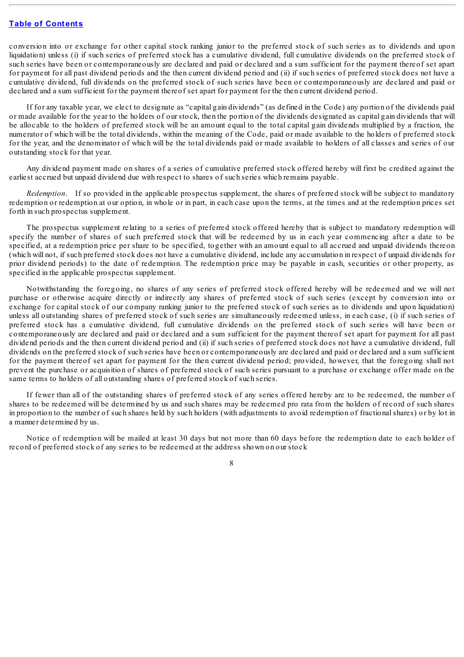conversion into or exchange for other capital stock ranking junior to the preferred stock of such series as to dividends and upon liquidation) unless (i) if such series of preferred stock has a cumulative dividend, full cumulative dividends on the preferred stock of such series have been or contemporaneously are declared and paid or declared and a sum sufficient for the payment thereof set apart for payment for all past dividend periods and the then current dividend period and (ii) if such series of preferred stock does not have a cumulative dividend, full dividends on the preferred stock of such series have been or contemporaneously are declared and paid or declared and a sum sufficient for the payment thereof set apart for payment for the then current dividend period.

If for any taxable year, we elect to designate as "capital gain dividends" (as defined in the Code) any portion of the dividends paid or made available for the year to the holders of our stock, then the portion of the dividends designated as capital gain dividends that will be allocable to the holders of preferred stock will be an amount equal to the total capital gain dividends multiplied by a fraction, the numerator of which will be the total dividends, within the meaning of the Code, paid or made available to the holders of preferred stock for the year, and the denominator of which will be the total dividends paid or made available to holders of all classes and series of our outstanding stock for that year.

Any dividend payment made on shares of a series of cumulative preferred stock offered hereby will first be credited against the earliest accrued but unpaid dividend due with respect to shares of such series which remains payable.

*Redemption*. If so provided in the applicable prospectus supplement, the shares of preferred stock will be subject to mandatory redemption or redemption at our option, in whole or in part, in each case upon the terms, at the times and at the redemption prices set forth in such prospectus supplement.

The prospectus supplement relating to a series of preferred stock offered hereby that is subject to mandatory redemption will specify the number of shares of such preferred stock that will be redeemed by us in each year commencing after a date to be specified, at a redemption price per share to be specified, together with an amount equal to all accrued and unpaid dividends thereon (which will not, if such preferred stock does not have a cumulative dividend, include any accumulation in respect of unpaid dividends for prior dividend periods) to the date of redemption. The redemption price may be payable in cash, securities or other property, as specified in the applicable prospectus supplement.

Notwithstanding the foregoing, no shares of any series of preferred stock offered hereby will be redeemed and we will not purchase or otherwise acquire directly or indirectly any shares of preferred stock of such series (except by conversion into or exchange for capital stock of our company ranking junior to the preferred stock of such series as to dividends and upon liquidation) unless all outstanding shares of preferred stock of such series are simultaneously redeemed unless, in each case, (i) if such series of preferred stock has a cumulative dividend, full cumulative dividends on the preferred stock of such series will have been or contemporaneously are declared and paid or declared and a sum sufficient for the payment thereof set apart for payment for all past dividend periods and the then current dividend period and (ii) if such series of preferred stock does not have a cumulative dividend, full dividends on the preferred stock of such series have been or contemporaneously are declared and paid or declared and a sum sufficient for the payment thereof set apart for payment for the then current dividend period; provided, however, that the foregoing shall not prevent the purchase or acquisition of shares of preferred stock of such series pursuant to a purchase or exchange offer made on the same terms to holders of all outstanding shares of preferred stock of such series.

If fewer than all of the outstanding shares of preferred stock of any series offered hereby are to be redeemed, the number of shares to be redeemed will be determined by us and such shares may be redeemed pro rata from the holders of record of such shares in proportion to the number of such shares held by such holders (with adjustments to avoid redemption of fractional shares) or by lot in a manner determined by us.

Notice of redemption will be mailed at least 30 days but not more than 60 days before the redemption date to each holder of record of preferred stock of any series to be redeemed at the address shown on our stock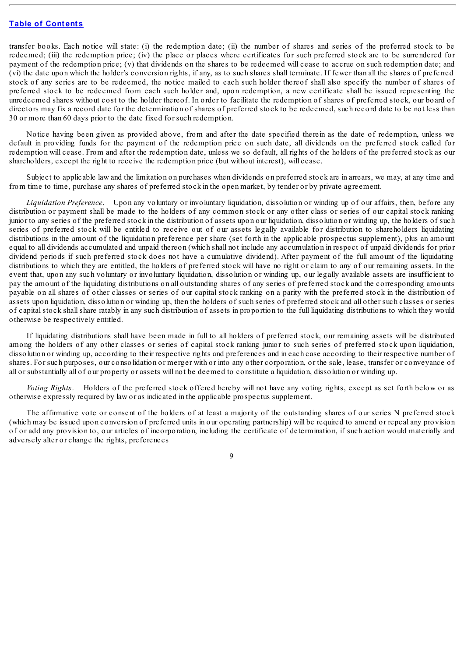transfer books. Each notice will state: (i) the redemption date; (ii) the number of shares and series of the preferred stock to be redeemed; (iii) the redemption price; (iv) the place or places where certificates for such preferred stock are to be surrendered for payment of the redemption price; (v) that dividends on the shares to be redeemed will cease to accrue on such redemption date; and (vi) the date upon which the holder's conversion rights, if any, as to such shares shall terminate. If fewer than all the shares of preferred stock of any series are to be redeemed, the notice mailed to each such holder thereof shall also specify the number of shares of preferred stock to be redeemed from each such holder and, upon redemption, a new certificate shall be issued representing the unredeemed shares without cost to the holder thereof. In order to facilitate the redemption of shares of preferred stock, our board of directors may fix a record date for the determination of shares of preferred stock to be redeemed, such record date to be not less than 30 or more than 60 days prior to the date fixed for such redemption.

Notice having been given as provided above, from and after the date specified therein as the date of redemption, unless we default in providing funds for the payment of the redemption price on such date, all dividends on the preferred stock called for redemption will cease. From and after the redemption date, unless we so default, all rights of the holders of the preferred stock as our shareholders, except the right to receive the redemption price (but without interest), will cease.

Subject to applicable law and the limitation on purchases when dividends on preferred stock are in arrears, we may, at any time and from time to time, purchase any shares of preferred stock in the open market, by tender or by private agreement.

*Liquidation Preference*. Upon any voluntary or involuntary liquidation, dissolution or winding up of our affairs, then, before any distribution or payment shall be made to the holders of any common stock or any other class or series of our capital stock ranking junior to any series of the preferred stock in the distribution of assets upon our liquidation, dissolution or winding up, the holders of such series of preferred stock will be entitled to receive out of our assets legally available for distribution to shareholders liquidating distributions in the amount of the liquidation preference per share (set forth in the applicable prospectus supplement), plus an amount equal to all dividends accumulated and unpaid thereon (which shall not include any accumulation in respect of unpaid dividends for prior dividend periods if such preferred stock does not have a cumulative dividend). After payment of the full amount of the liquidating distributions to which they are entitled, the holders of preferred stock will have no right or claim to any of our remaining assets. In the event that, upon any such voluntary or involuntary liquidation, dissolution or winding up, our legally available assets are insufficient to pay the amount of the liquidating distributions on all outstanding shares of any series of preferred stock and the corresponding amounts payable on all shares of other classes or series of our capital stock ranking on a parity with the preferred stock in the distribution of assets upon liquidation, dissolution or winding up, then the holders of such series of preferred stock and all other such classes or series of capital stock shall share ratably in any such distribution of assets in proportion to the full liquidating distributions to which they would otherwise be respectively entitled.

If liquidating distributions shall have been made in full to all holders of preferred stock, our remaining assets will be distributed among the holders of any other classes or series of capital stock ranking junior to such series of preferred stock upon liquidation, dissolution or winding up, according to their respective rights and preferences and in each case according to their respective number of shares. For such purposes, our consolidation or merger with or into any other corporation, or the sale, lease, transfer or conveyance of all or substantially all of our property or assets will not be deemed to constitute a liquidation, dissolution or winding up.

*Voting Rights*. Holders of the preferred stock offered hereby will not have any voting rights, except as set forth below or as otherwise expressly required by law or as indicated in the applicable prospectus supplement.

The affirmative vote or consent of the holders of at least a majority of the outstanding shares of our series N preferred stock (which may be issued upon conversion of preferred units in our operating partnership) will be required to amend or repeal any provision of or add any provision to, our articles of incorporation, including the certificate of determination, if such action would materially and adversely alter or change the rights, preferences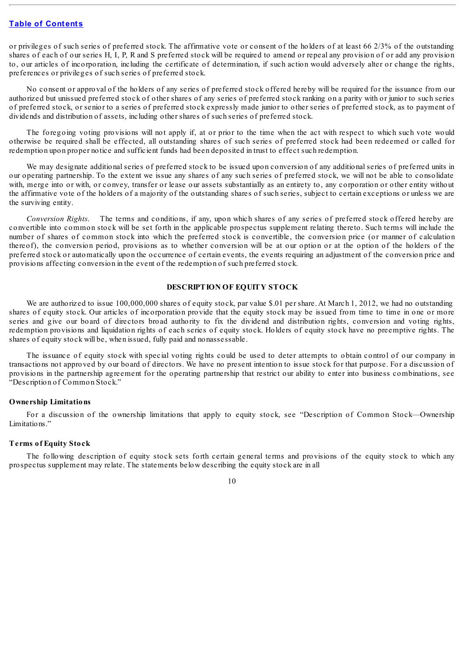or privileges of such series of preferred stock. The affirmative vote or consent of the holders of at least 66 2/3% of the outstanding shares of each of our series H, I, P, R and S preferred stock will be required to amend or repeal any provision of or add any provision to, our articles of incorporation, including the certificate of determination, if such action would adversely alter or change the rights, preferences or privileges of such series of preferred stock.

No consent or approval of the holders of any series of preferred stock offered hereby will be required for the issuance from our authorized but unissued preferred stock of other shares of any series of preferred stock ranking on a parity with or junior to such series of preferred stock, or senior to a series of preferred stock expressly made junior to other series of preferred stock, as to payment of dividends and distribution of assets, including other shares of such series of preferred stock.

The foregoing voting provisions will not apply if, at or prior to the time when the act with respect to which such vote would otherwise be required shall be effected, all outstanding shares of such series of preferred stock had been redeemed or called for redemption upon proper notice and sufficient funds had been deposited in trust to effect such redemption.

We may designate additional series of preferred stock to be issued upon conversion of any additional series of preferred units in our operating partnership. To the extent we issue any shares of any such series of preferred stock, we will not be able to consolidate with, merge into or with, or convey, transfer or lease our assets substantially as an entirety to, any corporation or other entity without the affirmative vote of the holders of a majority of the outstanding shares of such series, subject to certain exceptions or unless we are the surviving entity.

*Conversion Rights*. The terms and conditions, if any, upon which shares of any series of preferred stock offered hereby are convertible into common stock will be set forth in the applicable prospectus supplement relating thereto. Such terms will include the number of shares of common stock into which the preferred stock is convertible, the conversion price (or manner of calculation thereof), the conversion period, provisions as to whether conversion will be at our option or at the option of the holders of the preferred stock or automatically upon the occurrence of certain events, the events requiring an adjustment of the conversion price and provisions affecting conversion in the event of the redemption of such preferred stock.

#### **DESCRIPTION OF EQUITY STOCK**

<span id="page-33-0"></span>We are authorized to issue 100,000,000 shares of equity stock, par value \$.01 per share. At March 1, 2012, we had no outstanding shares of equity stock. Our articles of incorporation provide that the equity stock may be issued from time to time in one or more series and give our board of directors broad authority to fix the dividend and distribution rights, conversion and voting rights, redemption provisions and liquidation rights of each series of equity stock. Holders of equity stock have no preemptive rights. The shares of equity stock will be, when issued, fully paid and nonassessable.

The issuance of equity stock with special voting rights could be used to deter attempts to obtain control of our company in transactions not approved by our board of directors. We have no present intention to issue stock for that purpose. For a discussion of provisions in the partnership agreement for the operating partnership that restrict our ability to enter into business combinations, see "Description of Common Stock."

#### **Ownership Limitations**

For a discussion of the ownership limitations that apply to equity stock, see "Description of Common Stock—Ownership Limitations."

#### **Terms of Equity Stock**

The following description of equity stock sets forth certain general terms and provisions of the equity stock to which any prospectus supplement may relate. The statements below describing the equity stock are in all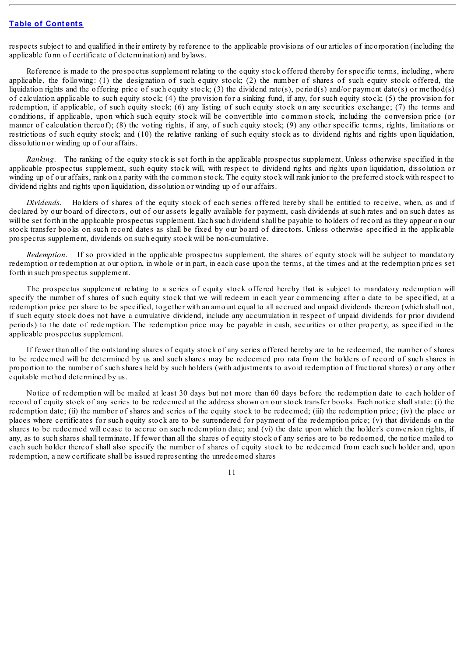respects subject to and qualified in their entirety by reference to the applicable provisions of our articles of incorporation (including the applicable form of certificate of determination) and bylaws.

Reference is made to the prospectus supplement relating to the equity stock offered thereby for specific terms, including, where applicable, the following: (1) the designation of such equity stock; (2) the number of shares of such equity stock offered, the liquidation rights and the offering price of such equity stock; (3) the dividend rate(s), period(s) and/or payment date(s) or method(s) of calculation applicable to such equity stock; (4) the provision for a sinking fund, if any, for such equity stock; (5) the provision for redemption, if applicable, of such equity stock; (6) any listing of such equity stock on any securities exchange; (7) the terms and conditions, if applicable, upon which such equity stock will be convertible into common stock, including the conversion price (or manner of calculation thereof); (8) the voting rights, if any, of such equity stock; (9) any other specific terms, rights, limitations or restrictions of such equity stock; and (10) the relative ranking of such equity stock as to dividend rights and rights upon liquidation, dissolution or winding up of our affairs.

*Ranking*. The ranking of the equity stock is set forth in the applicable prospectus supplement. Unless otherwise specified in the applicable prospectus supplement, such equity stock will, with respect to dividend rights and rights upon liquidation, dissolution or winding up of our affairs, rank on a parity with the common stock. The equity stock will rank junior to the preferred stock with respect to dividend rights and rights upon liquidation, dissolution or winding up of our affairs.

*Dividends*. Holders of shares of the equity stock of each series offered hereby shall be entitled to receive, when, as and if declared by our board of directors, out of our assets legally available for payment, cash dividends at such rates and on such dates as will be set forth in the applicable prospectus supplement. Each such dividend shall be payable to holders of record as they appear on our stock transfer books on such record dates as shall be fixed by our board of directors. Unless otherwise specified in the applicable prospectus supplement, dividends on such equity stock will be non-cumulative.

*Redemption*. If so provided in the applicable prospectus supplement, the shares of equity stock will be subject to mandatory redemption or redemption at our option, in whole or in part, in each case upon the terms, at the times and at the redemption prices set forth in such prospectus supplement.

The prospectus supplement relating to a series of equity stock offered hereby that is subject to mandatory redemption will specify the number of shares of such equity stock that we will redeem in each year commencing after a date to be specified, at a redemption price per share to be specified, together with an amount equal to all accrued and unpaid dividends thereon (which shall not, if such equity stock does not have a cumulative dividend, include any accumulation in respect of unpaid dividends for prior dividend periods) to the date of redemption. The redemption price may be payable in cash, securities or other property, as specified in the applicable prospectus supplement.

If fewer than all of the outstanding shares of equity stock of any series offered hereby are to be redeemed, the number of shares to be redeemed will be determined by us and such shares may be redeemed pro rata from the holders of record of such shares in proportion to the number of such shares held by such holders (with adjustments to avoid redemption of fractional shares) or any other equitable method determined by us.

Notice of redemption will be mailed at least 30 days but not more than 60 days before the redemption date to each holder of record of equity stock of any series to be redeemed at the address shown on our stock transfer books. Each notice shall state: (i) the redemption date; (ii) the number of shares and series of the equity stock to be redeemed; (iii) the redemption price; (iv) the place or places where certificates for such equity stock are to be surrendered for payment of the redemption price; (v) that dividends on the shares to be redeemed will cease to accrue on such redemption date; and (vi) the date upon which the holder's conversion rights, if any, as to such shares shall terminate. If fewer than all the shares of equity stock of any series are to be redeemed, the notice mailed to each such holder thereof shall also specify the number of shares of equity stock to be redeemed from each such holder and, upon redemption, a new certificate shall be issued representing the unredeemed shares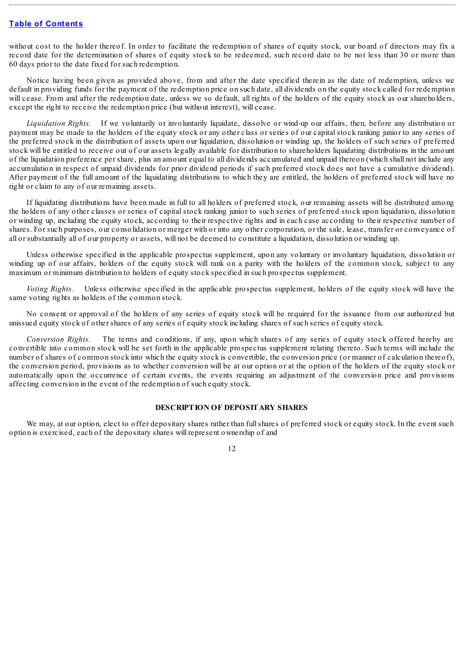without cost to the holder thereof. In order to facilitate the redemption of shares of equity stock, our board of directors may fix a record date for the determination of shares of equity stock to be redeemed, such record date to be not less than 30 or more than 60 days prior to the date fixed for such redemption.

Notice having been given as provided above, from and after the date specified therein as the date of redemption, unless we default in providing funds for the payment of the redemption price on such date, all dividends on the equity stock called for redemption will cease. From and after the redemption date, unless we so default, all rights of the holders of the equity stock as our shareholders, except the right to receive the redemption price (but without interest), will cease.

*Liquidation Rights*. If we voluntarily or involuntarily liquidate, dissolve or wind-up our affairs, then, before any distribution or payment may be made to the holders of the equity stock or any other class or series of our capital stock ranking junior to any series of the preferred stock in the distribution of assets upon our liquidation, dissolution or winding up, the holders of such series of preferred stock will be entitled to receive out of our assets legally available for distribution to shareholders liquidating distributions in the amount of the liquidation preference per share, plus an amount equal to all dividends accumulated and unpaid thereon (which shall not include any accumulation in respect of unpaid dividends for prior dividend periods if such preferred stock does not have a cumulative dividend). After payment of the full amount of the liquidating distributions to which they are entitled, the holders of preferred stock will have no right or claim to any of our remaining assets.

If liquidating distributions have been made in full to all holders of preferred stock, our remaining assets will be distributed among the holders of any other classes or series of capital stock ranking junior to such series of preferred stock upon liquidation, dissolution or winding up, including the equity stock, according to their respective rights and in each case according to their respective number of shares. For such purposes, our consolidation or merger with or into any other corporation, or the sale, lease, transfer or conveyance of all or substantially all of our property or assets, will not be deemed to constitute a liquidation, dissolution or winding up.

Unless otherwise specified in the applicable prospectus supplement, upon any voluntary or involuntary liquidation, dissolution or winding up of our affairs, holders of the equity stock will rank on a parity with the holders of the common stock, subject to any maximum or minimum distribution to holders of equity stock specified in such prospectus supplement.

*Voting Rights*. Unless otherwise specified in the applicable prospectus supplement, holders of the equity stock will have the same voting rights as holders of the common stock.

No consent or approval of the holders of any series of equity stock will be required for the issuance from our authorized but unissued equity stock of other shares of any series of equity stock including shares of such series of equity stock.

*Conversion Rights*. The terms and conditions, if any, upon which shares of any series of equity stock offered hereby are convertible into common stock will be set forth in the applicable prospectus supplement relating thereto. Such terms will include the number of shares of common stock into which the equity stock is convertible, the conversion price (or manner of calculation thereof), the conversion period, provisions as to whether conversion will be at our option or at the option of the holders of the equity stock or automatically upon the occurrence of certain events, the events requiring an adjustment of the conversion price and provisions affecting conversion in the event of the redemption of such equity stock.

#### **DESCRIPTION OF DEPOSITARY SHARES**

<span id="page-35-0"></span>We may, at our option, elect to offer depositary shares rather than full shares of preferred stock or equity stock. In the event such option is exercised, each of the depositary shares will represent ownership of and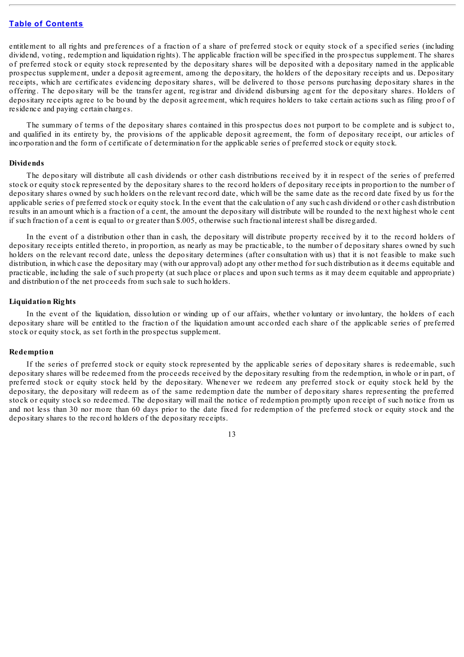entitlement to all rights and preferences of a fraction of a share of preferred stock or equity stock of a specified series (including dividend, voting, redemption and liquidation rights). The applicable fraction will be specified in the prospectus supplement. The shares of preferred stock or equity stock represented by the depositary shares will be deposited with a depositary named in the applicable prospectus supplement, under a deposit agreement, among the depositary, the holders of the depositary receipts and us. Depositary receipts, which are certificates evidencing depositary shares, will be delivered to those persons purchasing depositary shares in the offering. The depositary will be the transfer agent, registrar and dividend disbursing agent for the depositary shares. Holders of depositary receipts agree to be bound by the deposit agreement, which requires holders to take certain actions such as filing proof of residence and paying certain charges.

The summary of terms of the depositary shares contained in this prospectus does not purport to be complete and is subject to, and qualified in its entirety by, the provisions of the applicable deposit agreement, the form of depositary receipt, our articles of incorporation and the form of certificate of determination for the applicable series of preferred stock or equity stock.

#### **Dividends**

The depositary will distribute all cash dividends or other cash distributions received by it in respect of the series of preferred stock or equity stock represented by the depositary shares to the record holders of depositary receipts in proportion to the number of depositary shares owned by such holders on the relevant record date, which will be the same date as the record date fixed by us for the applicable series of preferred stock or equity stock. In the event that the calculation of any such cash dividend or other cash distribution results in an amount which is a fraction of a cent, the amount the depositary will distribute will be rounded to the next highest whole cent if such fraction of a cent is equal to or greater than \$.005, otherwise such fractional interest shall be disregarded.

In the event of a distribution other than in cash, the depositary will distribute property received by it to the record holders of depositary receipts entitled thereto, in proportion, as nearly as may be practicable, to the number of depositary shares owned by such holders on the relevant record date, unless the depositary determines (after consultation with us) that it is not feasible to make such distribution, in which case the depositary may (with our approval) adopt any other method for such distribution as it deems equitable and practicable, including the sale of such property (at such place or places and upon such terms as it may deem equitable and appropriate) and distribution of the net proceeds from such sale to such holders.

#### **Liquidation Rights**

In the event of the liquidation, dissolution or winding up of our affairs, whether voluntary or involuntary, the holders of each depositary share will be entitled to the fraction of the liquidation amount accorded each share of the applicable series of preferred stock or equity stock, as set forth in the prospectus supplement.

#### **Redemption**

If the series of preferred stock or equity stock represented by the applicable series of depositary shares is redeemable, such depositary shares will be redeemed from the proceeds received by the depositary resulting from the redemption, in whole or in part, of preferred stock or equity stock held by the depositary. Whenever we redeem any preferred stock or equity stock held by the depositary, the depositary will redeem as of the same redemption date the number of depositary shares representing the preferred stock or equity stock so redeemed. The depositary will mail the notice of redemption promptly upon receipt of such notice from us and not less than 30 nor more than 60 days prior to the date fixed for redemption of the preferred stock or equity stock and the depositary shares to the record holders of the depositary receipts.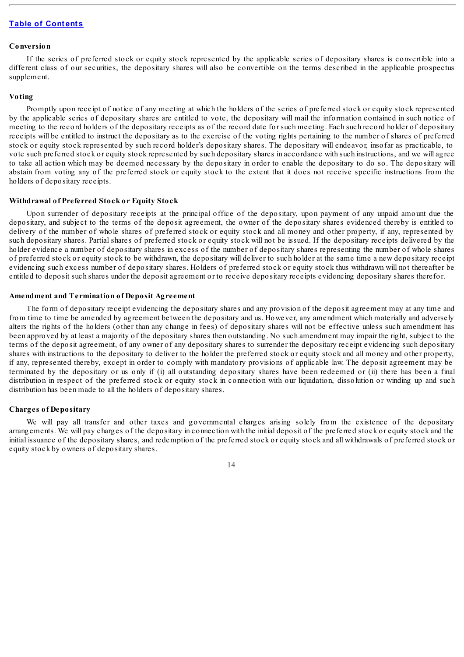#### **Conversion**

If the series of preferred stock or equity stock represented by the applicable series of depositary shares is convertible into a different class of our securities, the depositary shares will also be convertible on the terms described in the applicable prospectus supplement.

#### **Voting**

Promptly upon receipt of notice of any meeting at which the holders of the series of preferred stock or equity stock represented by the applicable series of depositary shares are entitled to vote, the depositary will mail the information contained in such notice of meeting to the record holders of the depositary receipts as of the record date for such meeting. Each such record holder of depositary receipts will be entitled to instruct the depositary as to the exercise of the voting rights pertaining to the number of shares of preferred stock or equity stock represented by such record holder's depositary shares. The depositary will endeavor, insofar as practicable, to vote such preferred stock or equity stock represented by such depositary shares in accordance with such instructions, and we will agree to take all action which may be deemed necessary by the depositary in order to enable the depositary to do so. The depositary will abstain from voting any of the preferred stock or equity stock to the extent that it does not receive specific instructions from the holders of depositary receipts.

#### **Withdrawal of Preferred Stock or Equity Stock**

Upon surrender of depositary receipts at the principal office of the depositary, upon payment of any unpaid amount due the depositary, and subject to the terms of the deposit agreement, the owner of the depositary shares evidenced thereby is entitled to delivery of the number of whole shares of preferred stock or equity stock and all money and other property, if any, represented by such depositary shares. Partial shares of preferred stock or equity stock will not be issued. If the depositary receipts delivered by the holder evidence a number of depositary shares in excess of the number of depositary shares representing the number of whole shares of preferred stock or equity stock to be withdrawn, the depositary will deliver to such holder at the same time a new depositary receipt evidencing such excess number of depositary shares. Holders of preferred stock or equity stock thus withdrawn will not thereafter be entitled to deposit such shares under the deposit agreement or to receive depositary receipts evidencing depositary shares therefor.

### **Amendment and Termination of Deposit Agreement**

The form of depositary receipt evidencing the depositary shares and any provision of the deposit agreement may at any time and from time to time be amended by agreement between the depositary and us. However, any amendment which materially and adversely alters the rights of the holders (other than any change in fees) of depositary shares will not be effective unless such amendment has been approved by at least a majority of the depositary shares then outstanding. No such amendment may impair the right, subject to the terms of the deposit agreement, of any owner of any depositary shares to surrender the depositary receipt evidencing such depositary shares with instructions to the depositary to deliver to the holder the preferred stock or equity stock and all money and other property, if any, represented thereby, except in order to comply with mandatory provisions of applicable law. The deposit agreement may be terminated by the depositary or us only if (i) all outstanding depositary shares have been redeemed or (ii) there has been a final distribution in respect of the preferred stock or equity stock in connection with our liquidation, dissolution or winding up and such distribution has been made to all the holders of depositary shares.

#### **Charges of Depositary**

We will pay all transfer and other taxes and governmental charges arising solely from the existence of the depositary arrangements. We will pay charges of the depositary in connection with the initial deposit of the preferred stock or equity stock and the initial issuance of the depositary shares, and redemption of the preferred stock or equity stock and all withdrawals of preferred stock or equity stock by owners of depositary shares.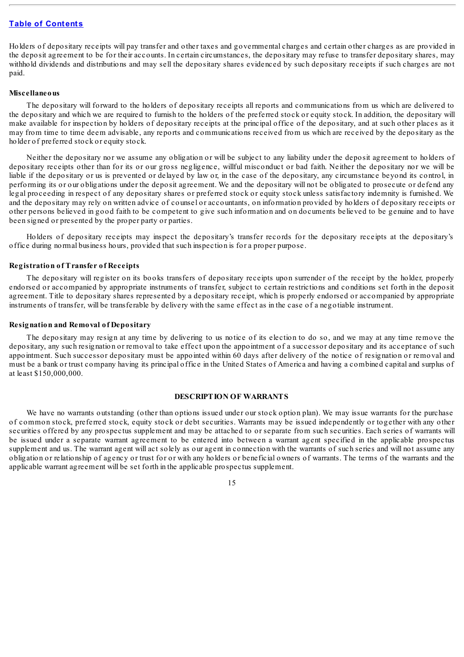Holders of depositary receipts will pay transfer and other taxes and governmental charges and certain other charges as are provided in the deposit agreement to be for their accounts. In certain circumstances, the depositary may refuse to transfer depositary shares, may withhold dividends and distributions and may sell the depositary shares evidenced by such depositary receipts if such charges are not paid.

#### **Miscellaneous**

The depositary will forward to the holders of depositary receipts all reports and communications from us which are delivered to the depositary and which we are required to furnish to the holders of the preferred stock or equity stock. In addition, the depositary will make available for inspection by holders of depositary receipts at the principal office of the depositary, and at such other places as it may from time to time deem advisable, any reports and communications received from us which are received by the depositary as the holder of preferred stock or equity stock.

Neither the depositary nor we assume any obligation or will be subject to any liability under the deposit agreement to holders of depositary receipts other than for its or our gross negligence, willful misconduct or bad faith. Neither the depositary nor we will be liable if the depositary or us is prevented or delayed by law or, in the case of the depositary, any circumstance beyond its control, in performing its or our obligations under the deposit agreement. We and the depositary will not be obligated to prosecute or defend any legal proceeding in respect of any depositary shares or preferred stock or equity stock unless satisfactory indemnity is furnished. We and the depositary may rely on written advice of counsel or accountants, on information provided by holders of depositary receipts or other persons believed in good faith to be competent to give such information and on documents believed to be genuine and to have been signed or presented by the proper party or parties.

Holders of depositary receipts may inspect the depositary's transfer records for the depositary receipts at the depositary's office during normal business hours, provided that such inspection is for a proper purpose.

#### **Registration of Transfer of Receipts**

The depositary will register on its books transfers of depositary receipts upon surrender of the receipt by the holder, properly endorsed or accompanied by appropriate instruments of transfer, subject to certain restrictions and conditions set forth in the deposit agreement. Title to depositary shares represented by a depositary receipt, which is properly endorsed or accompanied by appropriate instruments of transfer, will be transferable by delivery with the same effect as in the case of a negotiable instrument.

#### **Resignation and Removal of Depositary**

The depositary may resign at any time by delivering to us notice of its election to do so, and we may at any time remove the depositary, any such resignation or removal to take effect upon the appointment of a successor depositary and its acceptance of such appointment. Such successor depositary must be appointed within 60 days after delivery of the notice of resignation or removal and must be a bank or trust company having its principal office in the United States of America and having a combined capital and surplus of at least \$150,000,000.

#### **DESCRIPTION OF WARRANTS**

We have no warrants outstanding (other than options issued under our stock option plan). We may issue warrants for the purchase of common stock, preferred stock, equity stock or debt securities. Warrants may be issued independently or together with any other securities offered by any prospectus supplement and may be attached to or separate from such securities. Each series of warrants will be issued under a separate warrant agreement to be entered into between a warrant agent specified in the applicable prospectus supplement and us. The warrant agent will act solely as our agent in connection with the warrants of such series and will not assume any obligation or relationship of agency or trust for or with any holders or beneficial owners of warrants. The terms of the warrants and the applicable warrant agreement will be set forth in the applicable prospectus supplement.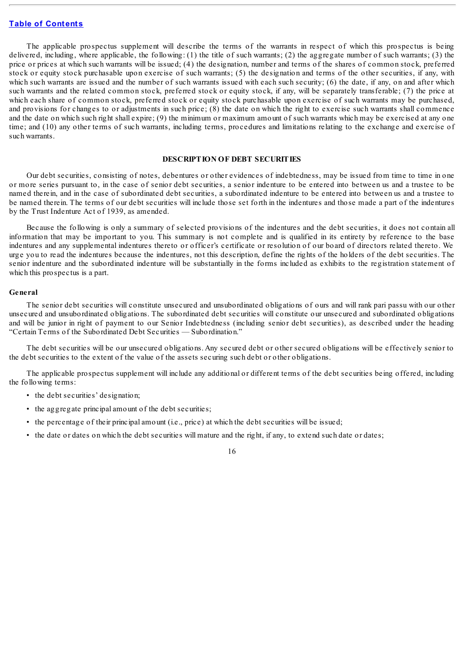The applicable prospectus supplement will describe the terms of the warrants in respect of which this prospectus is being delivered, including, where applicable, the following: (1) the title of such warrants; (2) the aggregate number of such warrants; (3) the price or prices at which such warrants will be issued; (4) the designation, number and terms of the shares of common stock, preferred stock or equity stock purchasable upon exercise of such warrants; (5) the designation and terms of the other securities, if any, with which such warrants are issued and the number of such warrants issued with each such security; (6) the date, if any, on and after which such warrants and the related common stock, preferred stock or equity stock, if any, will be separately transferable; (7) the price at which each share of common stock, preferred stock or equity stock purchasable upon exercise of such warrants may be purchased, and provisions for changes to or adjustments in such price; (8) the date on which the right to exercise such warrants shall commence and the date on which such right shall expire; (9) the minimum or maximum amount of such warrants which may be exercised at any one time; and (10) any other terms of such warrants, including terms, procedures and limitations relating to the exchange and exercise of such warrants.

#### **DESCRIPTION OF DEBT SECURITIES**

Our debt securities, consisting of notes, debentures or other evidences of indebtedness, may be issued from time to time in one or more series pursuant to, in the case of senior debt securities, a senior indenture to be entered into between us and a trustee to be named therein, and in the case of subordinated debt securities, a subordinated indenture to be entered into between us and a trustee to be named therein. The terms of our debt securities will include those set forth in the indentures and those made a part of the indentures by the Trust Indenture Act of 1939, as amended.

Because the following is only a summary of selected provisions of the indentures and the debt securities, it does not contain all information that may be important to you. This summary is not complete and is qualified in its entirety by reference to the base indentures and any supplemental indentures thereto or officer's certificate or resolution of our board of directors related thereto. We urge you to read the indentures because the indentures, not this description, define the rights of the holders of the debt securities. The senior indenture and the subordinated indenture will be substantially in the forms included as exhibits to the registration statement of which this prospectus is a part.

#### **General**

The senior debt securities will constitute unsecured and unsubordinated obligations of ours and will rank pari passu with our other unsecured and unsubordinated obligations. The subordinated debt securities will constitute our unsecured and subordinated obligations and will be junior in right of payment to our Senior Indebtedness (including senior debt securities), as described under the heading "Certain Terms of the Subordinated Debt Securities — Subordination."

The debt securities will be our unsecured obligations. Any secured debt or other secured obligations will be effectively senior to the debt securities to the extent of the value of the assets securing such debt or other obligations.

The applicable prospectus supplement will include any additional or different terms of the debt securities being offered, including the following terms:

- the debt securities' designation;
- the aggregate principal amount of the debt securities;
- the percentage of their principal amount (i.e., price) at which the debt securities will be issued;
- the date or dates on which the debt securities will mature and the right, if any, to extend such date or dates;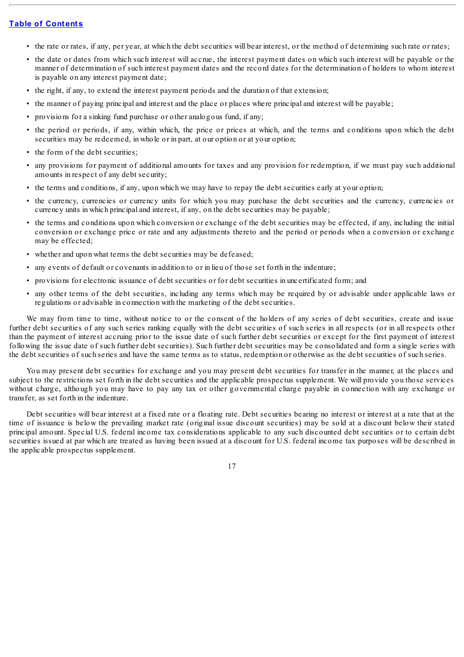- the rate or rates, if any, per year, at which the debt securities will bear interest, or the method of determining such rate or rates;
- the date or dates from which such interest will accrue, the interest payment dates on which such interest will be payable or the manner of determination of such interest payment dates and the record dates for the determination of holders to whom interest is payable on any interest payment date;
- the right, if any, to extend the interest payment periods and the duration of that extension;
- the manner of paying principal and interest and the place or places where principal and interest will be payable;
- provisions for a sinking fund purchase or other analogous fund, if any;
- the period or periods, if any, within which, the price or prices at which, and the terms and conditions upon which the debt securities may be redeemed, in whole or in part, at our option or at your option;
- the form of the debt securities;
- any provisions for payment of additional amounts for taxes and any provision for redemption, if we must pay such additional amounts in respect of any debt security;
- the terms and conditions, if any, upon which we may have to repay the debt securities early at your option;
- the currency, currencies or currency units for which you may purchase the debt securities and the currency, currencies or currency units in which principal and interest, if any, on the debt securities may be payable;
- the terms and conditions upon which conversion or exchange of the debt securities may be effected, if any, including the initial conversion or exchange price or rate and any adjustments thereto and the period or periods when a conversion or exchange may be effected;
- whether and upon what terms the debt securities may be defeased;
- any events of default or covenants in addition to or in lieu of those set forth in the indenture;
- provisions for electronic issuance of debt securities or for debt securities in uncertificated form; and
- any other terms of the debt securities, including any terms which may be required by or advisable under applicable laws or regulations or advisable in connection with the marketing of the debt securities.

We may from time to time, without notice to or the consent of the holders of any series of debt securities, create and issue further debt securities of any such series ranking equally with the debt securities of such series in all respects (or in all respects other than the payment of interest accruing prior to the issue date of such further debt securities or except for the first payment of interest following the issue date of such further debt securities). Such further debt securities may be consolidated and form a single series with the debt securities of such series and have the same terms as to status, redemption or otherwise as the debt securities of such series.

You may present debt securities for exchange and you may present debt securities for transfer in the manner, at the places and subject to the restrictions set forth in the debt securities and the applicable prospectus supplement. We will provide you those services without charge, although you may have to pay any tax or other governmental charge payable in connection with any exchange or transfer, as set forth in the indenture.

Debt securities will bear interest at a fixed rate or a floating rate. Debt securities bearing no interest or interest at a rate that at the time of issuance is below the prevailing market rate (original issue discount securities) may be sold at a discount below their stated principal amount. Special U.S. federal income tax considerations applicable to any such discounted debt securities or to certain debt securities issued at par which are treated as having been issued at a discount for U.S. federal income tax purposes will be described in the applicable prospectus supplement.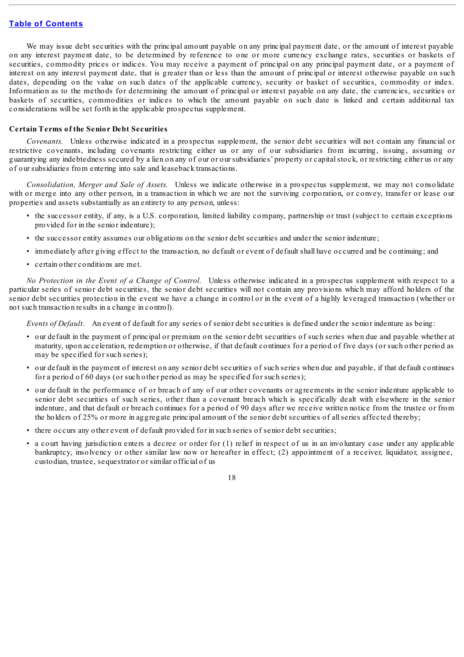We may issue debt securities with the principal amount payable on any principal payment date, or the amount of interest payable on any interest payment date, to be determined by reference to one or more currency exchange rates, securities or baskets of securities, commodity prices or indices. You may receive a payment of principal on any principal payment date, or a payment of interest on any interest payment date, that is greater than or less than the amount of principal or interest otherwise payable on such dates, depending on the value on such dates of the applicable currency, security or basket of securities, commodity or index. Information as to the methods for determining the amount of principal or interest payable on any date, the currencies, securities or baskets of securities, commodities or indices to which the amount payable on such date is linked and certain additional tax considerations will be set forth in the applicable prospectus supplement.

#### **Certain Terms of the Senior Debt Securities**

*Covenants.* Unless otherwise indicated in a prospectus supplement, the senior debt securities will not contain any financial or restrictive covenants, including covenants restricting either us or any of our subsidiaries from incurring, issuing, assuming or guarantying any indebtedness secured by a lien on any of our or our subsidiaries' property or capitalstock, or restricting either us or any of our subsidiaries from entering into sale and leaseback transactions.

*Consolidation, Merger and Sale of Assets.* Unless we indicate otherwise in a prospectus supplement, we may not consolidate with or merge into any other person, in a transaction in which we are not the surviving corporation, or convey, transfer or lease our properties and assets substantially as an entirety to any person, unless:

- the successor entity, if any, is a U.S. corporation, limited liability company, partnership or trust (subject to certain exceptions provided for in the senior indenture);
- the successor entity assumes our obligations on the senior debt securities and under the senior indenture;
- immediately after giving effect to the transaction, no default or event of default shall have occurred and be continuing; and
- certain other conditions are met.

*No Protection in the Event of a Change of Control.* Unless otherwise indicated in a prospectus supplement with respect to a particular series of senior debt securities, the senior debt securities will not contain any provisions which may afford holders of the senior debt securities protection in the event we have a change in control or in the event of a highly leveraged transaction (whether or not such transaction results in a change in control).

*Events of Default*. An event of default for any series of senior debt securities is defined under the senior indenture as being:

- our default in the payment of principal or premium on the senior debt securities of such series when due and payable whether at maturity, upon acceleration, redemption or otherwise, if that default continues for a period of five days (or such other period as may be specified for such series);
- our default in the payment of interest on any senior debt securities of such series when due and payable, if that default continues for a period of 60 days (or such other period as may be specified for such series);
- our default in the performance of or breach of any of our other covenants or agreements in the senior indenture applicable to senior debt securities of such series, other than a covenant breach which is specifically dealt with elsewhere in the senior indenture, and that default or breach continues for a period of 90 days after we receive written notice from the trustee or from the holders of 25% or more in aggregate principal amount of the senior debt securities of allseries affected thereby;
- there occurs any other event of default provided for in such series of senior debt securities;
- a court having jurisdiction enters a decree or order for (1) relief in respect of us in an involuntary case under any applicable bankruptcy, insolvency or other similar law now or hereafter in effect; (2) appointment of a receiver, liquidator, assignee, custodian, trustee, sequestrator or similar official of us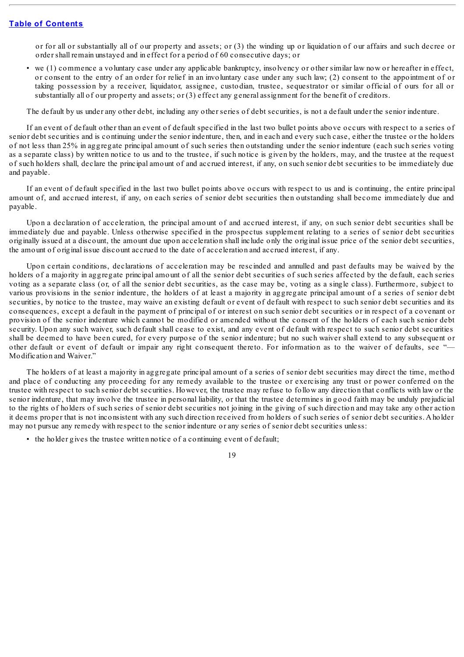or for all or substantially all of our property and assets; or (3) the winding up or liquidation of our affairs and such decree or order shall remain unstayed and in effect for a period of 60 consecutive days; or

• we (1) commence a voluntary case under any applicable bankruptcy, insolvency or other similar law now or hereafter in effect, or consent to the entry of an order for relief in an involuntary case under any such law; (2) consent to the appointment of or taking possession by a receiver, liquidator, assignee, custodian, trustee, sequestrator or similar official of ours for all or substantially all of our property and assets; or (3) effect any general assignment for the benefit of creditors.

The default by us under any other debt, including any other series of debt securities, is not a default under the senior indenture.

If an event of default other than an event of default specified in the last two bullet points above occurs with respect to a series of senior debt securities and is continuing under the senior indenture, then, and in each and every such case, either the trustee or the holders of not less than 25% in aggregate principal amount of such series then outstanding under the senior indenture (each such series voting as a separate class) by written notice to us and to the trustee, if such notice is given by the holders, may, and the trustee at the request of such holders shall, declare the principal amount of and accrued interest, if any, on such senior debt securities to be immediately due and payable.

If an event of default specified in the last two bullet points above occurs with respect to us and is continuing, the entire principal amount of, and accrued interest, if any, on each series of senior debt securities then outstanding shall become immediately due and payable.

Upon a declaration of acceleration, the principal amount of and accrued interest, if any, on such senior debt securities shall be immediately due and payable. Unless otherwise specified in the prospectus supplement relating to a series of senior debt securities originally issued at a discount, the amount due upon acceleration shall include only the original issue price of the senior debt securities, the amount of original issue discount accrued to the date of acceleration and accrued interest, if any.

Upon certain conditions, declarations of acceleration may be rescinded and annulled and past defaults may be waived by the holders of a majority in aggregate principal amount of all the senior debt securities of such series affected by the default, each series voting as a separate class (or, of all the senior debt securities, as the case may be, voting as a single class). Furthermore, subject to various provisions in the senior indenture, the holders of at least a majority in aggregate principal amount of a series of senior debt securities, by notice to the trustee, may waive an existing default or event of default with respect to such senior debt securities and its consequences, except a default in the payment of principal of or interest on such senior debt securities or in respect of a covenant or provision of the senior indenture which cannot be modified or amended without the consent of the holders of each such senior debt security. Upon any such waiver, such default shall cease to exist, and any event of default with respect to such senior debt securities shall be deemed to have been cured, for every purpose of the senior indenture; but no such waiver shall extend to any subsequent or other default or event of default or impair any right consequent thereto. For information as to the waiver of defaults, see "— Modification and Waiver."

The holders of at least a majority in aggregate principal amount of a series of senior debt securities may direct the time, method and place of conducting any proceeding for any remedy available to the trustee or exercising any trust or power conferred on the trustee with respect to such senior debt securities. However, the trustee may refuse to follow any direction that conflicts with law or the senior indenture, that may involve the trustee in personal liability, or that the trustee determines in good faith may be unduly prejudicial to the rights of holders of such series of senior debt securities not joining in the giving of such direction and may take any other action it deems proper that is not inconsistent with any such direction received from holders of such series of senior debt securities. A holder may not pursue any remedy with respect to the senior indenture or any series of senior debt securities unless:

• the holder gives the trustee written notice of a continuing event of default;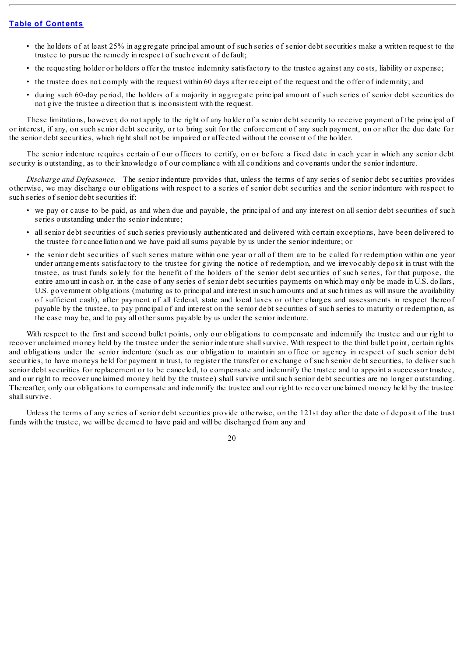- the holders of at least 25% in aggregate principal amount of such series of senior debt securities make a written request to the trustee to pursue the remedy in respect of such event of default;
- the requesting holder or holders offer the trustee indemnity satisfactory to the trustee against any costs, liability or expense;
- the trustee does not comply with the request within 60 days after receipt of the request and the offer of indemnity; and
- during such 60-day period, the holders of a majority in aggregate principal amount of such series of senior debt securities do not give the trustee a direction that is inconsistent with the request.

These limitations, however, do not apply to the right of any holder of a senior debt security to receive payment of the principal of or interest, if any, on such senior debt security, or to bring suit for the enforcement of any such payment, on or after the due date for the senior debt securities, which right shall not be impaired or affected without the consent of the holder.

The senior indenture requires certain of our officers to certify, on or before a fixed date in each year in which any senior debt security is outstanding, as to their knowledge of our compliance with all conditions and covenants under the senior indenture.

*Discharge and Defeasance.* The senior indenture provides that, unless the terms of any series of senior debt securities provides otherwise, we may discharge our obligations with respect to a series of senior debt securities and the senior indenture with respect to such series of senior debt securities if:

- we pay or cause to be paid, as and when due and payable, the principal of and any interest on all senior debt securities of such series outstanding under the senior indenture;
- all senior debt securities of such series previously authenticated and delivered with certain exceptions, have been delivered to the trustee for cancellation and we have paid allsums payable by us under the senior indenture; or
- the senior debt securities of such series mature within one year or all of them are to be called for redemption within one year under arrangements satisfactory to the trustee for giving the notice of redemption, and we irrevocably deposit in trust with the trustee, as trust funds solely for the benefit of the holders of the senior debt securities of such series, for that purpose, the entire amount in cash or, in the case of any series of senior debt securities payments on which may only be made in U.S. dollars, U.S. government obligations (maturing as to principal and interest in such amounts and at such times as will insure the availability of sufficient cash), after payment of all federal, state and local taxes or other charges and assessments in respect thereof payable by the trustee, to pay principal of and interest on the senior debt securities of such series to maturity or redemption, as the case may be, and to pay all other sums payable by us under the senior indenture.

With respect to the first and second bullet points, only our obligations to compensate and indemnify the trustee and our right to recover unclaimed money held by the trustee under the senior indenture shallsurvive. With respect to the third bullet point, certain rights and obligations under the senior indenture (such as our obligation to maintain an office or agency in respect of such senior debt securities, to have moneys held for payment in trust, to register the transfer or exchange of such senior debt securities, to deliver such senior debt securities for replacement or to be canceled, to compensate and indemnify the trustee and to appoint a successor trustee, and our right to recover unclaimed money held by the trustee) shall survive until such senior debt securities are no longer outstanding. Thereafter, only our obligations to compensate and indemnify the trustee and our right to recover unclaimed money held by the trustee shall survive.

Unless the terms of any series of senior debt securities provide otherwise, on the 121st day after the date of deposit of the trust funds with the trustee, we will be deemed to have paid and will be discharged from any and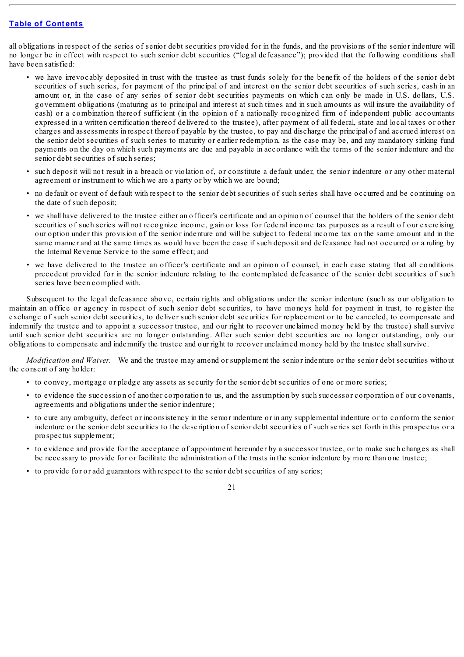all obligations in respect of the series of senior debt securities provided for in the funds, and the provisions of the senior indenture will no longer be in effect with respect to such senior debt securities ("legal defeasance"); provided that the following conditions shall have been satisfied:

- we have irrevocably deposited in trust with the trustee as trust funds solely for the benefit of the holders of the senior debt securities of such series, for payment of the principal of and interest on the senior debt securities of such series, cash in an amount or, in the case of any series of senior debt securities payments on which can only be made in U.S. dollars, U.S. government obligations (maturing as to principal and interest at such times and in such amounts as will insure the availability of cash) or a combination thereof sufficient (in the opinion of a nationally recognized firm of independent public accountants expressed in a written certification thereof delivered to the trustee), after payment of all federal, state and local taxes or other charges and assessments in respect thereof payable by the trustee, to pay and discharge the principal of and accrued interest on the senior debt securities of such series to maturity or earlier redemption, as the case may be, and any mandatory sinking fund payments on the day on which such payments are due and payable in accordance with the terms of the senior indenture and the senior debt securities of such series;
- such deposit will not result in a breach or violation of, or constitute a default under, the senior indenture or any other material agreement or instrument to which we are a party or by which we are bound;
- no default or event of default with respect to the senior debt securities of such series shall have occurred and be continuing on the date of such deposit;
- we shall have delivered to the trustee either an officer's certificate and an opinion of counsel that the holders of the senior debt securities of such series will not recognize income, gain or loss for federal income tax purposes as a result of our exercising our option under this provision of the senior indenture and will be subject to federal income tax on the same amount and in the same manner and at the same times as would have been the case if such deposit and defeasance had not occurred or a ruling by the Internal Revenue Service to the same effect; and
- we have delivered to the trustee an officer's certificate and an opinion of counsel, in each case stating that all conditions precedent provided for in the senior indenture relating to the contemplated defeasance of the senior debt securities of such series have been complied with.

Subsequent to the legal defeasance above, certain rights and obligations under the senior indenture (such as our obligation to maintain an office or agency in respect of such senior debt securities, to have moneys held for payment in trust, to register the exchange of such senior debt securities, to deliver such senior debt securities for replacement or to be canceled, to compensate and indemnify the trustee and to appoint a successor trustee, and our right to recover unclaimed money held by the trustee) shall survive until such senior debt securities are no longer outstanding. After such senior debt securities are no longer outstanding, only our obligations to compensate and indemnify the trustee and our right to recover unclaimed money held by the trustee shallsurvive.

*Modification and Waiver.* We and the trustee may amend or supplement the senior indenture or the senior debt securities without the consent of any holder:

- to convey, mortgage or pledge any assets as security for the senior debt securities of one or more series;
- to evidence the succession of another corporation to us, and the assumption by such successor corporation of our covenants, agreements and obligations under the senior indenture;
- to cure any ambiguity, defect or inconsistency in the senior indenture or in any supplemental indenture or to conform the senior indenture or the senior debt securities to the description of senior debt securities of such series set forth in this prospectus or a prospectus supplement;
- to evidence and provide for the acceptance of appointment hereunder by a successor trustee, or to make such changes as shall be necessary to provide for or facilitate the administration of the trusts in the senior indenture by more than one trustee;
- to provide for or add guarantors with respect to the senior debt securities of any series;

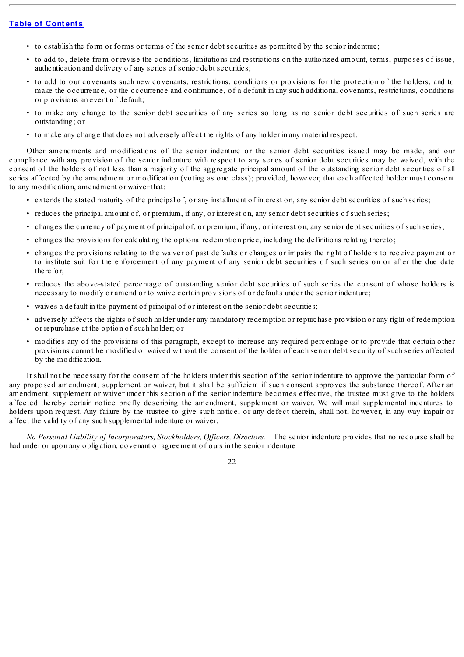- to establish the form or forms or terms of the senior debt securities as permitted by the senior indenture;
- to add to, delete from or revise the conditions, limitations and restrictions on the authorized amount, terms, purposes of issue, authentication and delivery of any series of senior debt securities;
- to add to our covenants such new covenants, restrictions, conditions or provisions for the protection of the holders, and to make the occurrence, or the occurrence and continuance, of a default in any such additional covenants, restrictions, conditions or provisions an event of default;
- to make any change to the senior debt securities of any series so long as no senior debt securities of such series are outstanding; or
- to make any change that does not adversely affect the rights of any holder in any material respect.

Other amendments and modifications of the senior indenture or the senior debt securities issued may be made, and our compliance with any provision of the senior indenture with respect to any series of senior debt securities may be waived, with the consent of the holders of not less than a majority of the aggregate principal amount of the outstanding senior debt securities of all series affected by the amendment or modification (voting as one class); provided, however, that each affected holder must consent to any modification, amendment or waiver that:

- extends the stated maturity of the principal of, or any installment of interest on, any senior debt securities of such series;
- reduces the principal amount of, or premium, if any, or interest on, any senior debt securities of such series;
- changes the currency of payment of principal of, or premium, if any, or interest on, any senior debt securities of such series;
- changes the provisions for calculating the optional redemption price, including the definitions relating thereto;
- changes the provisions relating to the waiver of past defaults or changes or impairs the right of holders to receive payment or to institute suit for the enforcement of any payment of any senior debt securities of such series on or after the due date therefor;
- reduces the above-stated percentage of outstanding senior debt securities of such series the consent of whose holders is necessary to modify or amend or to waive certain provisions of or defaults under the senior indenture;
- waives a default in the payment of principal of or interest on the senior debt securities;
- adversely affects the rights of such holder under any mandatory redemption or repurchase provision or any right of redemption or repurchase at the option of such holder; or
- modifies any of the provisions of this paragraph, except to increase any required percentage or to provide that certain other provisions cannot be modified or waived without the consent of the holder of each senior debt security of such series affected by the modification.

It shall not be necessary for the consent of the holders under this section of the senior indenture to approve the particular form of any proposed amendment, supplement or waiver, but it shall be sufficient if such consent approves the substance thereof. After an amendment, supplement or waiver under this section of the senior indenture becomes effective, the trustee must give to the holders affected thereby certain notice briefly describing the amendment, supplement or waiver. We will mail supplemental indentures to holders upon request. Any failure by the trustee to give such notice, or any defect therein, shall not, however, in any way impair or affect the validity of any such supplemental indenture or waiver.

*No Personal Liability of Incorporators, Stockholders, Of icers, Directors.* The senior indenture provides that no recourse shall be had under or upon any obligation, covenant or agreement of ours in the senior indenture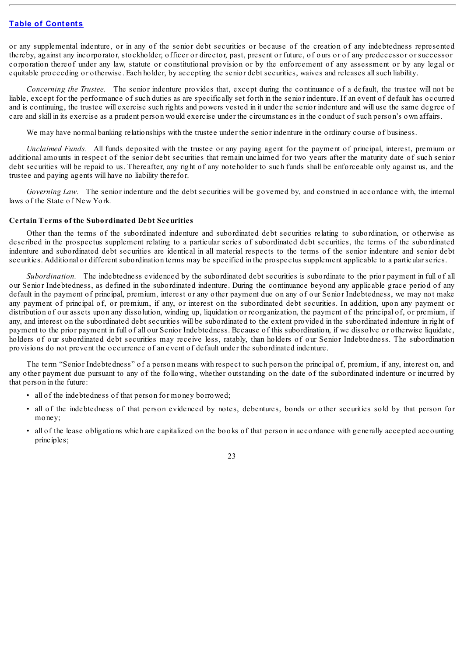or any supplemental indenture, or in any of the senior debt securities or because of the creation of any indebtedness represented thereby, against any incorporator, stockholder, officer or director, past, present or future, of ours or of any predecessor or successor corporation thereof under any law, statute or constitutional provision or by the enforcement of any assessment or by any legal or equitable proceeding or otherwise. Each holder, by accepting the senior debt securities, waives and releases allsuch liability.

*Concerning the Trustee.* The senior indenture provides that, except during the continuance of a default, the trustee will not be liable, except for the performance of such duties as are specifically set forth in the senior indenture. If an event of default has occurred and is continuing, the trustee will exercise such rights and powers vested in it under the senior indenture and will use the same degree of care and skill in its exercise as a prudent person would exercise under the circumstances in the conduct of such person's own affairs.

We may have normal banking relationships with the trustee under the senior indenture in the ordinary course of business.

*Unclaimed Funds.* All funds deposited with the trustee or any paying agent for the payment of principal, interest, premium or additional amounts in respect of the senior debt securities that remain unclaimed for two years after the maturity date of such senior debt securities will be repaid to us. Thereafter, any right of any noteholder to such funds shall be enforceable only against us, and the trustee and paying agents will have no liability therefor.

*Governing Law.* The senior indenture and the debt securities will be governed by, and construed in accordance with, the internal laws of the State of New York.

# **Certain Terms of the Subordinated Debt Securities**

Other than the terms of the subordinated indenture and subordinated debt securities relating to subordination, or otherwise as described in the prospectus supplement relating to a particular series of subordinated debt securities, the terms of the subordinated indenture and subordinated debt securities are identical in all material respects to the terms of the senior indenture and senior debt securities. Additional or different subordination terms may be specified in the prospectus supplement applicable to a particular series.

*Subordination.* The indebtedness evidenced by the subordinated debt securities is subordinate to the prior payment in full of all our Senior Indebtedness, as defined in the subordinated indenture. During the continuance beyond any applicable grace period of any default in the payment of principal, premium, interest or any other payment due on any of our Senior Indebtedness, we may not make any payment of principal of, or premium, if any, or interest on the subordinated debt securities. In addition, upon any payment or distribution of our assets upon any dissolution, winding up, liquidation or reorganization, the payment of the principal of, or premium, if any, and interest on the subordinated debt securities will be subordinated to the extent provided in the subordinated indenture in right of payment to the prior payment in full of all our Senior Indebtedness. Because of this subordination, if we dissolve or otherwise liquidate, holders of our subordinated debt securities may receive less, ratably, than holders of our Senior Indebtedness. The subordination provisions do not prevent the occurrence of an event of default under the subordinated indenture.

The term "Senior Indebtedness" of a person means with respect to such person the principal of, premium, if any, interest on, and any other payment due pursuant to any of the following, whether outstanding on the date of the subordinated indenture or incurred by that person in the future:

- all of the indebtedness of that person for money borrowed;
- all of the indebtedness of that person evidenced by notes, debentures, bonds or other securities sold by that person for money;
- all of the lease obligations which are capitalized on the books of that person in accordance with generally accepted accounting principles;

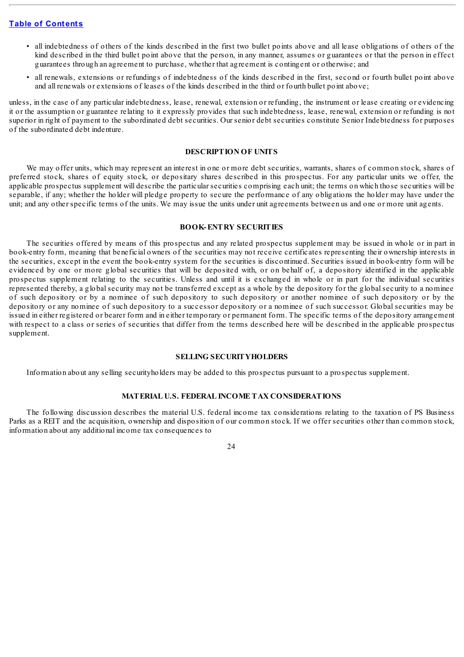- all indebtedness of others of the kinds described in the first two bullet points above and all lease obligations of others of the kind described in the third bullet point above that the person, in any manner, assumes or guarantees or that the person in effect guarantees through an agreement to purchase, whether that agreement is contingent or otherwise; and
- all renewals, extensions or refundings of indebtedness of the kinds described in the first, second or fourth bullet point above and all renewals or extensions of leases of the kinds described in the third or fourth bullet point above;

unless, in the case of any particular indebtedness, lease, renewal, extension or refunding, the instrument or lease creating or evidencing it or the assumption or guarantee relating to it expressly provides that such indebtedness, lease, renewal, extension or refunding is not superior in right of payment to the subordinated debt securities. Our senior debt securities constitute Senior Indebtedness for purposes of the subordinated debt indenture.

### **DESCRIPTION OF UNITS**

We may offer units, which may represent an interest in one or more debt securities, warrants, shares of common stock, shares of preferred stock, shares of equity stock, or depositary shares described in this prospectus. For any particular units we offer, the applicable prospectus supplement will describe the particular securities comprising each unit; the terms on which those securities will be separable, if any; whether the holder will pledge property to secure the performance of any obligations the holder may have under the unit; and any other specific terms of the units. We may issue the units under unit agreements between us and one or more unit agents.

#### **BOOK-ENTRY SECURITIES**

The securities offered by means of this prospectus and any related prospectus supplement may be issued in whole or in part in book-entry form, meaning that beneficial owners of the securities may not receive certificates representing their ownership interests in the securities, except in the event the book-entry system for the securities is discontinued. Securities issued in book-entry form will be evidenced by one or more global securities that will be deposited with, or on behalf of, a depository identified in the applicable prospectus supplement relating to the securities. Unless and until it is exchanged in whole or in part for the individual securities represented thereby, a global security may not be transferred except as a whole by the depository for the global security to a nominee of such depository or by a nominee of such depository to such depository or another nominee of such depository or by the depository or any nominee of such depository to a successor depository or a nominee of such successor. Global securities may be issued in either registered or bearer form and in either temporary or permanent form. The specific terms of the depository arrangement with respect to a class or series of securities that differ from the terms described here will be described in the applicable prospectus supplement.

#### **SELLING SECURITYHOLDERS**

Information about any selling securityholders may be added to this prospectus pursuant to a prospectus supplement.

### **MATERIAL U.S. FEDERAL INCOME TAX CONSIDERATIONS**

The following discussion describes the material U.S. federal income tax considerations relating to the taxation of PS Business Parks as a REIT and the acquisition, ownership and disposition of our common stock. If we offer securities other than common stock, information about any additional income tax consequences to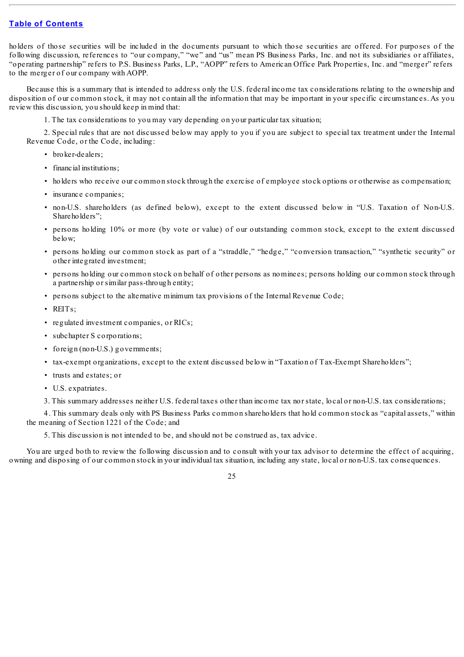holders of those securities will be included in the documents pursuant to which those securities are offered. For purposes of the following discussion, references to "our company," "we" and "us" mean PS Business Parks, Inc. and not its subsidiaries or affiliates, "operating partnership" refers to P.S. Business Parks, L.P., "AOPP" refers to American Office Park Properties, Inc. and "merger" refers to the merger of our company with AOPP.

Because this is a summary that is intended to address only the U.S. federal income tax considerations relating to the ownership and disposition of our common stock, it may not contain all the information that may be important in your specific circumstances. As you review this discussion, you should keep in mind that:

1. The tax considerations to you may vary depending on your particular tax situation;

2. Special rules that are not discussed below may apply to you if you are subject to special tax treatment under the Internal Revenue Code, or the Code, including:

- broker-dealers;
- financial institutions;
- holders who receive our common stock through the exercise of employee stock options or otherwise as compensation;
- insurance companies;
- non-U.S. shareholders (as defined below), except to the extent discussed below in "U.S. Taxation of Non-U.S. Shareholders";
- persons holding 10% or more (by vote or value) of our outstanding common stock, except to the extent discussed below;
- persons holding our common stock as part of a "straddle," "hedge," "conversion transaction," "synthetic security" or other integrated investment;
- persons holding our common stock on behalf of other persons as nominees; persons holding our common stock through a partnership or similar pass-through entity;
- persons subject to the alternative minimum tax provisions of the Internal Revenue Code;
- REITs;
- regulated investment companies, or RICs;
- subchapter S corporations;
- foreign (non-U.S.) governments;
- tax-exempt organizations, except to the extent discussed below in "Taxation of Tax-Exempt Shareholders";
- trusts and estates; or
- U.S. expatriates.

3. This summary addresses neither U.S. federal taxes other than income tax nor state, local or non-U.S. tax considerations;

4. This summary deals only with PS Business Parks common shareholders that hold common stock as "capital assets," within the meaning of Section 1221 of the Code; and

5. This discussion is not intended to be, and should not be construed as, tax advice.

You are urged both to review the following discussion and to consult with your tax advisor to determine the effect of acquiring, owning and disposing of our common stock in your individual tax situation, including any state, local or non-U.S. tax consequences.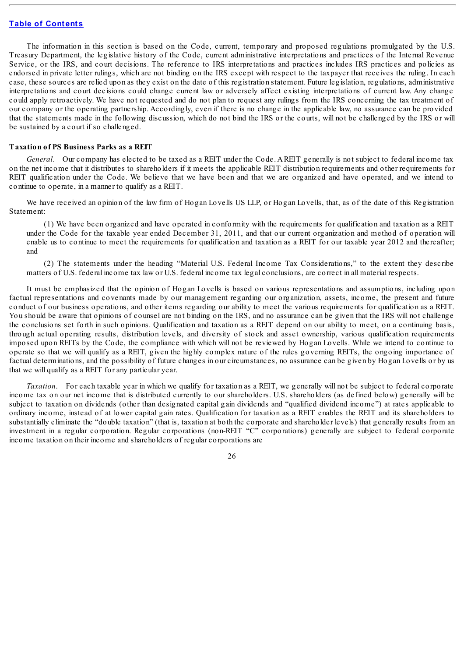The information in this section is based on the Code, current, temporary and proposed regulations promulgated by the U.S. Treasury Department, the legislative history of the Code, current administrative interpretations and practices of the Internal Revenue Service, or the IRS, and court decisions. The reference to IRS interpretations and practices includes IRS practices and policies as endorsed in private letter rulings, which are not binding on the IRS except with respect to the taxpayer that receives the ruling. In each case, these sources are relied upon as they exist on the date of this registration statement. Future legislation, regulations, administrative interpretations and court decisions could change current law or adversely affect existing interpretations of current law. Any change could apply retroactively. We have not requested and do not plan to request any rulings from the IRS concerning the tax treatment of our company or the operating partnership. Accordingly, even if there is no change in the applicable law, no assurance can be provided that the statements made in the following discussion, which do not bind the IRS or the courts, will not be challenged by the IRS or will be sustained by a court if so challenged.

#### **Taxation of PS Business Parks as a REIT**

*General*. Our company has elected to be taxed as a REIT under the Code. A REIT generally is not subject to federal income tax on the net income that it distributes to shareholders if it meets the applicable REIT distribution requirements and other requirements for REIT qualification under the Code. We believe that we have been and that we are organized and have operated, and we intend to continue to operate, in a manner to qualify as a REIT.

We have received an opinion of the law firm of Hogan Lovells US LLP, or Hogan Lovells, that, as of the date of this Registration Statement:

(1) We have been organized and have operated in conformity with the requirements for qualification and taxation as a REIT under the Code for the taxable year ended December 31, 2011, and that our current organization and method of operation will enable us to continue to meet the requirements for qualification and taxation as a REIT for our taxable year 2012 and thereafter; and

(2) The statements under the heading "Material U.S. Federal Income Tax Considerations," to the extent they describe matters of U.S. federal income tax law or U.S. federal income tax legal conclusions, are correct in all material respects.

It must be emphasized that the opinion of Hogan Lovells is based on various representations and assumptions, including upon factual representations and covenants made by our management regarding our organization, assets, income, the present and future conduct of our business operations, and other items regarding our ability to meet the various requirements for qualification as a REIT. You should be aware that opinions of counsel are not binding on the IRS, and no assurance can be given that the IRS will not challenge the conclusions set forth in such opinions. Qualification and taxation as a REIT depend on our ability to meet, on a continuing basis, through actual operating results, distribution levels, and diversity of stock and asset ownership, various qualification requirements imposed upon REITs by the Code, the compliance with which will not be reviewed by Hogan Lovells. While we intend to continue to operate so that we will qualify as a REIT, given the highly complex nature of the rules governing REITs, the ongoing importance of factual determinations, and the possibility of future changes in our circumstances, no assurance can be given by Hogan Lovells or by us that we will qualify as a REIT for any particular year.

*Taxation*. For each taxable year in which we qualify for taxation as a REIT, we generally will not be subject to federal corporate income tax on our net income that is distributed currently to our shareholders. U.S. shareholders (as defined below) generally will be subject to taxation on dividends (other than designated capital gain dividends and "qualified dividend income") at rates applicable to ordinary income, instead of at lower capital gain rates. Qualification for taxation as a REIT enables the REIT and its shareholders to substantially eliminate the "double taxation" (that is, taxation at both the corporate and shareholder levels) that generally results from an investment in a regular corporation. Regular corporations (non-REIT "C" corporations) generally are subject to federal corporate income taxation on their income and shareholders of regular corporations are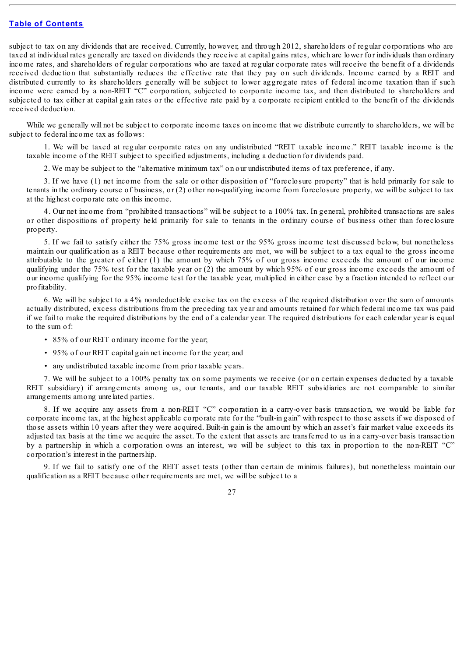subject to tax on any dividends that are received. Currently, however, and through 2012, shareholders of regular corporations who are taxed at individual rates generally are taxed on dividends they receive at capital gains rates, which are lower for individuals than ordinary income rates, and shareholders of regular corporations who are taxed at regular corporate rates will receive the benefit of a dividends received deduction that substantially reduces the effective rate that they pay on such dividends. Income earned by a REIT and distributed currently to its shareholders generally will be subject to lower aggregate rates of federal income taxation than if such income were earned by a non-REIT "C" corporation, subjected to corporate income tax, and then distributed to shareholders and subjected to tax either at capital gain rates or the effective rate paid by a corporate recipient entitled to the benefit of the dividends received deduction.

While we generally will not be subject to corporate income taxes on income that we distribute currently to shareholders, we will be subject to federal income tax as follows:

1. We will be taxed at regular corporate rates on any undistributed "REIT taxable income." REIT taxable income is the taxable income of the REIT subject to specified adjustments, including a deduction for dividends paid.

2. We may be subject to the "alternative minimum tax" on our undistributed items of tax preference, if any.

3. If we have (1) net income from the sale or other disposition of "foreclosure property" that is held primarily for sale to tenants in the ordinary course of business, or (2) other non-qualifying income from foreclosure property, we will be subject to tax at the highest corporate rate on this income.

4. Our net income from "prohibited transactions" will be subject to a 100% tax. In general, prohibited transactions are sales or other dispositions of property held primarily for sale to tenants in the ordinary course of business other than foreclosure property.

5. If we fail to satisfy either the 75% gross income test or the 95% gross income test discussed below, but nonetheless maintain our qualification as a REIT because other requirements are met, we will be subject to a tax equal to the gross income attributable to the greater of either (1) the amount by which 75% of our gross income exceeds the amount of our income qualifying under the 75% test for the taxable year or (2) the amount by which 95% of our gross income exceeds the amount of our income qualifying for the 95% income test for the taxable year, multiplied in either case by a fraction intended to reflect our profitability.

6. We will be subject to a 4% nondeductible excise tax on the excess of the required distribution over the sum of amounts actually distributed, excess distributions from the preceding tax year and amounts retained for which federal income tax was paid if we fail to make the required distributions by the end of a calendar year. The required distributions for each calendar year is equal to the sum of:

- 85% of our REIT ordinary income for the year;
- 95% of our REIT capital gain net income for the year; and
- any undistributed taxable income from prior taxable years.

7. We will be subject to a 100% penalty tax on some payments we receive (or on certain expenses deducted by a taxable REIT subsidiary) if arrangements among us, our tenants, and our taxable REIT subsidiaries are not comparable to similar arrangements among unrelated parties.

8. If we acquire any assets from a non-REIT "C" corporation in a carry-over basis transaction, we would be liable for corporate income tax, at the highest applicable corporate rate for the "built-in gain" with respect to those assets if we disposed of those assets within 10 years after they were acquired. Built-in gain is the amount by which an asset's fair market value exceeds its adjusted tax basis at the time we acquire the asset. To the extent that assets are transferred to us in a carry-over basis transaction by a partnership in which a corporation owns an interest, we will be subject to this tax in proportion to the non-REIT "C" corporation's interest in the partnership.

9. If we fail to satisfy one of the REIT asset tests (other than certain de minimis failures), but nonetheless maintain our qualification as a REIT because other requirements are met, we will be subject to a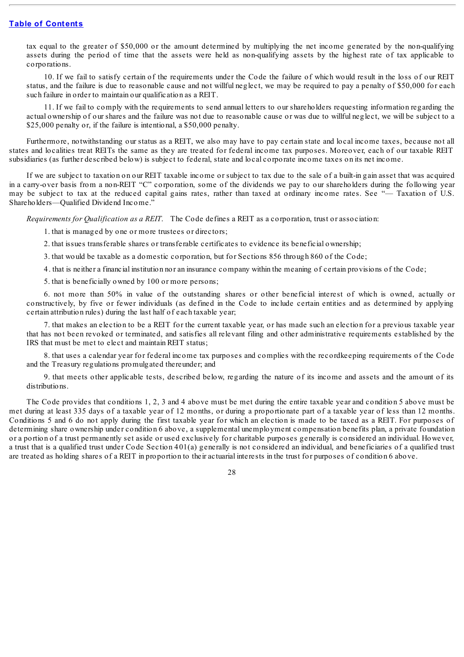tax equal to the greater of \$50,000 or the amount determined by multiplying the net income generated by the non-qualifying assets during the period of time that the assets were held as non-qualifying assets by the highest rate of tax applicable to corporations.

10. If we fail to satisfy certain of the requirements under the Code the failure of which would result in the loss of our REIT status, and the failure is due to reasonable cause and not willful neglect, we may be required to pay a penalty of \$50,000 for each such failure in order to maintain our qualification as a REIT.

11. If we fail to comply with the requirements to send annual letters to our shareholders requesting information regarding the actual ownership of our shares and the failure was not due to reasonable cause or was due to willful neglect, we will be subject to a \$25,000 penalty or, if the failure is intentional, a \$50,000 penalty.

Furthermore, notwithstanding our status as a REIT, we also may have to pay certain state and local income taxes, because not all states and localities treat REITs the same as they are treated for federal income tax purposes. Moreover, each of our taxable REIT subsidiaries (as further described below) is subject to federal, state and local corporate income taxes on its net income.

If we are subject to taxation on our REIT taxable income or subject to tax due to the sale of a built-in gain asset that was acquired in a carry-over basis from a non-REIT "C" corporation, some of the dividends we pay to our shareholders during the following year may be subject to tax at the reduced capital gains rates, rather than taxed at ordinary income rates. See "— Taxation of U.S. Shareholders—Qualified Dividend Income."

*Requirements for Qualification as a REIT*. The Code defines a REIT as a corporation, trust or association:

1. that is managed by one or more trustees or directors;

2. that issues transferable shares or transferable certificates to evidence its beneficial ownership;

3. that would be taxable as a domestic corporation, but for Sections 856 through 860 of the Code;

4. that is neither a financial institution nor an insurance company within the meaning of certain provisions of the Code;

5. that is beneficially owned by 100 or more persons;

6. not more than 50% in value of the outstanding shares or other beneficial interest of which is owned, actually or constructively, by five or fewer individuals (as defined in the Code to include certain entities and as determined by applying certain attribution rules) during the last half of each taxable year;

7. that makes an election to be a REIT for the current taxable year, or has made such an election for a previous taxable year that has not been revoked or terminated, and satisfies all relevant filing and other administrative requirements established by the IRS that must be met to elect and maintain REIT status;

8. that uses a calendar year for federal income tax purposes and complies with the recordkeeping requirements of the Code and the Treasury regulations promulgated thereunder; and

9. that meets other applicable tests, described below, regarding the nature of its income and assets and the amount of its distributions.

The Code provides that conditions 1, 2, 3 and 4 above must be met during the entire taxable year and condition 5 above must be met during at least 335 days of a taxable year of 12 months, or during a proportionate part of a taxable year of less than 12 months. Conditions 5 and 6 do not apply during the first taxable year for which an election is made to be taxed as a REIT. For purposes of determining share ownership under condition 6 above, a supplemental unemployment compensation benefits plan, a private foundation or a portion of a trust permanently set aside or used exclusively for charitable purposes generally is considered an individual. However, a trust that is a qualified trust under Code Section 401(a) generally is not considered an individual, and beneficiaries of a qualified trust are treated as holding shares of a REIT in proportion to their actuarial interests in the trust for purposes of condition 6 above.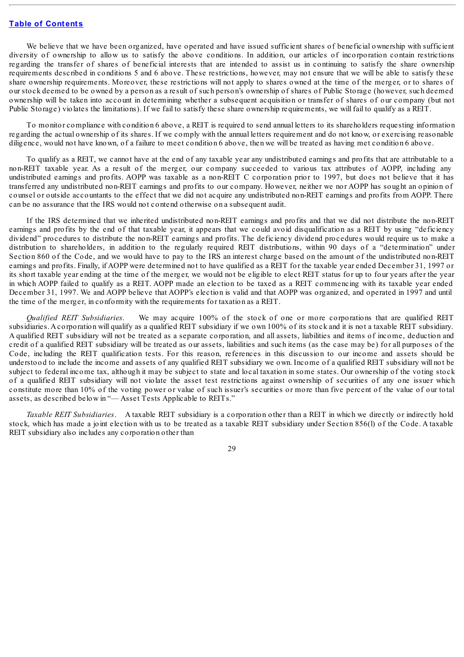We believe that we have been organized, have operated and have issued sufficient shares of beneficial ownership with sufficient diversity of ownership to allow us to satisfy the above conditions. In addition, our articles of incorporation contain restrictions regarding the transfer of shares of beneficial interests that are intended to assist us in continuing to satisfy the share ownership requirements described in conditions 5 and 6 above. These restrictions, however, may not ensure that we will be able to satisfy these share ownership requirements. Moreover, these restrictions will not apply to shares owned at the time of the merger, or to shares of our stock deemed to be owned by a person as a result of such person's ownership of shares of Public Storage (however, such deemed ownership will be taken into account in determining whether a subsequent acquisition or transfer of shares of our company (but not Public Storage) violates the limitations). If we fail to satisfy these share ownership requirements, we will fail to qualify as a REIT.

To monitor compliance with condition 6 above, a REIT is required to send annual letters to its shareholders requesting information regarding the actual ownership of its shares. If we comply with the annual letters requirement and do not know, or exercising reasonable diligence, would not have known, of a failure to meet condition 6 above, then we will be treated as having met condition 6 above.

To qualify as a REIT, we cannot have at the end of any taxable year any undistributed earnings and profits that are attributable to a non-REIT taxable year. As a result of the merger, our company succeeded to various tax attributes of AOPP, including any undistributed earnings and profits. AOPP was taxable as a non-REIT C corporation prior to 1997, but does not believe that it has transferred any undistributed non-REIT earnings and profits to our company. However, neither we nor AOPP has sought an opinion of counsel or outside accountants to the effect that we did not acquire any undistributed non-REIT earnings and profits from AOPP. There can be no assurance that the IRS would not contend otherwise on a subsequent audit.

If the IRS determined that we inherited undistributed non-REIT earnings and profits and that we did not distribute the non-REIT earnings and profits by the end of that taxable year, it appears that we could avoid disqualification as a REIT by using "deficiency dividend" procedures to distribute the non-REIT earnings and profits. The deficiency dividend procedures would require us to make a distribution to shareholders, in addition to the regularly required REIT distributions, within 90 days of a "determination" under Section 860 of the Code, and we would have to pay to the IRS an interest charge based on the amount of the undistributed non-REIT earnings and profits. Finally, if AOPP were determined not to have qualified as a REIT for the taxable year ended December 31, 1997 or its short taxable year ending at the time of the merger, we would not be eligible to elect REIT status for up to four years after the year in which AOPP failed to qualify as a REIT. AOPP made an election to be taxed as a REIT commencing with its taxable year ended December 31, 1997. We and AOPP believe that AOPP's election is valid and that AOPP was organized, and operated in 1997 and until the time of the merger, in conformity with the requirements for taxation as a REIT.

*Qualified REIT Subsidiaries*. We may acquire 100% of the stock of one or more corporations that are qualified REIT subsidiaries. Acorporation will qualify as a qualified REIT subsidiary if we own 100% of its stock and it is not a taxable REIT subsidiary. A qualified REIT subsidiary will not be treated as a separate corporation, and all assets, liabilities and items of income, deduction and credit of a qualified REIT subsidiary will be treated as our assets, liabilities and such items (as the case may be) for all purposes of the Code, including the REIT qualification tests. For this reason, references in this discussion to our income and assets should be understood to include the income and assets of any qualified REIT subsidiary we own. Income of a qualified REIT subsidiary will not be subject to federal income tax, although it may be subject to state and local taxation in some states. Our ownership of the voting stock of a qualified REIT subsidiary will not violate the asset test restrictions against ownership of securities of any one issuer which constitute more than 10% of the voting power or value of such issuer's securities or more than five percent of the value of our total assets, as described below in "— Asset Tests Applicable to REITs."

*Taxable REIT Subsidiaries*. A taxable REIT subsidiary is a corporation other than a REIT in which we directly or indirectly hold stock, which has made a joint election with us to be treated as a taxable REIT subsidiary under Section 856(l) of the Code. A taxable REIT subsidiary also includes any corporation other than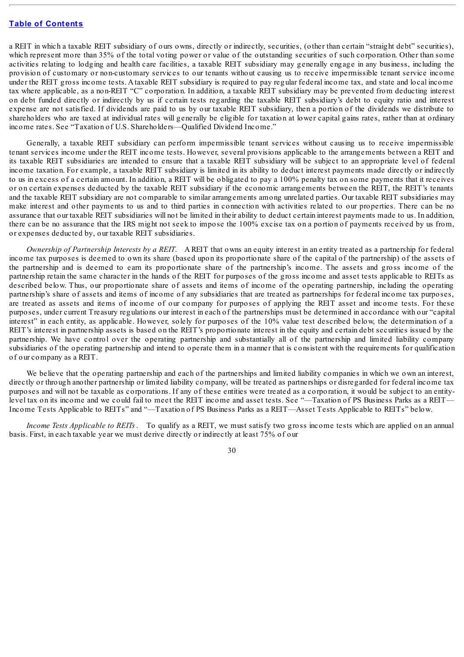a REIT in which a taxable REIT subsidiary of ours owns, directly or indirectly, securities, (other than certain "straight debt" securities), which represent more than 35% of the total voting power or value of the outstanding securities of such corporation. Other than some activities relating to lodging and health care facilities, a taxable REIT subsidiary may generally engage in any business, including the provision of customary or non-customary services to our tenants without causing us to receive impermissible tenant service income under the REIT gross income tests. A taxable REIT subsidiary is required to pay regular federal income tax, and state and local income tax where applicable, as a non-REIT "C" corporation. In addition, a taxable REIT subsidiary may be prevented from deducting interest on debt funded directly or indirectly by us if certain tests regarding the taxable REIT subsidiary's debt to equity ratio and interest expense are not satisfied. If dividends are paid to us by our taxable REIT subsidiary, then a portion of the dividends we distribute to shareholders who are taxed at individual rates will generally be eligible for taxation at lower capital gains rates, rather than at ordinary income rates. See "Taxation of U.S. Shareholders—Qualified Dividend Income."

Generally, a taxable REIT subsidiary can perform impermissible tenant services without causing us to receive impermissible tenant services income under the REIT income tests. However, several provisions applicable to the arrangements between a REIT and its taxable REIT subsidiaries are intended to ensure that a taxable REIT subsidiary will be subject to an appropriate level of federal income taxation. For example, a taxable REIT subsidiary is limited in its ability to deduct interest payments made directly or indirectly to us in excess of a certain amount. In addition, a REIT will be obligated to pay a 100% penalty tax on some payments that it receives or on certain expenses deducted by the taxable REIT subsidiary if the economic arrangements between the REIT, the REIT's tenants and the taxable REIT subsidiary are not comparable to similar arrangements among unrelated parties. Our taxable REIT subsidiaries may make interest and other payments to us and to third parties in connection with activities related to our properties. There can be no assurance that our taxable REIT subsidiaries will not be limited in their ability to deduct certain interest payments made to us. In addition, there can be no assurance that the IRS might not seek to impose the 100% excise tax on a portion of payments received by us from, or expenses deducted by, our taxable REIT subsidiaries.

*Ownership of Partnership Interests by a REIT*. A REIT that owns an equity interest in an entity treated as a partnership for federal income tax purposes is deemed to own its share (based upon its proportionate share of the capital of the partnership) of the assets of the partnership and is deemed to earn its proportionate share of the partnership's income. The assets and gross income of the partnership retain the same character in the hands of the REIT for purposes of the gross income and asset tests applicable to REITs as described below. Thus, our proportionate share of assets and items of income of the operating partnership, including the operating partnership's share of assets and items of income of any subsidiaries that are treated as partnerships for federal income tax purposes, are treated as assets and items of income of our company for purposes of applying the REIT asset and income tests. For these purposes, under current Treasury regulations our interest in each of the partnerships must be determined in accordance with our "capital interest" in each entity, as applicable. However, solely for purposes of the 10% value test described below, the determination of a REIT's interest in partnership assets is based on the REIT's proportionate interest in the equity and certain debt securities issued by the partnership. We have control over the operating partnership and substantially all of the partnership and limited liability company subsidiaries of the operating partnership and intend to operate them in a manner that is consistent with the requirements for qualification of our company as a REIT.

We believe that the operating partnership and each of the partnerships and limited liability companies in which we own an interest, directly or through another partnership or limited liability company, will be treated as partnerships or disregarded for federal income tax purposes and will not be taxable as corporations. If any of these entities were treated as a corporation, it would be subject to an entitylevel tax on its income and we could fail to meet the REIT income and asset tests. See "—Taxation of PS Business Parks as a REIT— Income Tests Applicable to REITs" and "—Taxation of PS Business Parks as a REIT—Asset Tests Applicable to REITs" below.

*Income Tests Applicable to REITs*. To qualify as a REIT, we must satisfy two gross income tests which are applied on an annual basis. First, in each taxable year we must derive directly or indirectly at least 75% of our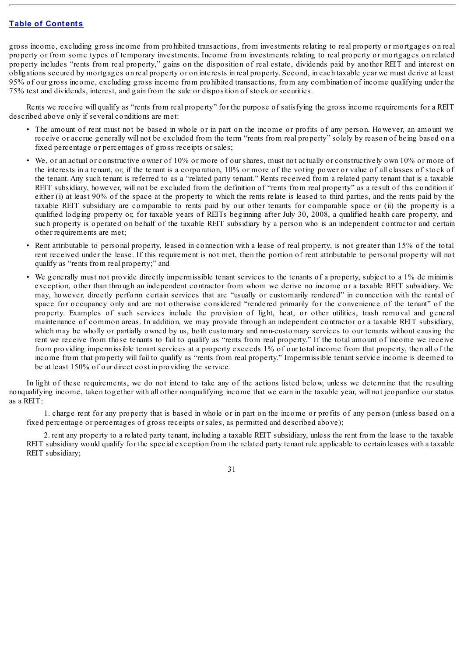gross income, excluding gross income from prohibited transactions, from investments relating to real property or mortgages on real property or from some types of temporary investments. Income from investments relating to real property or mortgages on related property includes "rents from real property," gains on the disposition of real estate, dividends paid by another REIT and interest on obligations secured by mortgages on real property or on interests in real property. Second, in each taxable year we must derive at least 95% of our gross income, excluding gross income from prohibited transactions, from any combination of income qualifying under the 75% test and dividends, interest, and gain from the sale or disposition of stock or securities.

Rents we receive will qualify as "rents from real property" for the purpose of satisfying the gross income requirements for a REIT described above only if several conditions are met:

- The amount of rent must not be based in whole or in part on the income or profits of any person. However, an amount we receive or accrue generally will not be excluded from the term "rents from real property" solely by reason of being based on a fixed percentage or percentages of gross receipts or sales;
- We, or an actual or constructive owner of 10% or more of our shares, must not actually or constructively own 10% or more of the interests in a tenant, or, if the tenant is a corporation, 10% or more of the voting power or value of all classes of stock of the tenant. Any such tenant is referred to as a "related party tenant." Rents received from a related party tenant that is a taxable REIT subsidiary, however, will not be excluded from the definition of "rents from real property" as a result of this condition if either (i) at least 90% of the space at the property to which the rents relate is leased to third parties, and the rents paid by the taxable REIT subsidiary are comparable to rents paid by our other tenants for comparable space or (ii) the property is a qualified lodging property or, for taxable years of REITs beginning after July 30, 2008, a qualified health care property, and such property is operated on behalf of the taxable REIT subsidiary by a person who is an independent contractor and certain other requirements are met;
- Rent attributable to personal property, leased in connection with a lease of real property, is not greater than 15% of the total rent received under the lease. If this requirement is not met, then the portion of rent attributable to personal property will not qualify as "rents from real property;" and
- We generally must not provide directly impermissible tenant services to the tenants of a property, subject to a 1% de minimis exception, other than through an independent contractor from whom we derive no income or a taxable REIT subsidiary. We may, however, directly perform certain services that are "usually or customarily rendered" in connection with the rental of space for occupancy only and are not otherwise considered "rendered primarily for the convenience of the tenant" of the property. Examples of such services include the provision of light, heat, or other utilities, trash removal and general maintenance of common areas. In addition, we may provide through an independent contractor or a taxable REIT subsidiary, which may be wholly or partially owned by us, both customary and non-customary services to our tenants without causing the rent we receive from those tenants to fail to qualify as "rents from real property." If the total amount of income we receive from providing impermissible tenant services at a property exceeds 1% of our total income from that property, then all of the income from that property will fail to qualify as "rents from real property." Impermissible tenant service income is deemed to be at least 150% of our direct cost in providing the service.

In light of these requirements, we do not intend to take any of the actions listed below, unless we determine that the resulting nonqualifying income, taken together with all other nonqualifying income that we earn in the taxable year, will not jeopardize our status as a REIT:

1. charge rent for any property that is based in whole or in part on the income or profits of any person (unless based on a fixed percentage or percentages of gross receipts or sales, as permitted and described above);

2. rent any property to a related party tenant, including a taxable REIT subsidiary, unless the rent from the lease to the taxable REIT subsidiary would qualify for the special exception from the related party tenant rule applicable to certain leases with a taxable REIT subsidiary;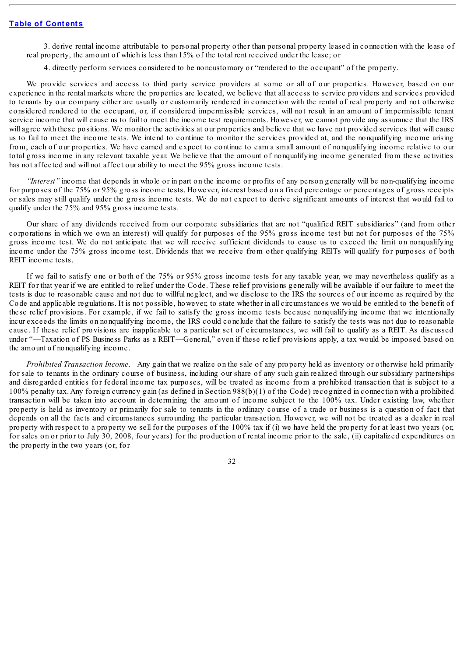3. derive rental income attributable to personal property other than personal property leased in connection with the lease of real property, the amount of which is less than 15% of the total rent received under the lease; or

4. directly perform services considered to be noncustomary or "rendered to the occupant" of the property.

We provide services and access to third party service providers at some or all of our properties. However, based on our experience in the rental markets where the properties are located, we believe that all access to service providers and services provided to tenants by our company either are usually or customarily rendered in connection with the rental of real property and not otherwise considered rendered to the occupant, or, if considered impermissible services, will not result in an amount of impermissible tenant service income that will cause us to fail to meet the income test requirements. However, we cannot provide any assurance that the IRS will agree with these positions. We monitor the activities at our properties and believe that we have not provided services that will cause us to fail to meet the income tests. We intend to continue to monitor the services provided at, and the nonqualifying income arising from, each of our properties. We have earned and expect to continue to earn a small amount of nonqualifying income relative to our total gross income in any relevant taxable year. We believe that the amount of nonqualifying income generated from these activities has not affected and will not affect our ability to meet the 95% gross income tests.

*"Interest"* income that depends in whole or in part on the income or profits of any person generally will be non-qualifying income for purposes of the 75% or 95% gross income tests. However, interest based on a fixed percentage or percentages of gross receipts or sales may still qualify under the gross income tests. We do not expect to derive significant amounts of interest that would fail to qualify under the 75% and 95% gross income tests.

Our share of any dividends received from our corporate subsidiaries that are not "qualified REIT subsidiaries" (and from other corporations in which we own an interest) will qualify for purposes of the 95% gross income test but not for purposes of the 75% gross income test. We do not anticipate that we will receive sufficient dividends to cause us to exceed the limit on nonqualifying income under the 75% gross income test. Dividends that we receive from other qualifying REITs will qualify for purposes of both REIT income tests.

If we fail to satisfy one or both of the 75% or 95% gross income tests for any taxable year, we may nevertheless qualify as a REIT for that year if we are entitled to relief under the Code. These relief provisions generally will be available if our failure to meet the tests is due to reasonable cause and not due to willful neglect, and we disclose to the IRS the sources of our income as required by the Code and applicable regulations. It is not possible, however, to state whether in all circumstances we would be entitled to the benefit of these relief provisions. For example, if we fail to satisfy the gross income tests because nonqualifying income that we intentionally incur exceeds the limits on nonqualifying income, the IRS could conclude that the failure to satisfy the tests was not due to reasonable cause. If these relief provisions are inapplicable to a particular set of circumstances, we will fail to qualify as a REIT. As discussed under "—Taxation of PS Business Parks as a REIT—General," even if these relief provisions apply, a tax would be imposed based on the amount of nonqualifying income.

*Prohibited Transaction Income*. Any gain that we realize on the sale of any property held as inventory or otherwise held primarily for sale to tenants in the ordinary course of business, including our share of any such gain realized through our subsidiary partnerships and disregarded entities for federal income tax purposes, will be treated as income from a prohibited transaction that is subject to a 100% penalty tax. Any foreign currency gain (as defined in Section 988(b)(1) of the Code) recognized in connection with a prohibited transaction will be taken into account in determining the amount of income subject to the 100% tax. Under existing law, whether property is held as inventory or primarily for sale to tenants in the ordinary course of a trade or business is a question of fact that depends on all the facts and circumstances surrounding the particular transaction. However, we will not be treated as a dealer in real property with respect to a property we sell for the purposes of the 100% tax if (i) we have held the property for at least two years (or, for sales on or prior to July 30, 2008, four years) for the production of rental income prior to the sale, (ii) capitalized expenditures on the property in the two years (or, for

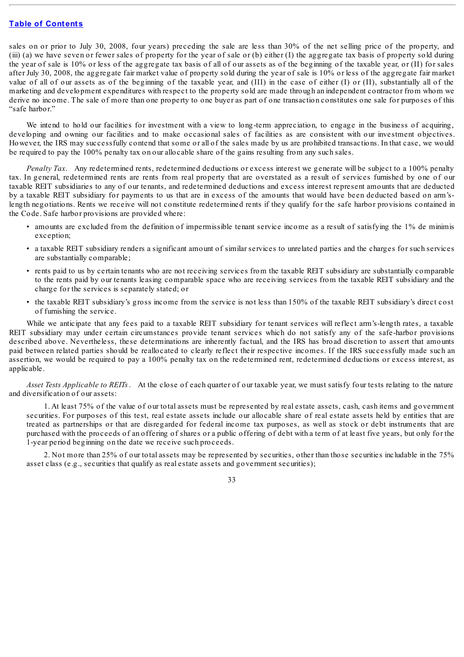sales on or prior to July 30, 2008, four years) preceding the sale are less than 30% of the net selling price of the property, and (iii) (a) we have seven or fewer sales of property for the year of sale or (b) either (I) the aggregate tax basis of property sold during the year of sale is 10% or less of the aggregate tax basis of all of our assets as of the beginning of the taxable year, or (II) for sales after July 30, 2008, the aggregate fair market value of property sold during the year of sale is 10% or less of the aggregate fair market value of all of our assets as of the beginning of the taxable year, and (III) in the case of either (I) or (II), substantially all of the marketing and development expenditures with respect to the property sold are made through an independent contractor from whom we derive no income. The sale of more than one property to one buyer as part of one transaction constitutes one sale for purposes of this "safe harbor."

We intend to hold our facilities for investment with a view to long-term appreciation, to engage in the business of acquiring, developing and owning our facilities and to make occasional sales of facilities as are consistent with our investment objectives. However, the IRS may successfully contend that some or all of the sales made by us are prohibited transactions. In that case, we would be required to pay the 100% penalty tax on our allocable share of the gains resulting from any such sales.

*Penalty Tax*. Any redetermined rents, redetermined deductions or excess interest we generate will be subject to a 100% penalty tax. In general, redetermined rents are rents from real property that are overstated as a result of services furnished by one of our taxable REIT subsidiaries to any of our tenants, and redetermined deductions and excess interest represent amounts that are deducted by a taxable REIT subsidiary for payments to us that are in excess of the amounts that would have been deducted based on arm'slength negotiations. Rents we receive will not constitute redetermined rents if they qualify for the safe harbor provisions contained in the Code. Safe harbor provisions are provided where:

- amounts are excluded from the definition of impermissible tenant service income as a result of satisfying the 1% de minimis exception;
- a taxable REIT subsidiary renders a significant amount of similar services to unrelated parties and the charges for such services are substantially comparable;
- rents paid to us by certain tenants who are not receiving services from the taxable REIT subsidiary are substantially comparable to the rents paid by our tenants leasing comparable space who are receiving services from the taxable REIT subsidiary and the charge for the services is separately stated; or
- the taxable REIT subsidiary's gross income from the service is not less than 150% of the taxable REIT subsidiary's direct cost of furnishing the service.

While we anticipate that any fees paid to a taxable REIT subsidiary for tenant services will reflect arm's-length rates, a taxable REIT subsidiary may under certain circumstances provide tenant services which do not satisfy any of the safe-harbor provisions described above. Nevertheless, these determinations are inherently factual, and the IRS has broad discretion to assert that amounts paid between related parties should be reallocated to clearly reflect their respective incomes. If the IRS successfully made such an assertion, we would be required to pay a 100% penalty tax on the redetermined rent, redetermined deductions or excess interest, as applicable.

*Asset Tests Applicable to REITs*. At the close of each quarter of our taxable year, we must satisfy four tests relating to the nature and diversification of our assets:

1. At least 75% of the value of our total assets must be represented by real estate assets, cash, cash items and government securities. For purposes of this test, real estate assets include our allocable share of real estate assets held by entities that are treated as partnerships or that are disregarded for federal income tax purposes, as well as stock or debt instruments that are purchased with the proceeds of an offering of shares or a public offering of debt with a term of at least five years, but only for the 1-year period beginning on the date we receive such proceeds.

2. Not more than 25% of our total assets may be represented by securities, other than those securities includable in the 75% asset class (e.g., securities that qualify as real estate assets and government securities);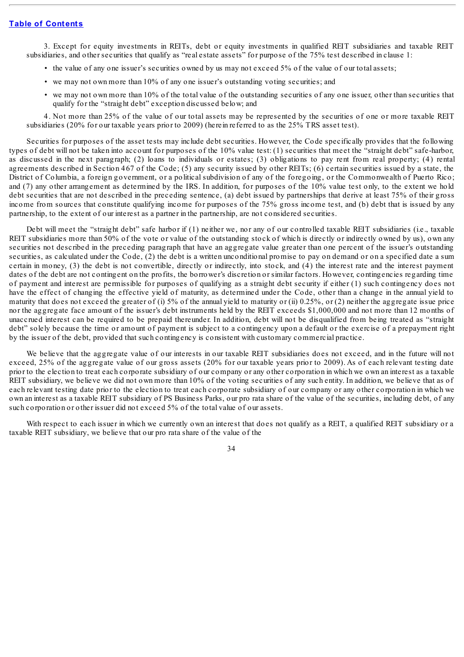3. Except for equity investments in REITs, debt or equity investments in qualified REIT subsidiaries and taxable REIT subsidiaries, and other securities that qualify as "real estate assets" for purpose of the 75% test described in clause 1:

- the value of any one issuer's securities owned by us may not exceed 5% of the value of our total assets;
- we may not own more than 10% of any one issuer's outstanding voting securities; and
- we may not own more than 10% of the total value of the outstanding securities of any one issuer, other than securities that qualify for the "straight debt" exception discussed below; and

4. Not more than 25% of the value of our total assets may be represented by the securities of one or more taxable REIT subsidiaries (20% for our taxable years prior to 2009) (herein referred to as the 25% TRS asset test).

Securities for purposes of the asset tests may include debt securities. However, the Code specifically provides that the following types of debt will not be taken into account for purposes of the 10% value test: (1) securities that meet the "straight debt" safe-harbor, as discussed in the next paragraph; (2) loans to individuals or estates; (3) obligations to pay rent from real property; (4) rental agreements described in Section 467 of the Code; (5) any security issued by other REITs; (6) certain securities issued by a state, the District of Columbia, a foreign government, or a political subdivision of any of the foregoing, or the Commonwealth of Puerto Rico; and (7) any other arrangement as determined by the IRS. In addition, for purposes of the 10% value test only, to the extent we hold debt securities that are not described in the preceding sentence, (a) debt issued by partnerships that derive at least 75% of their gross income from sources that constitute qualifying income for purposes of the 75% gross income test, and (b) debt that is issued by any partnership, to the extent of our interest as a partner in the partnership, are not considered securities.

Debt will meet the "straight debt" safe harbor if (1) neither we, nor any of our controlled taxable REIT subsidiaries (i.e., taxable REIT subsidiaries more than 50% of the vote or value of the outstanding stock of which is directly or indirectly owned by us), own any securities not described in the preceding paragraph that have an aggregate value greater than one percent of the issuer's outstanding securities, as calculated under the Code, (2) the debt is a written unconditional promise to pay on demand or on a specified date a sum certain in money, (3) the debt is not convertible, directly or indirectly, into stock, and (4) the interest rate and the interest payment dates of the debt are not contingent on the profits, the borrower's discretion or similar factors. However, contingencies regarding time of payment and interest are permissible for purposes of qualifying as a straight debt security if either (1) such contingency does not have the effect of changing the effective yield of maturity, as determined under the Code, other than a change in the annual yield to maturity that does not exceed the greater of (i) 5% of the annual yield to maturity or (ii) 0.25%, or (2) neither the aggregate issue price nor the aggregate face amount of the issuer's debt instruments held by the REIT exceeds \$1,000,000 and not more than 12 months of unaccrued interest can be required to be prepaid thereunder. In addition, debt will not be disqualified from being treated as "straight debt" solely because the time or amount of payment is subject to a contingency upon a default or the exercise of a prepayment right by the issuer of the debt, provided that such contingency is consistent with customary commercial practice.

We believe that the aggregate value of our interests in our taxable REIT subsidiaries does not exceed, and in the future will not exceed, 25% of the aggregate value of our gross assets (20% for our taxable years prior to 2009). As of each relevant testing date prior to the election to treat each corporate subsidiary of our company or any other corporation in which we own an interest as a taxable REIT subsidiary, we believe we did not own more than 10% of the voting securities of any such entity. In addition, we believe that as of each relevant testing date prior to the election to treat each corporate subsidiary of our company or any other corporation in which we own an interest as a taxable REIT subsidiary of PS Business Parks, our pro rata share of the value of the securities, including debt, of any such corporation or other issuer did not exceed 5% of the total value of our assets.

With respect to each issuer in which we currently own an interest that does not qualify as a REIT, a qualified REIT subsidiary or a taxable REIT subsidiary, we believe that our pro rata share of the value of the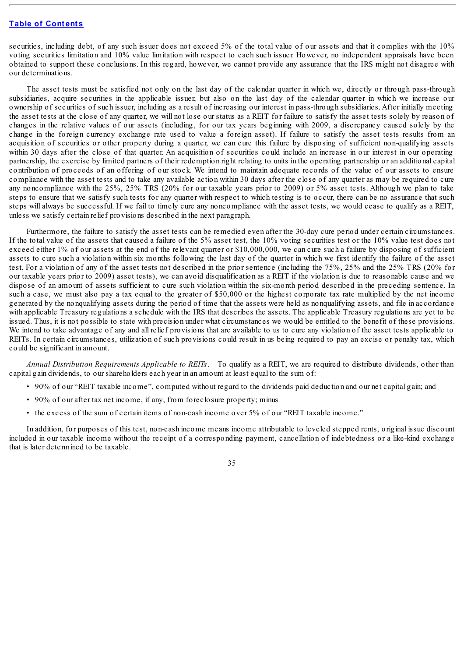securities, including debt, of any such issuer does not exceed 5% of the total value of our assets and that it complies with the 10% voting securities limitation and 10% value limitation with respect to each such issuer. However, no independent appraisals have been obtained to support these conclusions. In this regard, however, we cannot provide any assurance that the IRS might not disagree with our determinations.

The asset tests must be satisfied not only on the last day of the calendar quarter in which we, directly or through pass-through subsidiaries, acquire securities in the applicable issuer, but also on the last day of the calendar quarter in which we increase our ownership of securities of such issuer, including as a result of increasing our interest in pass-through subsidiaries. After initially meeting the asset tests at the close of any quarter, we will not lose our status as a REIT for failure to satisfy the asset tests solely by reason of changes in the relative values of our assets (including, for our tax years beginning with 2009, a discrepancy caused solely by the change in the foreign currency exchange rate used to value a foreign asset). If failure to satisfy the asset tests results from an acquisition of securities or other property during a quarter, we can cure this failure by disposing of sufficient non-qualifying assets within 30 days after the close of that quarter. An acquisition of securities could include an increase in our interest in our operating partnership, the exercise by limited partners of their redemption right relating to units in the operating partnership or an additional capital contribution of proceeds of an offering of our stock. We intend to maintain adequate records of the value of our assets to ensure compliance with the asset tests and to take any available action within 30 days after the close of any quarter as may be required to cure any noncompliance with the 25%, 25% TRS (20% for our taxable years prior to 2009) or 5% asset tests. Although we plan to take steps to ensure that we satisfy such tests for any quarter with respect to which testing is to occur, there can be no assurance that such steps will always be successful. If we fail to timely cure any noncompliance with the asset tests, we would cease to qualify as a REIT, unless we satisfy certain relief provisions described in the next paragraph.

Furthermore, the failure to satisfy the asset tests can be remedied even after the 30-day cure period under certain circumstances. If the total value of the assets that caused a failure of the 5% asset test, the 10% voting securities test or the 10% value test does not exceed either 1% of our assets at the end of the relevant quarter or \$10,000,000, we can cure such a failure by disposing of sufficient assets to cure such a violation within six months following the last day of the quarter in which we first identify the failure of the asset test. For a violation of any of the asset tests not described in the prior sentence (including the 75%, 25% and the 25% TRS (20% for our taxable years prior to 2009) asset tests), we can avoid disqualification as a REIT if the violation is due to reasonable cause and we dispose of an amount of assets sufficient to cure such violation within the six-month period described in the preceding sentence. In such a case, we must also pay a tax equal to the greater of \$50,000 or the highest corporate tax rate multiplied by the net income generated by the nonqualifying assets during the period of time that the assets were held as nonqualifying assets, and file in accordance with applicable Treasury regulations a schedule with the IRS that describes the assets. The applicable Treasury regulations are yet to be issued. Thus, it is not possible to state with precision under what circumstances we would be entitled to the benefit of these provisions. We intend to take advantage of any and all relief provisions that are available to us to cure any violation of the asset tests applicable to REITs. In certain circumstances, utilization of such provisions could result in us being required to pay an excise or penalty tax, which could be significant in amount.

*Annual Distribution Requirements Applicable to REITs*. To qualify as a REIT, we are required to distribute dividends, other than capital gain dividends, to our shareholders each year in an amount at least equal to the sum of:

- 90% of our "REIT taxable income", computed without regard to the dividends paid deduction and our net capital gain; and
- 90% of our after tax net income, if any, from foreclosure property; minus
- the excess of the sum of certain items of non-cash income over 5% of our "REIT taxable income."

In addition, for purposes of this test, non-cash income means income attributable to leveled stepped rents, original issue discount included in our taxable income without the receipt of a corresponding payment, cancellation of indebtedness or a like-kind exchange that is later determined to be taxable.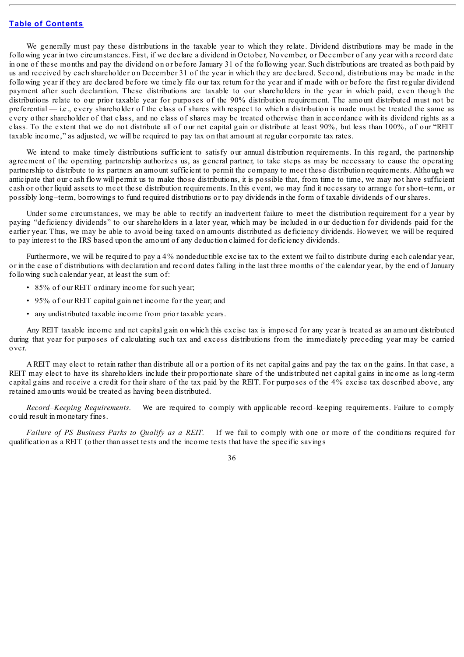We generally must pay these distributions in the taxable year to which they relate. Dividend distributions may be made in the following year in two circumstances. First, if we declare a dividend in October, November, or December of any year with a record date in one of these months and pay the dividend on or before January 31 of the following year. Such distributions are treated as both paid by us and received by each shareholder on December 31 of the year in which they are declared. Second, distributions may be made in the following year if they are declared before we timely file our tax return for the year and if made with or before the first regular dividend payment after such declaration. These distributions are taxable to our shareholders in the year in which paid, even though the distributions relate to our prior taxable year for purposes of the 90% distribution requirement. The amount distributed must not be preferential — i.e., every shareholder of the class of shares with respect to which a distribution is made must be treated the same as every other shareholder of that class, and no class of shares may be treated otherwise than in accordance with its dividend rights as a class. To the extent that we do not distribute all of our net capital gain or distribute at least 90%, but less than 100%, of our "REIT taxable income," as adjusted, we will be required to pay tax on that amount at regular corporate tax rates.

We intend to make timely distributions sufficient to satisfy our annual distribution requirements. In this regard, the partnership agreement of the operating partnership authorizes us, as general partner, to take steps as may be necessary to cause the operating partnership to distribute to its partners an amount sufficient to permit the company to meet these distribution requirements. Although we anticipate that our cash flow will permit us to make those distributions, it is possible that, from time to time, we may not have sufficient cash or other liquid assets to meet these distribution requirements. In this event, we may find it necessary to arrange for short–term, or possibly long–term, borrowings to fund required distributions or to pay dividends in the form of taxable dividends of our shares.

Under some circumstances, we may be able to rectify an inadvertent failure to meet the distribution requirement for a year by paying "deficiency dividends" to our shareholders in a later year, which may be included in our deduction for dividends paid for the earlier year. Thus, we may be able to avoid being taxed on amounts distributed as deficiency dividends. However, we will be required to pay interest to the IRS based upon the amount of any deduction claimed for deficiency dividends.

Furthermore, we will be required to pay a 4% nondeductible excise tax to the extent we fail to distribute during each calendar year, or in the case of distributions with declaration and record dates falling in the last three months of the calendar year, by the end of January following such calendar year, at least the sum of:

- 85% of our REIT ordinary income for such year;
- 95% of our REIT capital gain net income for the year; and
- any undistributed taxable income from prior taxable years.

Any REIT taxable income and net capital gain on which this excise tax is imposed for any year is treated as an amount distributed during that year for purposes of calculating such tax and excess distributions from the immediately preceding year may be carried over.

A REIT may elect to retain rather than distribute all or a portion of its net capital gains and pay the tax on the gains. In that case, a REIT may elect to have its shareholders include their proportionate share of the undistributed net capital gains in income as long-term capital gains and receive a credit for their share of the tax paid by the REIT. For purposes of the 4% excise tax described above, any retained amounts would be treated as having been distributed.

*Record–Keeping Requirements*. We are required to comply with applicable record–keeping requirements. Failure to comply could result in monetary fines.

*Failure of PS Business Parks to Qualify as a REIT*. If we fail to comply with one or more of the conditions required for qualification as a REIT (other than asset tests and the income tests that have the specific savings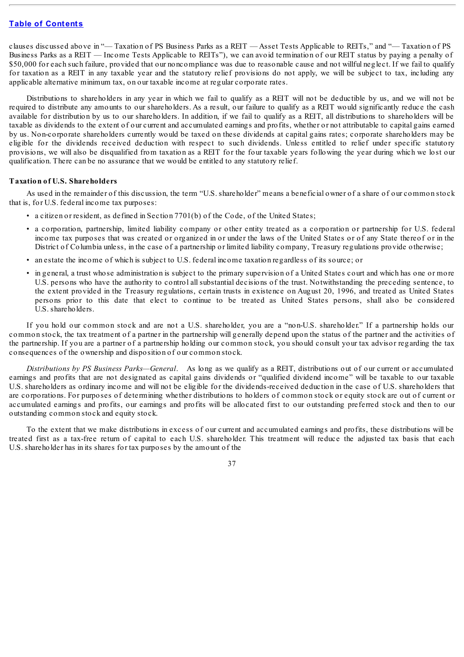clauses discussed above in "— Taxation of PS Business Parks as a REIT — Asset Tests Applicable to REITs," and "— Taxation of PS Business Parks as a REIT — Income Tests Applicable to REITs"), we can avoid termination of our REIT status by paying a penalty of \$50,000 for each such failure, provided that our noncompliance was due to reasonable cause and not willful neglect. If we fail to qualify for taxation as a REIT in any taxable year and the statutory relief provisions do not apply, we will be subject to tax, including any applicable alternative minimum tax, on our taxable income at regular corporate rates.

Distributions to shareholders in any year in which we fail to qualify as a REIT will not be deductible by us, and we will not be required to distribute any amounts to our shareholders. As a result, our failure to qualify as a REIT would significantly reduce the cash available for distribution by us to our shareholders. In addition, if we fail to qualify as a REIT, all distributions to shareholders will be taxable as dividends to the extent of our current and accumulated earnings and profits, whether or not attributable to capital gains earned by us. Non-corporate shareholders currently would be taxed on these dividends at capital gains rates; corporate shareholders may be eligible for the dividends received deduction with respect to such dividends. Unless entitled to relief under specific statutory provisions, we will also be disqualified from taxation as a REIT for the four taxable years following the year during which we lost our qualification. There can be no assurance that we would be entitled to any statutory relief.

#### **Taxation of U.S. Shareholders**

As used in the remainder of this discussion, the term "U.S. shareholder" means a beneficial owner of a share of our common stock that is, for U.S. federal income tax purposes:

- a citizen or resident, as defined in Section 7701(b) of the Code, of the United States;
- a corporation, partnership, limited liability company or other entity treated as a corporation or partnership for U.S. federal income tax purposes that was created or organized in or under the laws of the United States or of any State thereof or in the District of Columbia unless, in the case of a partnership or limited liability company, Treasury regulations provide otherwise;
- an estate the income of which is subject to U.S. federal income taxation regardless of its source; or
- in general, a trust whose administration is subject to the primary supervision of a United States court and which has one or more U.S. persons who have the authority to control all substantial decisions of the trust. Notwithstanding the preceding sentence, to the extent provided in the Treasury regulations, certain trusts in existence on August 20, 1996, and treated as United States persons prior to this date that elect to continue to be treated as United States persons, shall also be considered U.S. shareholders.

If you hold our common stock and are not a U.S. shareholder, you are a "non-U.S. shareholder." If a partnership holds our common stock, the tax treatment of a partner in the partnership will generally depend upon the status of the partner and the activities of the partnership. If you are a partner of a partnership holding our common stock, you should consult your tax advisor regarding the tax consequences of the ownership and disposition of our common stock.

*Distributions by PS Business Parks—General*. As long as we qualify as a REIT, distributions out of our current or accumulated earnings and profits that are not designated as capital gains dividends or "qualified dividend income" will be taxable to our taxable U.S. shareholders as ordinary income and will not be eligible for the dividends-received deduction in the case of U.S. shareholders that are corporations. For purposes of determining whether distributions to holders of common stock or equity stock are out of current or accumulated earnings and profits, our earnings and profits will be allocated first to our outstanding preferred stock and then to our outstanding common stock and equity stock.

To the extent that we make distributions in excess of our current and accumulated earnings and profits, these distributions will be treated first as a tax-free return of capital to each U.S. shareholder. This treatment will reduce the adjusted tax basis that each U.S. shareholder has in its shares for tax purposes by the amount of the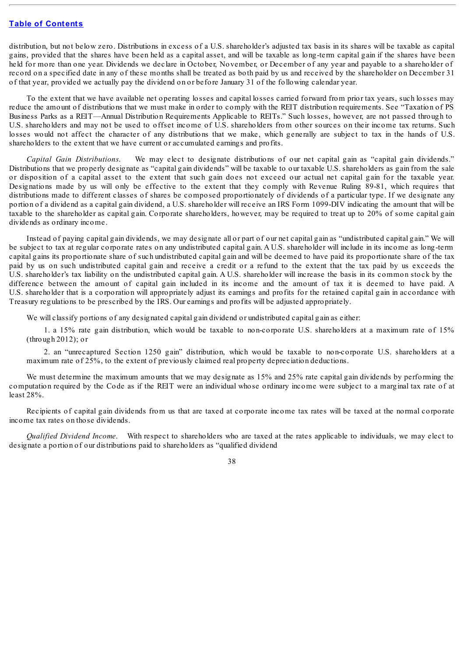distribution, but not below zero. Distributions in excess of a U.S. shareholder's adjusted tax basis in its shares will be taxable as capital gains, provided that the shares have been held as a capital asset, and will be taxable as long-term capital gain if the shares have been held for more than one year. Dividends we declare in October, November, or December of any year and payable to a shareholder of record on a specified date in any of these months shall be treated as both paid by us and received by the shareholder on December 31 of that year, provided we actually pay the dividend on or before January 31 of the following calendar year.

To the extent that we have available net operating losses and capital losses carried forward from prior tax years, such losses may reduce the amount of distributions that we must make in order to comply with the REIT distribution requirements. See "Taxation of PS Business Parks as a REIT—Annual Distribution Requirements Applicable to REITs." Such losses, however, are not passed through to U.S. shareholders and may not be used to offset income of U.S. shareholders from other sources on their income tax returns. Such losses would not affect the character of any distributions that we make, which generally are subject to tax in the hands of U.S. shareholders to the extent that we have current or accumulated earnings and profits.

*Capital Gain Distributions*. We may elect to designate distributions of our net capital gain as "capital gain dividends." Distributions that we properly designate as "capital gain dividends" will be taxable to our taxable U.S. shareholders as gain from the sale or disposition of a capital asset to the extent that such gain does not exceed our actual net capital gain for the taxable year. Designations made by us will only be effective to the extent that they comply with Revenue Ruling 89-81, which requires that distributions made to different classes of shares be composed proportionately of dividends of a particular type. If we designate any portion of a dividend as a capital gain dividend, a U.S. shareholder will receive an IRS Form 1099-DIV indicating the amount that will be taxable to the shareholder as capital gain. Corporate shareholders, however, may be required to treat up to 20% of some capital gain dividends as ordinary income.

Instead of paying capital gain dividends, we may designate all or part of our net capital gain as "undistributed capital gain." We will be subject to tax at regular corporate rates on any undistributed capital gain. A U.S. shareholder will include in its income as long-term capital gains its proportionate share of such undistributed capital gain and will be deemed to have paid its proportionate share of the tax paid by us on such undistributed capital gain and receive a credit or a refund to the extent that the tax paid by us exceeds the U.S. shareholder's tax liability on the undistributed capital gain. A U.S. shareholder will increase the basis in its common stock by the difference between the amount of capital gain included in its income and the amount of tax it is deemed to have paid. A U.S. shareholder that is a corporation will appropriately adjust its earnings and profits for the retained capital gain in accordance with Treasury regulations to be prescribed by the IRS. Our earnings and profits will be adjusted appropriately.

We will classify portions of any designated capital gain dividend or undistributed capital gain as either:

1. a 15% rate gain distribution, which would be taxable to non-corporate U.S. shareholders at a maximum rate of 15% (through 2012); or

2. an "unrecaptured Section 1250 gain" distribution, which would be taxable to non-corporate U.S. shareholders at a maximum rate of 25%, to the extent of previously claimed real property depreciation deductions.

We must determine the maximum amounts that we may designate as 15% and 25% rate capital gain dividends by performing the computation required by the Code as if the REIT were an individual whose ordinary income were subject to a marginal tax rate of at least 28%.

Recipients of capital gain dividends from us that are taxed at corporate income tax rates will be taxed at the normal corporate income tax rates on those dividends.

*Qualified Dividend Income*. With respect to shareholders who are taxed at the rates applicable to individuals, we may elect to designate a portion of our distributions paid to shareholders as "qualified dividend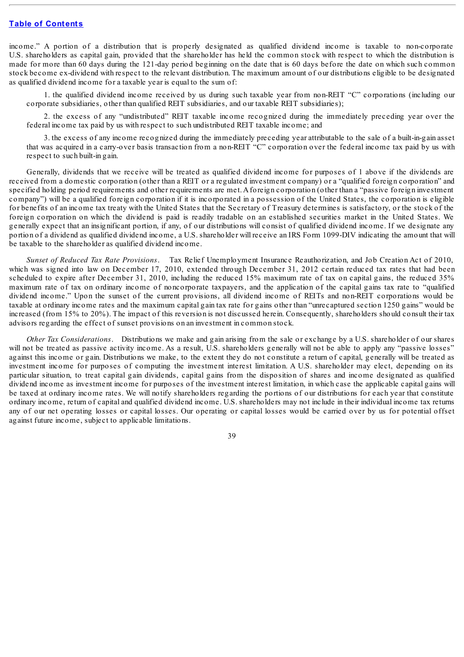income." A portion of a distribution that is properly designated as qualified dividend income is taxable to non-corporate U.S. shareholders as capital gain, provided that the shareholder has held the common stock with respect to which the distribution is made for more than 60 days during the 121-day period beginning on the date that is 60 days before the date on which such common stock become ex-dividend with respect to the relevant distribution. The maximum amount of our distributions eligible to be designated as qualified dividend income for a taxable year is equal to the sum of:

1. the qualified dividend income received by us during such taxable year from non-REIT "C" corporations (including our corporate subsidiaries, other than qualified REIT subsidiaries, and our taxable REIT subsidiaries);

2. the excess of any "undistributed" REIT taxable income recognized during the immediately preceding year over the federal income tax paid by us with respect to such undistributed REIT taxable income; and

3. the excess of any income recognized during the immediately preceding year attributable to the sale of a built-in-gain asset that was acquired in a carry-over basis transaction from a non-REIT "C" corporation over the federal income tax paid by us with respect to such built-in gain.

Generally, dividends that we receive will be treated as qualified dividend income for purposes of 1 above if the dividends are received from a domestic corporation (other than a REIT or a regulated investment company) or a "qualified foreign corporation" and specified holding period requirements and other requirements are met. A foreign corporation (other than a "passive foreign investment company") will be a qualified foreign corporation if it is incorporated in a possession of the United States, the corporation is eligible for benefits of an income tax treaty with the United States that the Secretary of Treasury determines is satisfactory, or the stock of the foreign corporation on which the dividend is paid is readily tradable on an established securities market in the United States. We generally expect that an insignificant portion, if any, of our distributions will consist of qualified dividend income. If we designate any portion of a dividend as qualified dividend income, a U.S. shareholder will receive an IRS Form 1099-DIV indicating the amount that will be taxable to the shareholder as qualified dividend income.

*Sunset of Reduced Tax Rate Provisions*. Tax Relief Unemployment Insurance Reauthorization, and Job Creation Act of 2010, which was signed into law on December 17, 2010, extended through December 31, 2012 certain reduced tax rates that had been scheduled to expire after December 31, 2010, including the reduced 15% maximum rate of tax on capital gains, the reduced 35% maximum rate of tax on ordinary income of noncorporate taxpayers, and the application of the capital gains tax rate to "qualified dividend income." Upon the sunset of the current provisions, all dividend income of REITs and non-REIT corporations would be taxable at ordinary income rates and the maximum capital gain tax rate for gains other than "unrecaptured section 1250 gains" would be increased (from 15% to 20%). The impact of this reversion is not discussed herein. Consequently, shareholders should consult their tax advisors regarding the effect of sunset provisions on an investment in common stock.

*Other Tax Considerations*. Distributions we make and gain arising from the sale or exchange by a U.S. shareholder of our shares will not be treated as passive activity income. As a result, U.S. shareholders generally will not be able to apply any "passive losses" against this income or gain. Distributions we make, to the extent they do not constitute a return of capital, generally will be treated as investment income for purposes of computing the investment interest limitation. A U.S. shareholder may elect, depending on its particular situation, to treat capital gain dividends, capital gains from the disposition of shares and income designated as qualified dividend income as investment income for purposes of the investment interest limitation, in which case the applicable capital gains will be taxed at ordinary income rates. We will notify shareholders regarding the portions of our distributions for each year that constitute ordinary income, return of capital and qualified dividend income. U.S. shareholders may not include in their individual income tax returns any of our net operating losses or capital losses. Our operating or capital losses would be carried over by us for potential offset against future income, subject to applicable limitations.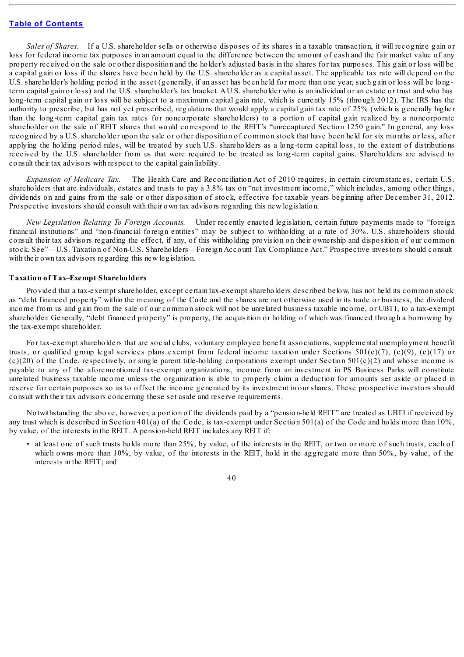*Sales of Shares*. If a U.S. shareholder sells or otherwise disposes of its shares in a taxable transaction, it will recognize gain or loss for federal income tax purposes in an amount equal to the difference between the amount of cash and the fair market value of any property received on the sale or other disposition and the holder's adjusted basis in the shares for tax purposes. This gain or loss will be a capital gain or loss if the shares have been held by the U.S. shareholder as a capital asset. The applicable tax rate will depend on the U.S. shareholder's holding period in the asset (generally, if an asset has been held for more than one year, such gain or loss will be longterm capital gain or loss) and the U.S. shareholder's tax bracket. A U.S. shareholder who is an individual or an estate or trust and who has long-term capital gain or loss will be subject to a maximum capital gain rate, which is currently 15% (through 2012). The IRS has the authority to prescribe, but has not yet prescribed, regulations that would apply a capital gain tax rate of 25% (which is generally higher than the long-term capital gain tax rates for noncorporate shareholders) to a portion of capital gain realized by a noncorporate shareholder on the sale of REIT shares that would correspond to the REIT's "unrecaptured Section 1250 gain." In general, any loss recognized by a U.S. shareholder upon the sale or other disposition of common stock that have been held for six months or less, after applying the holding period rules, will be treated by such U.S. shareholders as a long-term capital loss, to the extent of distributions received by the U.S. shareholder from us that were required to be treated as long-term capital gains. Shareholders are advised to consult their tax advisors with respect to the capital gain liability.

*Expansion of Medicare Tax.* The Health Care and Reconciliation Act of 2010 requires, in certain circumstances, certain U.S. shareholders that are individuals, estates and trusts to pay a 3.8% tax on "net investment income," which includes, among other things, dividends on and gains from the sale or other disposition of stock, effective for taxable years beginning after December 31, 2012. Prospective investors should consult with their own tax advisors regarding this new legislation.

*New Legislation Relating To Foreign Accounts.* Under recently enacted legislation, certain future payments made to "foreign financial institutions" and "non-financial foreign entities" may be subject to withholding at a rate of 30%. U.S. shareholders should consult their tax advisors regarding the effect, if any, of this withholding provision on their ownership and disposition of our common stock. See"—U.S. Taxation of Non-U.S. Shareholders—Foreign Account Tax Compliance Act." Prospective investors should consult with their own tax advisors regarding this new legislation.

#### **Taxation of Tax–Exempt Shareholders**

Provided that a tax-exempt shareholder, except certain tax-exempt shareholders described below, has not held its common stock as "debt financed property" within the meaning of the Code and the shares are not otherwise used in its trade or business, the dividend income from us and gain from the sale of our common stock will not be unrelated business taxable income, or UBTI, to a tax-exempt shareholder. Generally, "debt financed property" is property, the acquisition or holding of which was financed through a borrowing by the tax-exempt shareholder.

For tax-exempt shareholders that are social clubs, voluntary employee benefit associations, supplemental unemployment benefit trusts, or qualified group legal services plans exempt from federal income taxation under Sections  $501(c)(7)$ ,  $(c)(9)$ ,  $(c)(17)$  or  $(c)(20)$  of the Code, respectively, or single parent title-holding corporations exempt under Section 501(c)(2) and whose income is payable to any of the aforementioned tax-exempt organizations, income from an investment in PS Business Parks will constitute unrelated business taxable income unless the organization is able to properly claim a deduction for amounts set aside or placed in reserve for certain purposes so as to offset the income generated by its investment in our shares. These prospective investors should consult with their tax advisors concerning these set aside and reserve requirements.

Notwithstanding the above, however, a portion of the dividends paid by a "pension-held REIT" are treated as UBTI if received by any trust which is described in Section 401(a) of the Code, is tax-exempt under Section 501(a) of the Code and holds more than 10%, by value, of the interests in the REIT. A pension-held REIT includes any REIT if:

• at least one of such trusts holds more than 25%, by value, of the interests in the REIT, or two or more of such trusts, each of which owns more than 10%, by value, of the interests in the REIT, hold in the aggregate more than 50%, by value, of the interests in the REIT; and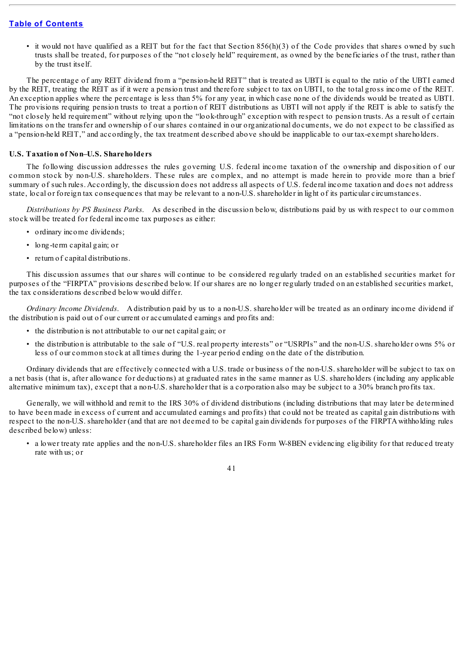• it would not have qualified as a REIT but for the fact that Section  $856(h)(3)$  of the Code provides that shares owned by such trusts shall be treated, for purposes of the "not closely held" requirement, as owned by the beneficiaries of the trust, rather than by the trust itself.

The percentage of any REIT dividend from a "pension-held REIT" that is treated as UBTI is equal to the ratio of the UBTI earned by the REIT, treating the REIT as if it were a pension trust and therefore subject to tax on UBTI, to the total gross income of the REIT. An exception applies where the percentage is less than 5% for any year, in which case none of the dividends would be treated as UBTI. The provisions requiring pension trusts to treat a portion of REIT distributions as UBTI will not apply if the REIT is able to satisfy the "not closely held requirement" without relying upon the "look-through" exception with respect to pension trusts. As a result of certain limitations on the transfer and ownership of our shares contained in our organizational documents, we do not expect to be classified as a "pension-held REIT," and accordingly, the tax treatment described above should be inapplicable to our tax-exempt shareholders.

#### **U.S. Taxation of Non–U.S. Shareholders**

The following discussion addresses the rules governing U.S. federal income taxation of the ownership and disposition of our common stock by non-U.S. shareholders. These rules are complex, and no attempt is made herein to provide more than a brief summary of such rules. Accordingly, the discussion does not address all aspects of U.S. federal income taxation and does not address state, local or foreign tax consequences that may be relevant to a non-U.S. shareholder in light of its particular circumstances.

*Distributions by PS Business Parks*. As described in the discussion below, distributions paid by us with respect to our common stock will be treated for federal income tax purposes as either:

- ordinary income dividends;
- long-term capital gain; or
- return of capital distributions.

This discussion assumes that our shares will continue to be considered regularly traded on an established securities market for purposes of the "FIRPTA" provisions described below. If our shares are no longer regularly traded on an established securities market, the tax considerations described below would differ.

*Ordinary Income Dividends*. A distribution paid by us to a non-U.S. shareholder will be treated as an ordinary income dividend if the distribution is paid out of our current or accumulated earnings and profits and:

- the distribution is not attributable to our net capital gain; or
- the distribution is attributable to the sale of "U.S. real property interests" or "USRPIs" and the non-U.S. shareholder owns 5% or less of our common stock at all times during the 1-year period ending on the date of the distribution.

Ordinary dividends that are effectively connected with a U.S. trade or business of the non-U.S. shareholder will be subject to tax on a net basis (that is, after allowance for deductions) at graduated rates in the same manner as U.S. shareholders (including any applicable alternative minimum tax), except that a non-U.S. shareholder that is a corporation also may be subject to a 30% branch profits tax.

Generally, we will withhold and remit to the IRS 30% of dividend distributions (including distributions that may later be determined to have been made in excess of current and accumulated earnings and profits) that could not be treated as capital gain distributions with respect to the non-U.S. shareholder (and that are not deemed to be capital gain dividends for purposes of the FIRPTA withholding rules described below) unless:

• a lower treaty rate applies and the non-U.S. shareholder files an IRS Form W-8BEN evidencing eligibility for that reduced treaty rate with us; or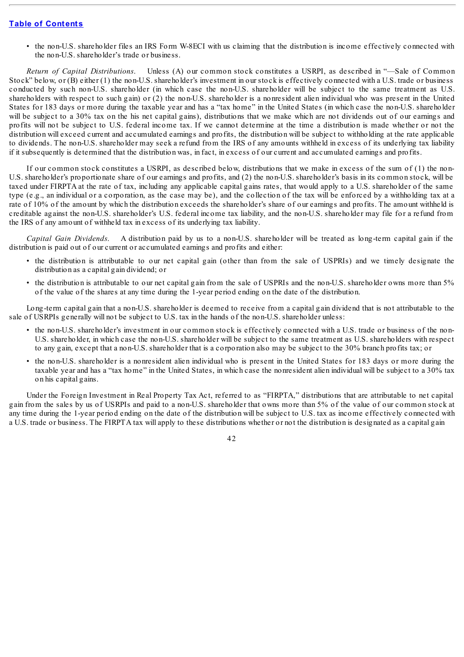• the non-U.S. shareholder files an IRS Form W-8ECI with us claiming that the distribution is income effectively connected with the non-U.S. shareholder's trade or business.

*Return of Capital Distributions*. Unless (A) our common stock constitutes a USRPI, as described in "—Sale of Common Stock" below, or (B) either (1) the non-U.S. shareholder's investment in our stock is effectively connected with a U.S. trade or business conducted by such non-U.S. shareholder (in which case the non-U.S. shareholder will be subject to the same treatment as U.S. shareholders with respect to such gain) or (2) the non-U.S. shareholder is a nonresident alien individual who was present in the United States for 183 days or more during the taxable year and has a "tax home" in the United States (in which case the non-U.S. shareholder will be subject to a 30% tax on the his net capital gains), distributions that we make which are not dividends out of our earnings and profits will not be subject to U.S. federal income tax. If we cannot determine at the time a distribution is made whether or not the distribution will exceed current and accumulated earnings and profits, the distribution will be subject to withholding at the rate applicable to dividends. The non-U.S. shareholder may seek a refund from the IRS of any amounts withheld in excess of its underlying tax liability if it subsequently is determined that the distribution was, in fact, in excess of our current and accumulated earnings and profits.

If our common stock constitutes a USRPI, as described below, distributions that we make in excess of the sum of (1) the non-U.S. shareholder's proportionate share of our earnings and profits, and (2) the non-U.S. shareholder's basis in its common stock, will be taxed under FIRPTA at the rate of tax, including any applicable capital gains rates, that would apply to a U.S. shareholder of the same type (e.g., an individual or a corporation, as the case may be), and the collection of the tax will be enforced by a withholding tax at a rate of 10% of the amount by which the distribution exceeds the shareholder's share of our earnings and profits. The amount withheld is creditable against the non-U.S. shareholder's U.S. federal income tax liability, and the non-U.S. shareholder may file for a refund from the IRS of any amount of withheld tax in excess of its underlying tax liability.

*Capital Gain Dividends*. A distribution paid by us to a non-U.S. shareholder will be treated as long-term capital gain if the distribution is paid out of our current or accumulated earnings and profits and either:

- the distribution is attributable to our net capital gain (other than from the sale of USPRIs) and we timely designate the distribution as a capital gain dividend; or
- the distribution is attributable to our net capital gain from the sale of USPRIs and the non-U.S. shareholder owns more than 5% of the value of the shares at any time during the 1-year period ending on the date of the distribution.

Long-term capital gain that a non-U.S. shareholder is deemed to receive from a capital gain dividend that is not attributable to the sale of USRPIs generally will not be subject to U.S. tax in the hands of the non-U.S. shareholder unless:

- the non-U.S. shareholder's investment in our common stock is effectively connected with a U.S. trade or business of the non-U.S. shareholder, in which case the non-U.S. shareholder will be subject to the same treatment as U.S. shareholders with respect to any gain, except that a non-U.S. shareholder that is a corporation also may be subject to the 30% branch profits tax; or
- the non-U.S. shareholder is a nonresident alien individual who is present in the United States for 183 days or more during the taxable year and has a "tax home" in the United States, in which case the nonresident alien individual will be subject to a 30% tax on his capital gains.

Under the Foreign Investment in Real Property Tax Act, referred to as "FIRPTA," distributions that are attributable to net capital gain from the sales by us of USRPIs and paid to a non-U.S. shareholder that owns more than 5% of the value of our common stock at any time during the 1-year period ending on the date of the distribution will be subject to U.S. tax as income effectively connected with a U.S. trade or business. The FIRPTA tax will apply to these distributions whether or not the distribution is designated as a capital gain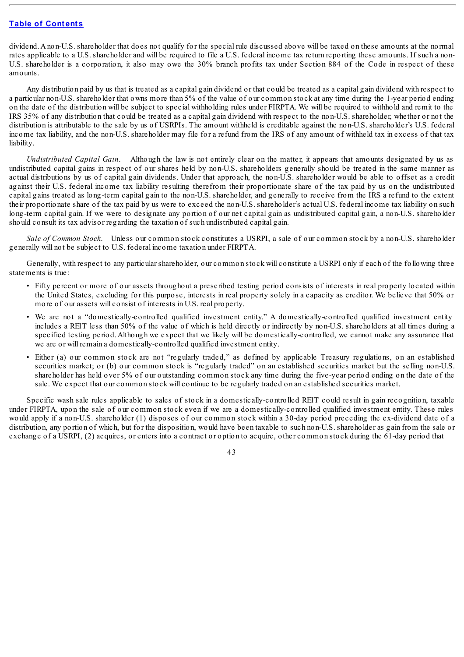dividend. Anon-U.S. shareholder that does not qualify for the special rule discussed above will be taxed on these amounts at the normal rates applicable to a U.S. shareholder and will be required to file a U.S. federal income tax return reporting these amounts. If such a non-U.S. shareholder is a corporation, it also may owe the 30% branch profits tax under Section 884 of the Code in respect of these amounts.

Any distribution paid by us that is treated as a capital gain dividend or that could be treated as a capital gain dividend with respect to a particular non-U.S. shareholder that owns more than 5% of the value of our common stock at any time during the 1-year period ending on the date of the distribution will be subject to special withholding rules under FIRPTA. We will be required to withhold and remit to the IRS 35% of any distribution that could be treated as a capital gain dividend with respect to the non-U.S. shareholder, whether or not the distribution is attributable to the sale by us of USRPIs. The amount withheld is creditable against the non-U.S. shareholder's U.S. federal income tax liability, and the non-U.S. shareholder may file for a refund from the IRS of any amount of withheld tax in excess of that tax liability.

*Undistributed Capital Gain*. Although the law is not entirely clear on the matter, it appears that amounts designated by us as undistributed capital gains in respect of our shares held by non-U.S. shareholders generally should be treated in the same manner as actual distributions by us of capital gain dividends. Under that approach, the non-U.S. shareholder would be able to offset as a credit against their U.S. federal income tax liability resulting therefrom their proportionate share of the tax paid by us on the undistributed capital gains treated as long-term capital gain to the non-U.S. shareholder, and generally to receive from the IRS a refund to the extent their proportionate share of the tax paid by us were to exceed the non-U.S. shareholder's actual U.S. federal income tax liability on such long-term capital gain. If we were to designate any portion of our net capital gain as undistributed capital gain, a non-U.S. shareholder should consult its tax advisor regarding the taxation of such undistributed capital gain.

*Sale of Common Stock*. Unless our common stock constitutes a USRPI, a sale of our common stock by a non-U.S. shareholder generally will not be subject to U.S. federal income taxation under FIRPTA.

Generally, with respect to any particular shareholder, our common stock will constitute a USRPI only if each of the following three statements is true:

- Fifty percent or more of our assets throughout a prescribed testing period consists of interests in real property located within the United States, excluding for this purpose, interests in real property solely in a capacity as creditor. We believe that 50% or more of our assets will consist of interests in U.S. real property.
- We are not a "domestically-controlled qualified investment entity." A domestically-controlled qualified investment entity includes a REIT less than 50% of the value of which is held directly or indirectly by non-U.S. shareholders at all times during a specified testing period. Although we expect that we likely will be domestically-controlled, we cannot make any assurance that we are or will remain a domestically-controlled qualified investment entity.
- Either (a) our common stock are not "regularly traded," as defined by applicable Treasury regulations, on an established securities market; or (b) our common stock is "regularly traded" on an established securities market but the selling non-U.S. shareholder has held over 5% of our outstanding common stock any time during the five-year period ending on the date of the sale. We expect that our common stock will continue to be regularly traded on an established securities market.

Specific wash sale rules applicable to sales of stock in a domestically-controlled REIT could result in gain recognition, taxable under FIRPTA, upon the sale of our common stock even if we are a domestically-controlled qualified investment entity. These rules would apply if a non-U.S. shareholder (1) disposes of our common stock within a 30-day period preceding the ex-dividend date of a distribution, any portion of which, but for the disposition, would have been taxable to such non-U.S. shareholder as gain from the sale or exchange of a USRPI, (2) acquires, or enters into a contract or option to acquire, other common stock during the 61-day period that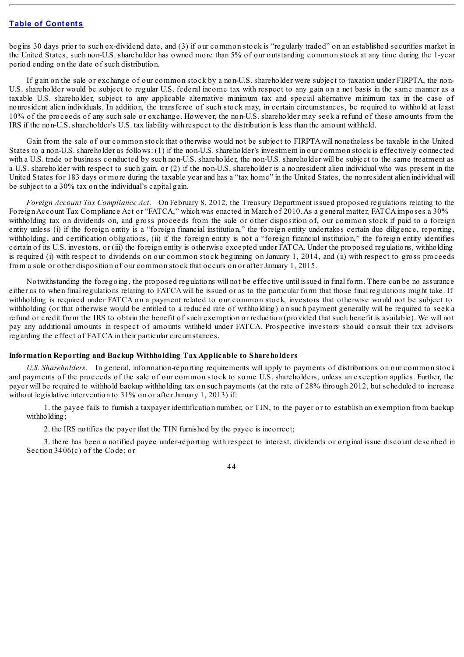begins 30 days prior to such ex-dividend date, and (3) if our common stock is "regularly traded" on an established securities market in the United States, such non-U.S. shareholder has owned more than 5% of our outstanding common stock at any time during the 1-year period ending on the date of such distribution.

If gain on the sale or exchange of our common stock by a non-U.S. shareholder were subject to taxation under FIRPTA, the non-U.S. shareholder would be subject to regular U.S. federal income tax with respect to any gain on a net basis in the same manner as a taxable U.S. shareholder, subject to any applicable alternative minimum tax and special alternative minimum tax in the case of nonresident alien individuals. In addition, the transferee of such stock may, in certain circumstances, be required to withhold at least 10% of the proceeds of any such sale or exchange. However, the non-U.S. shareholder may seek a refund of these amounts from the IRS if the non-U.S. shareholder's U.S. tax liability with respect to the distribution is less than the amount withheld.

Gain from the sale of our common stock that otherwise would not be subject to FIRPTA will nonetheless be taxable in the United States to a non-U.S. shareholder as follows: (1) if the non-U.S. shareholder's investment in our common stock is effectively connected with a U.S. trade or business conducted by such non-U.S. shareholder, the non-U.S. shareholder will be subject to the same treatment as a U.S. shareholder with respect to such gain, or (2) if the non-U.S. shareholder is a nonresident alien individual who was present in the United States for 183 days or more during the taxable year and has a "tax home" in the United States, the nonresident alien individual will be subject to a 30% tax on the individual's capital gain.

*Foreign Account Tax Compliance Act*. On February 8, 2012, the Treasury Department issued proposed regulations relating to the Foreign Account Tax Compliance Act or "FATCA," which was enacted in March of 2010. As a general matter, FATCA imposes a 30% withholding tax on dividends on, and gross proceeds from the sale or other disposition of, our common stock if paid to a foreign entity unless (i) if the foreign entity is a "foreign financial institution," the foreign entity undertakes certain due diligence, reporting, withholding, and certification obligations, (ii) if the foreign entity is not a "foreign financial institution," the foreign entity identifies certain of its U.S. investors, or (iii) the foreign entity is otherwise excepted under FATCA. Under the proposed regulations, withholding is required (i) with respect to dividends on our common stock beginning on January 1, 2014, and (ii) with respect to gross proceeds from a sale or other disposition of our common stock that occurs on or after January 1, 2015.

Notwithstanding the foregoing, the proposed regulations will not be effective until issued in final form. There can be no assurance either as to when final regulations relating to FATCA will be issued or as to the particular form that those final regulations might take. If withholding is required under FATCA on a payment related to our common stock, investors that otherwise would not be subject to withholding (or that otherwise would be entitled to a reduced rate of withholding) on such payment generally will be required to seek a refund or credit from the IRS to obtain the benefit of such exemption or reduction (provided that such benefit is available). We will not pay any additional amounts in respect of amounts withheld under FATCA. Prospective investors should consult their tax advisors regarding the effect of FATCA in their particular circumstances.

#### **Information Reporting and Backup Withholding Tax Applicable to Shareholders**

*U.S. Shareholders*. In general, information-reporting requirements will apply to payments of distributions on our common stock and payments of the proceeds of the sale of our common stock to some U.S. shareholders, unless an exception applies. Further, the payer will be required to withhold backup withholding tax on such payments (at the rate of 28% through 2012, but scheduled to increase without legislative intervention to 31% on or after January 1, 2013) if:

1. the payee fails to furnish a taxpayer identification number, or TIN, to the payer or to establish an exemption from backup withholding;

2. the IRS notifies the payer that the TIN furnished by the payee is incorrect;

3. there has been a notified payee under-reporting with respect to interest, dividends or original issue discount described in Section 3406(c) of the Code; or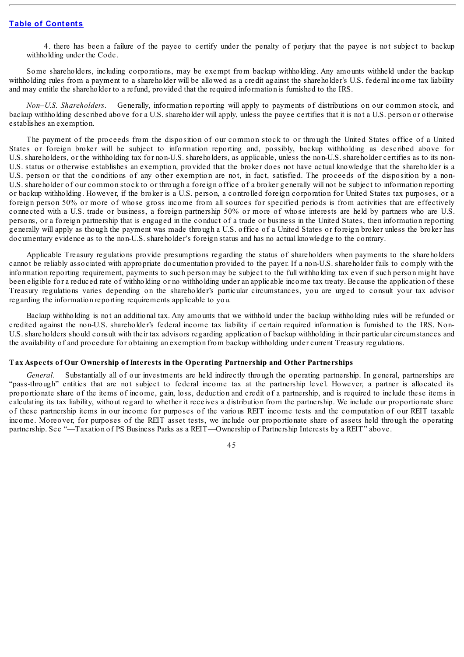4. there has been a failure of the payee to certify under the penalty of perjury that the payee is not subject to backup withholding under the Code.

Some shareholders, including corporations, may be exempt from backup withholding. Any amounts withheld under the backup withholding rules from a payment to a shareholder will be allowed as a credit against the shareholder's U.S. federal income tax liability and may entitle the shareholder to a refund, provided that the required information is furnished to the IRS.

*Non–U.S. Shareholders*. Generally, information reporting will apply to payments of distributions on our common stock, and backup withholding described above for a U.S. shareholder will apply, unless the payee certifies that it is not a U.S. person or otherwise establishes an exemption.

The payment of the proceeds from the disposition of our common stock to or through the United States office of a United States or foreign broker will be subject to information reporting and, possibly, backup withholding as described above for U.S. shareholders, or the withholding tax for non-U.S. shareholders, as applicable, unless the non-U.S. shareholder certifies as to its non-U.S. status or otherwise establishes an exemption, provided that the broker does not have actual knowledge that the shareholder is a U.S. person or that the conditions of any other exemption are not, in fact, satisfied. The proceeds of the disposition by a non-U.S. shareholder of our common stock to or through a foreign office of a broker generally will not be subject to information reporting or backup withholding. However, if the broker is a U.S. person, a controlled foreign corporation for United States tax purposes, or a foreign person 50% or more of whose gross income from all sources for specified periods is from activities that are effectively connected with a U.S. trade or business, a foreign partnership 50% or more of whose interests are held by partners who are U.S. persons, or a foreign partnership that is engaged in the conduct of a trade or business in the United States, then information reporting generally will apply as though the payment was made through a U.S. office of a United States or foreign broker unless the broker has documentary evidence as to the non-U.S. shareholder's foreign status and has no actual knowledge to the contrary.

Applicable Treasury regulations provide presumptions regarding the status of shareholders when payments to the shareholders cannot be reliably associated with appropriate documentation provided to the payer. If a non-U.S. shareholder fails to comply with the information reporting requirement, payments to such person may be subject to the full withholding tax even if such person might have been eligible for a reduced rate of withholding or no withholding under an applicable income tax treaty. Because the application of these Treasury regulations varies depending on the shareholder's particular circumstances, you are urged to consult your tax advisor regarding the information reporting requirements applicable to you.

Backup withholding is not an additional tax. Any amounts that we withhold under the backup withholding rules will be refunded or credited against the non-U.S. shareholder's federal income tax liability if certain required information is furnished to the IRS. Non-U.S. shareholders should consult with their tax advisors regarding application of backup withholding in their particular circumstances and the availability of and procedure for obtaining an exemption from backup withholding under current Treasury regulations.

### **Tax Aspects of Our Ownership of Interests in the Operating Partnership and Other Partnerships**

*General*. Substantially all of our investments are held indirectly through the operating partnership. In general, partnerships are "pass-through" entities that are not subject to federal income tax at the partnership level. However, a partner is allocated its proportionate share of the items of income, gain, loss, deduction and credit of a partnership, and is required to include these items in calculating its tax liability, without regard to whether it receives a distribution from the partnership. We include our proportionate share of these partnership items in our income for purposes of the various REIT income tests and the computation of our REIT taxable income. Moreover, for purposes of the REIT asset tests, we include our proportionate share of assets held through the operating partnership. See "—Taxation of PS Business Parks as a REIT—Ownership of Partnership Interests by a REIT" above.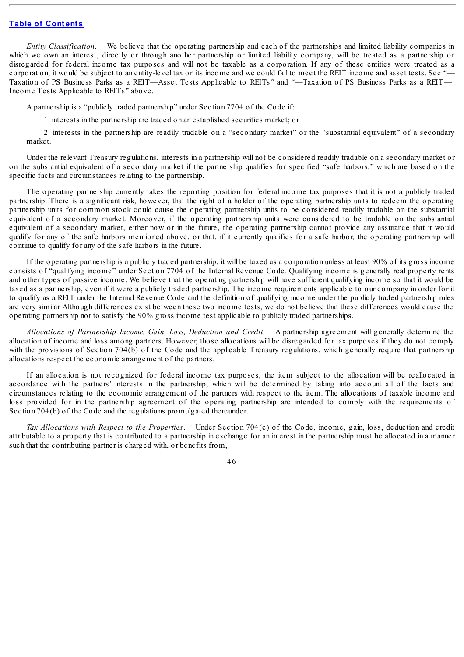*Entity Classification*. We believe that the operating partnership and each of the partnerships and limited liability companies in which we own an interest, directly or through another partnership or limited liability company, will be treated as a partnership or disregarded for federal income tax purposes and will not be taxable as a corporation. If any of these entities were treated as a corporation, it would be subject to an entity-level tax on its income and we could fail to meet the REIT income and asset tests. See "— Taxation of PS Business Parks as a REIT—Asset Tests Applicable to REITs" and "—Taxation of PS Business Parks as a REIT— Income Tests Applicable to REITs" above.

A partnership is a "publicly traded partnership" under Section 7704 of the Code if:

1. interests in the partnership are traded on an established securities market; or

2. interests in the partnership are readily tradable on a "secondary market" or the "substantial equivalent" of a secondary market.

Under the relevant Treasury regulations, interests in a partnership will not be considered readily tradable on a secondary market or on the substantial equivalent of a secondary market if the partnership qualifies for specified "safe harbors," which are based on the specific facts and circumstances relating to the partnership.

The operating partnership currently takes the reporting position for federal income tax purposes that it is not a publicly traded partnership. There is a significant risk, however, that the right of a holder of the operating partnership units to redeem the operating partnership units for common stock could cause the operating partnership units to be considered readily tradable on the substantial equivalent of a secondary market. Moreover, if the operating partnership units were considered to be tradable on the substantial equivalent of a secondary market, either now or in the future, the operating partnership cannot provide any assurance that it would qualify for any of the safe harbors mentioned above, or that, if it currently qualifies for a safe harbor, the operating partnership will continue to qualify for any of the safe harbors in the future.

If the operating partnership is a publicly traded partnership, it will be taxed as a corporation unless at least 90% of its gross income consists of "qualifying income" under Section 7704 of the Internal Revenue Code. Qualifying income is generally real property rents and other types of passive income. We believe that the operating partnership will have sufficient qualifying income so that it would be taxed as a partnership, even if it were a publicly traded partnership. The income requirements applicable to our company in order for it to qualify as a REIT under the Internal Revenue Code and the definition of qualifying income under the publicly traded partnership rules are very similar. Although differences exist between these two income tests, we do not believe that these differences would cause the operating partnership not to satisfy the 90% gross income test applicable to publicly traded partnerships.

*Allocations of Partnership Income, Gain, Loss, Deduction and Credit*. A partnership agreement will generally determine the allocation of income and loss among partners. However, those allocations will be disregarded for tax purposes if they do not comply with the provisions of Section 704(b) of the Code and the applicable Treasury regulations, which generally require that partnership allocations respect the economic arrangement of the partners.

If an allocation is not recognized for federal income tax purposes, the item subject to the allocation will be reallocated in accordance with the partners' interests in the partnership, which will be determined by taking into account all of the facts and circumstances relating to the economic arrangement of the partners with respect to the item. The allocations of taxable income and loss provided for in the partnership agreement of the operating partnership are intended to comply with the requirements of Section 704(b) of the Code and the regulations promulgated thereunder.

*Tax Allocations with Respect to the Properties*. Under Section 704(c) of the Code, income, gain, loss, deduction and credit attributable to a property that is contributed to a partnership in exchange for an interest in the partnership must be allocated in a manner such that the contributing partner is charged with, or benefits from,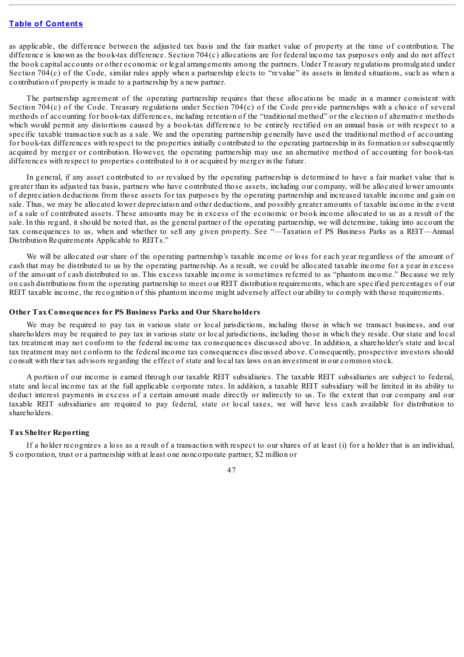as applicable, the difference between the adjusted tax basis and the fair market value of property at the time of contribution. The difference is known as the book-tax difference. Section 704(c) allocations are for federal income tax purposes only and do not affect the book capital accounts or other economic or legal arrangements among the partners. Under Treasury regulations promulgated under Section 704(c) of the Code, similar rules apply when a partnership elects to "revalue" its assets in limited situations, such as when a contribution of property is made to a partnership by a new partner.

The partnership agreement of the operating partnership requires that these allocations be made in a manner consistent with Section 704(c) of the Code. Treasury regulations under Section 704(c) of the Code provide partnerships with a choice of several methods of accounting for book-tax differences, including retention of the "traditional method" or the election of alternative methods which would permit any distortions caused by a book-tax difference to be entirely rectified on an annual basis or with respect to a specific taxable transaction such as a sale. We and the operating partnership generally have used the traditional method of accounting for book-tax differences with respect to the properties initially contributed to the operating partnership in its formation or subsequently acquired by merger or contribution. However, the operating partnership may use an alternative method of accounting for book-tax differences with respect to properties contributed to it or acquired by merger in the future.

In general, if any asset contributed to or revalued by the operating partnership is determined to have a fair market value that is greater than its adjusted tax basis, partners who have contributed those assets, including our company, will be allocated lower amounts of depreciation deductions from those assets for tax purposes by the operating partnership and increased taxable income and gain on sale. Thus, we may be allocated lower depreciation and other deductions, and possibly greater amounts of taxable income in the event of a sale of contributed assets. These amounts may be in excess of the economic or book income allocated to us as a result of the sale. In this regard, it should be noted that, as the general partner of the operating partnership, we will determine, taking into account the tax consequences to us, when and whether to sell any given property. See "—Taxation of PS Business Parks as a REIT—Annual Distribution Requirements Applicable to REITs."

We will be allocated our share of the operating partnership's taxable income or loss for each year regardless of the amount of cash that may be distributed to us by the operating partnership. As a result, we could be allocated taxable income for a year in excess of the amount of cash distributed to us. This excess taxable income is sometimes referred to as "phantom income." Because we rely on cash distributions from the operating partnership to meet our REIT distribution requirements, which are specified percentages of our REIT taxable income, the recognition of this phantom income might adversely affect our ability to comply with those requirements.

#### **Other Tax Consequences for PS Business Parks and Our Shareholders**

We may be required to pay tax in various state or local jurisdictions, including those in which we transact business, and our shareholders may be required to pay tax in various state or local jurisdictions, including those in which they reside. Our state and local tax treatment may not conform to the federal income tax consequences discussed above. In addition, a shareholder's state and local tax treatment may not conform to the federal income tax consequences discussed above. Consequently, prospective investors should consult with their tax advisors regarding the effect of state and local tax laws on an investment in our common stock.

A portion of our income is earned through our taxable REIT subsidiaries. The taxable REIT subsidiaries are subject to federal, state and local income tax at the full applicable corporate rates. In addition, a taxable REIT subsidiary will be limited in its ability to deduct interest payments in excess of a certain amount made directly or indirectly to us. To the extent that our company and our taxable REIT subsidiaries are required to pay federal, state or local taxes, we will have less cash available for distribution to shareholders.

#### **Tax Shelter Reporting**

If a holder recognizes a loss as a result of a transaction with respect to our shares of at least (i) for a holder that is an individual, S corporation, trust or a partnership with at least one noncorporate partner, \$2 million or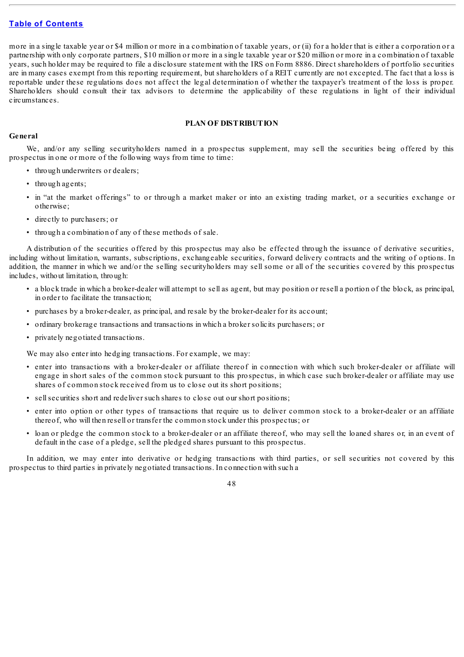more in a single taxable year or \$4 million or more in a combination of taxable years, or (ii) for a holder that is either a corporation or a partnership with only corporate partners, \$10 million or more in a single taxable year or \$20 million or more in a combination of taxable years, such holder may be required to file a disclosure statement with the IRS on Form 8886. Direct shareholders of portfolio securities are in many cases exempt from this reporting requirement, but shareholders of a REIT currently are not excepted. The fact that a loss is reportable under these regulations does not affect the legal determination of whether the taxpayer's treatment of the loss is proper. Shareholders should consult their tax advisors to determine the applicability of these regulations in light of their individual circumstances.

### **PLAN OF DISTRIBUTION**

# **General**

We, and/or any selling securityholders named in a prospectus supplement, may sell the securities being offered by this prospectus in one or more of the following ways from time to time:

- through underwriters or dealers;
- through agents;
- in "at the market offerings" to or through a market maker or into an existing trading market, or a securities exchange or otherwise;
- directly to purchasers; or
- through a combination of any of these methods of sale.

A distribution of the securities offered by this prospectus may also be effected through the issuance of derivative securities, including without limitation, warrants, subscriptions, exchangeable securities, forward delivery contracts and the writing of options. In addition, the manner in which we and/or the selling securityholders may sell some or all of the securities covered by this prospectus includes, without limitation, through:

- a block trade in which a broker-dealer will attempt to sell as agent, but may position or resell a portion of the block, as principal, in order to facilitate the transaction;
- purchases by a broker-dealer, as principal, and resale by the broker-dealer for its account;
- ordinary brokerage transactions and transactions in which a broker solicits purchasers; or
- privately negotiated transactions.

We may also enter into hedging transactions. For example, we may:

- enter into transactions with a broker-dealer or affiliate thereof in connection with which such broker-dealer or affiliate will engage in short sales of the common stock pursuant to this prospectus, in which case such broker-dealer or affiliate may use shares of common stock received from us to close out its short positions;
- sellsecurities short and redeliver such shares to close out our short positions;
- enter into option or other types of transactions that require us to deliver common stock to a broker-dealer or an affiliate thereof, who will then resell or transfer the common stock under this prospectus; or
- loan or pledge the common stock to a broker-dealer or an affiliate thereof, who may sell the loaned shares or, in an event of default in the case of a pledge, sell the pledged shares pursuant to this prospectus.

In addition, we may enter into derivative or hedging transactions with third parties, or sell securities not covered by this prospectus to third parties in privately negotiated transactions. In connection with such a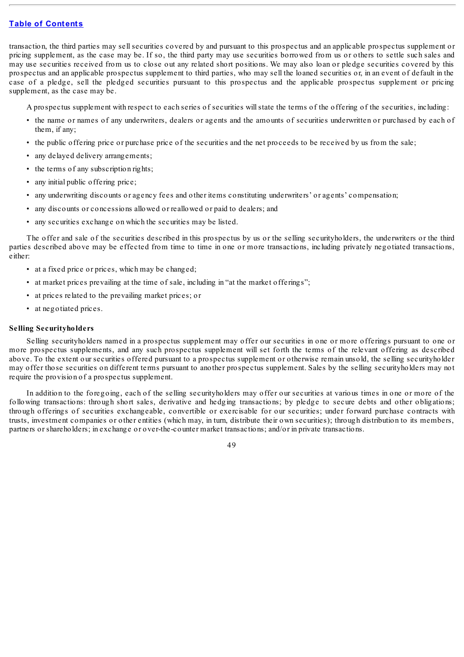transaction, the third parties may sell securities covered by and pursuant to this prospectus and an applicable prospectus supplement or pricing supplement, as the case may be. If so, the third party may use securities borrowed from us or others to settle such sales and may use securities received from us to close out any related short positions. We may also loan or pledge securities covered by this prospectus and an applicable prospectus supplement to third parties, who may sell the loaned securities or, in an event of default in the case of a pledge, sell the pledged securities pursuant to this prospectus and the applicable prospectus supplement or pricing supplement, as the case may be.

A prospectus supplement with respect to each series of securities willstate the terms of the offering of the securities, including:

- the name or names of any underwriters, dealers or agents and the amounts of securities underwritten or purchased by each of them, if any;
- the public offering price or purchase price of the securities and the net proceeds to be received by us from the sale;
- any delayed delivery arrangements;
- the terms of any subscription rights:
- any initial public offering price;
- any underwriting discounts or agency fees and other items constituting underwriters' or agents' compensation;
- any discounts or concessions allowed or reallowed or paid to dealers; and
- any securities exchange on which the securities may be listed.

The offer and sale of the securities described in this prospectus by us or the selling securityholders, the underwriters or the third parties described above may be effected from time to time in one or more transactions, including privately negotiated transactions, either:

- at a fixed price or prices, which may be changed;
- at market prices prevailing at the time of sale, including in "at the market offerings";
- at prices related to the prevailing market prices; or
- at negotiated prices.

# **Selling Securityholders**

Selling securityholders named in a prospectus supplement may offer our securities in one or more offerings pursuant to one or more prospectus supplements, and any such prospectus supplement will set forth the terms of the relevant offering as described above. To the extent our securities offered pursuant to a prospectus supplement or otherwise remain unsold, the selling securityholder may offer those securities on different terms pursuant to another prospectus supplement. Sales by the selling securityholders may not require the provision of a prospectus supplement.

In addition to the foregoing, each of the selling securityholders may offer our securities at various times in one or more of the following transactions: through short sales, derivative and hedging transactions; by pledge to secure debts and other obligations; through offerings of securities exchangeable, convertible or exercisable for our securities; under forward purchase contracts with trusts, investment companies or other entities (which may, in turn, distribute their own securities); through distribution to its members, partners or shareholders; in exchange or over-the-counter market transactions; and/or in private transactions.

49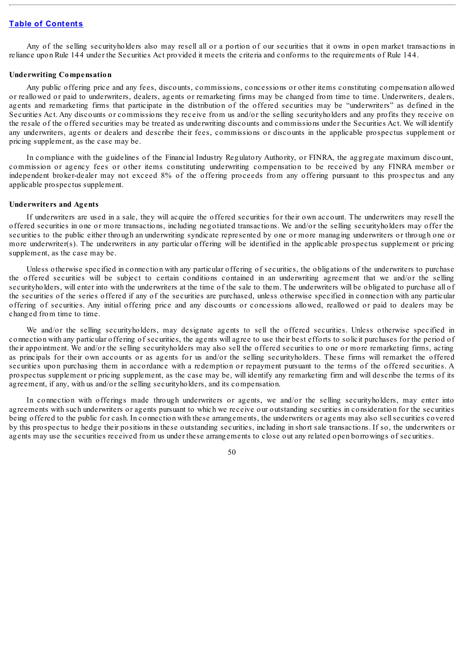Any of the selling securityholders also may resell all or a portion of our securities that it owns in open market transactions in reliance upon Rule 144 under the Securities Act provided it meets the criteria and conforms to the requirements of Rule 144.

#### **Underwriting Compensation**

Any public offering price and any fees, discounts, commissions, concessions or other items constituting compensation allowed or reallowed or paid to underwriters, dealers, agents or remarketing firms may be changed from time to time. Underwriters, dealers, agents and remarketing firms that participate in the distribution of the offered securities may be "underwriters" as defined in the Securities Act. Any discounts or commissions they receive from us and/or the selling securityholders and any profits they receive on the resale of the offered securities may be treated as underwriting discounts and commissions under the Securities Act. We will identify any underwriters, agents or dealers and describe their fees, commissions or discounts in the applicable prospectus supplement or pricing supplement, as the case may be.

In compliance with the guidelines of the Financial Industry Regulatory Authority, or FINRA, the aggregate maximum discount, commission or agency fees or other items constituting underwriting compensation to be received by any FINRA member or independent broker-dealer may not exceed 8% of the offering proceeds from any offering pursuant to this prospectus and any applicable prospectus supplement.

#### **Underwriters and Agents**

If underwriters are used in a sale, they will acquire the offered securities for their own account. The underwriters may resell the offered securities in one or more transactions, including negotiated transactions. We and/or the selling securityholders may offer the securities to the public either through an underwriting syndicate represented by one or more managing underwriters or through one or more underwriter(s). The underwriters in any particular offering will be identified in the applicable prospectus supplement or pricing supplement, as the case may be.

Unless otherwise specified in connection with any particular offering of securities, the obligations of the underwriters to purchase the offered securities will be subject to certain conditions contained in an underwriting agreement that we and/or the selling securityholders, will enter into with the underwriters at the time of the sale to them. The underwriters will be obligated to purchase all of the securities of the series offered if any of the securities are purchased, unless otherwise specified in connection with any particular offering of securities. Any initial offering price and any discounts or concessions allowed, reallowed or paid to dealers may be changed from time to time.

We and/or the selling securityholders, may designate agents to sell the offered securities. Unless otherwise specified in connection with any particular offering of securities, the agents will agree to use their best efforts to solicit purchases for the period of their appointment. We and/or the selling securityholders may also sell the offered securities to one or more remarketing firms, acting as principals for their own accounts or as agents for us and/or the selling securityholders. These firms will remarket the offered securities upon purchasing them in accordance with a redemption or repayment pursuant to the terms of the offered securities. A prospectus supplement or pricing supplement, as the case may be, will identify any remarketing firm and will describe the terms of its agreement, if any, with us and/or the selling securityholders, and its compensation.

In connection with offerings made through underwriters or agents, we and/or the selling securityholders, may enter into agreements with such underwriters or agents pursuant to which we receive our outstanding securities in consideration for the securities being offered to the public for cash. In connection with these arrangements, the underwriters or agents may also sellsecurities covered by this prospectus to hedge their positions in these outstanding securities, including in short sale transactions. If so, the underwriters or agents may use the securities received from us under these arrangements to close out any related open borrowings of securities.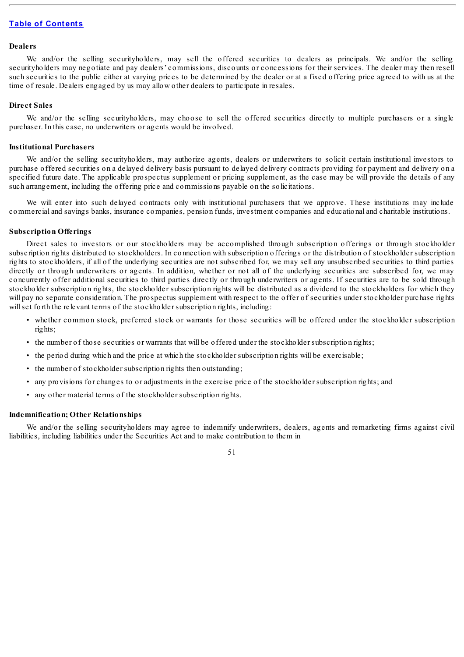#### **Dealers**

We and/or the selling securityholders, may sell the offered securities to dealers as principals. We and/or the selling securityholders may negotiate and pay dealers' commissions, discounts or concessions for their services. The dealer may then resell such securities to the public either at varying prices to be determined by the dealer or at a fixed offering price agreed to with us at the time of resale. Dealers engaged by us may allow other dealers to participate in resales.

#### **Direct Sales**

We and/or the selling securityholders, may choose to sell the offered securities directly to multiple purchasers or a single purchaser. In this case, no underwriters or agents would be involved.

#### **Institutional Purchasers**

We and/or the selling securityholders, may authorize agents, dealers or underwriters to solicit certain institutional investors to purchase offered securities on a delayed delivery basis pursuant to delayed delivery contracts providing for payment and delivery on a specified future date. The applicable prospectus supplement or pricing supplement, as the case may be will provide the details of any such arrangement, including the offering price and commissions payable on the solicitations.

We will enter into such delayed contracts only with institutional purchasers that we approve. These institutions may include commercial and savings banks, insurance companies, pension funds, investment companies and educational and charitable institutions.

#### **Subscription Offerings**

Direct sales to investors or our stockholders may be accomplished through subscription offerings or through stockholder subscription rights distributed to stockholders. In connection with subscription offerings or the distribution of stockholder subscription rights to stockholders, if all of the underlying securities are not subscribed for, we may sell any unsubscribed securities to third parties directly or through underwriters or agents. In addition, whether or not all of the underlying securities are subscribed for, we may concurrently offer additional securities to third parties directly or through underwriters or agents. If securities are to be sold through stockholder subscription rights, the stockholder subscription rights will be distributed as a dividend to the stockholders for which they will pay no separate consideration. The prospectus supplement with respect to the offer of securities under stockholder purchase rights will set forth the relevant terms of the stockholder subscription rights, including:

- whether common stock, preferred stock or warrants for those securities will be offered under the stockholder subscription rights;
- the number of those securities or warrants that will be offered under the stockholder subscription rights;
- the period during which and the price at which the stockholder subscription rights will be exercisable;
- the number of stockholder subscription rights then outstanding;
- any provisions for changes to or adjustments in the exercise price of the stockholder subscription rights; and
- any other material terms of the stockholder subscription rights.

# **Indemnification; Other Relationships**

We and/or the selling securityholders may agree to indemnify underwriters, dealers, agents and remarketing firms against civil liabilities, including liabilities under the Securities Act and to make contribution to them in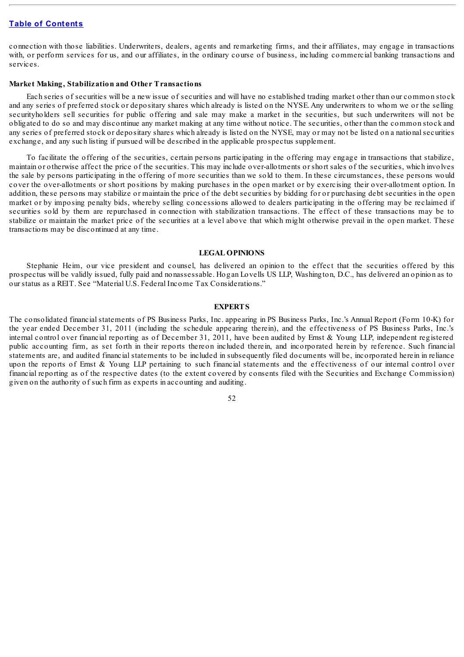connection with those liabilities. Underwriters, dealers, agents and remarketing firms, and their affiliates, may engage in transactions with, or perform services for us, and our affiliates, in the ordinary course of business, including commercial banking transactions and services.

## **Market Making, Stabilization and Other Transactions**

Each series of securities will be a new issue of securities and will have no established trading market other than our common stock and any series of preferred stock or depositary shares which already is listed on the NYSE. Any underwriters to whom we or the selling securityholders sell securities for public offering and sale may make a market in the securities, but such underwriters will not be obligated to do so and may discontinue any market making at any time without notice. The securities, other than the common stock and any series of preferred stock or depositary shares which already is listed on the NYSE, may or may not be listed on a nationalsecurities exchange, and any such listing if pursued will be described in the applicable prospectus supplement.

To facilitate the offering of the securities, certain persons participating in the offering may engage in transactions that stabilize, maintain or otherwise affect the price of the securities. This may include over-allotments or short sales of the securities, which involves the sale by persons participating in the offering of more securities than we sold to them. In these circumstances, these persons would cover the over-allotments or short positions by making purchases in the open market or by exercising their over-allotment option. In addition, these persons may stabilize or maintain the price of the debt securities by bidding for or purchasing debt securities in the open market or by imposing penalty bids, whereby selling concessions allowed to dealers participating in the offering may be reclaimed if securities sold by them are repurchased in connection with stabilization transactions. The effect of these transactions may be to stabilize or maintain the market price of the securities at a level above that which might otherwise prevail in the open market. These transactions may be discontinued at any time.

#### **LEGAL OPINIONS**

Stephanie Heim, our vice president and counsel, has delivered an opinion to the effect that the securities offered by this prospectus will be validly issued, fully paid and nonassessable. Hogan Lovells US LLP, Washington, D.C., has delivered an opinion as to our status as a REIT. See "Material U.S. Federal Income Tax Considerations."

## **EXPERTS**

The consolidated financial statements of PS Business Parks, Inc. appearing in PS Business Parks, Inc.'s Annual Report (Form 10-K) for the year ended December 31, 2011 (including the schedule appearing therein), and the effectiveness of PS Business Parks, Inc.'s internal control over financial reporting as of December 31, 2011, have been audited by Ernst & Young LLP, independent registered public accounting firm, as set forth in their reports thereon included therein, and incorporated herein by reference. Such financial statements are, and audited financial statements to be included in subsequently filed documents will be, incorporated herein in reliance upon the reports of Ernst & Young LLP pertaining to such financial statements and the effectiveness of our internal control over financial reporting as of the respective dates (to the extent covered by consents filed with the Securities and Exchange Commission) given on the authority of such firm as experts in accounting and auditing.